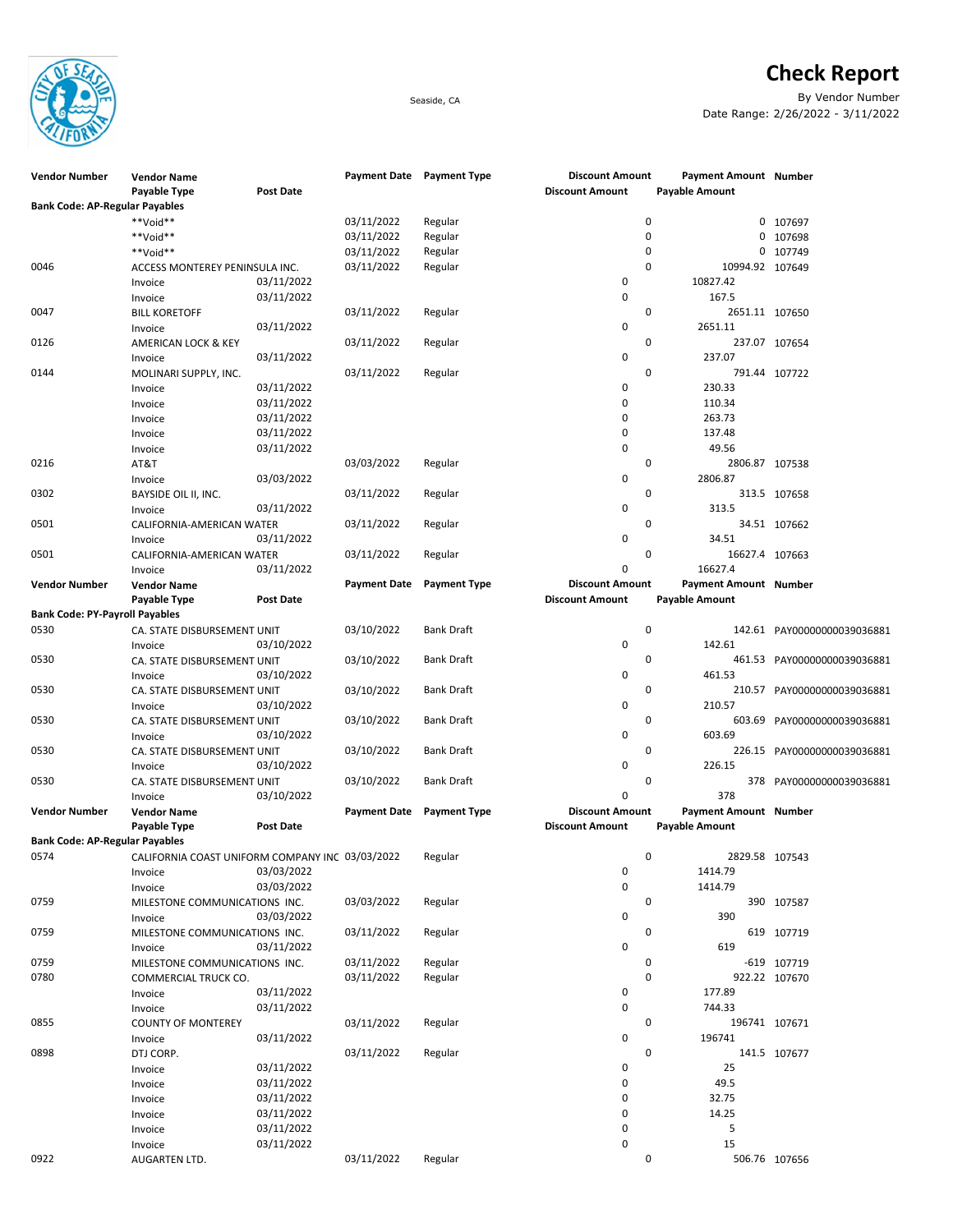

## Check Report

Seaside, CA By Vendor Number Date Range: 2/26/2022 - 3/11/2022

| <b>Vendor Number</b>                  | <b>Vendor Name</b>                              |                  | Payment Date Payment Type |                     | <b>Discount Amount</b> | Payment Amount Number |                             |
|---------------------------------------|-------------------------------------------------|------------------|---------------------------|---------------------|------------------------|-----------------------|-----------------------------|
| <b>Bank Code: AP-Regular Payables</b> | Payable Type                                    | <b>Post Date</b> |                           |                     | <b>Discount Amount</b> | Payable Amount        |                             |
|                                       |                                                 |                  |                           |                     |                        |                       |                             |
|                                       | **Void**                                        |                  | 03/11/2022                | Regular             | 0                      |                       | 0 107697                    |
|                                       | **Void**                                        |                  | 03/11/2022                | Regular             | $\mathbf 0$            |                       | 0 107698                    |
|                                       | **Void**                                        |                  | 03/11/2022                | Regular             | 0                      | 0                     | 107749                      |
| 0046                                  | ACCESS MONTEREY PENINSULA INC.                  |                  | 03/11/2022                | Regular             | $\mathbf 0$            | 10994.92 107649       |                             |
|                                       | Invoice                                         | 03/11/2022       |                           |                     | $\mathbf 0$            | 10827.42              |                             |
|                                       | Invoice                                         | 03/11/2022       |                           |                     | $\mathbf 0$            | 167.5                 |                             |
| 0047                                  | <b>BILL KORETOFF</b>                            |                  | 03/11/2022                | Regular             | 0                      | 2651.11 107650        |                             |
|                                       | Invoice                                         | 03/11/2022       |                           |                     | $\mathbf 0$            | 2651.11               |                             |
| 0126                                  | <b>AMERICAN LOCK &amp; KEY</b>                  |                  | 03/11/2022                | Regular             | 0                      |                       | 237.07 107654               |
|                                       | Invoice                                         | 03/11/2022       |                           |                     | $\mathbf 0$            | 237.07                |                             |
| 0144                                  | MOLINARI SUPPLY, INC.                           |                  | 03/11/2022                | Regular             | 0                      |                       | 791.44 107722               |
|                                       | Invoice                                         | 03/11/2022       |                           |                     | 0                      | 230.33                |                             |
|                                       | Invoice                                         | 03/11/2022       |                           |                     | 0                      | 110.34                |                             |
|                                       | Invoice                                         | 03/11/2022       |                           |                     | $\mathbf 0$            | 263.73                |                             |
|                                       | Invoice                                         | 03/11/2022       |                           |                     | 0                      | 137.48                |                             |
|                                       | Invoice                                         | 03/11/2022       |                           |                     | $\mathbf 0$            | 49.56                 |                             |
| 0216                                  | AT&T                                            |                  | 03/03/2022                | Regular             | 0                      | 2806.87 107538        |                             |
|                                       | Invoice                                         | 03/03/2022       |                           |                     | $\mathbf 0$            | 2806.87               |                             |
| 0302                                  | BAYSIDE OIL II, INC.                            |                  | 03/11/2022                | Regular             | $\mathbf 0$            |                       | 313.5 107658                |
|                                       | Invoice                                         | 03/11/2022       |                           |                     | 0                      | 313.5                 |                             |
| 0501                                  | CALIFORNIA-AMERICAN WATER                       |                  | 03/11/2022                | Regular             | 0                      |                       | 34.51 107662                |
|                                       | Invoice                                         | 03/11/2022       |                           |                     | $\mathbf 0$            | 34.51                 |                             |
| 0501                                  | CALIFORNIA-AMERICAN WATER                       |                  | 03/11/2022                | Regular             | 0                      | 16627.4 107663        |                             |
|                                       |                                                 | 03/11/2022       |                           |                     | $\mathbf 0$            | 16627.4               |                             |
|                                       | Invoice                                         |                  | <b>Payment Date</b>       | <b>Payment Type</b> | <b>Discount Amount</b> | Payment Amount Number |                             |
| <b>Vendor Number</b>                  | <b>Vendor Name</b><br>Payable Type              | Post Date        |                           |                     | <b>Discount Amount</b> | <b>Payable Amount</b> |                             |
| <b>Bank Code: PY-Payroll Payables</b> |                                                 |                  |                           |                     |                        |                       |                             |
| 0530                                  | CA. STATE DISBURSEMENT UNIT                     |                  | 03/10/2022                | Bank Draft          | $\mathbf 0$            |                       | 142.61 PAY00000000039036881 |
|                                       |                                                 | 03/10/2022       |                           |                     | 0                      | 142.61                |                             |
| 0530                                  | Invoice                                         |                  |                           |                     | 0                      |                       |                             |
|                                       | CA. STATE DISBURSEMENT UNIT                     |                  | 03/10/2022                | Bank Draft          |                        |                       | 461.53 PAY00000000039036881 |
|                                       | Invoice                                         | 03/10/2022       |                           |                     | 0                      | 461.53                |                             |
| 0530                                  | CA. STATE DISBURSEMENT UNIT                     |                  | 03/10/2022                | Bank Draft          | 0                      |                       | 210.57 PAY00000000039036881 |
|                                       | Invoice                                         | 03/10/2022       |                           |                     | 0                      | 210.57                |                             |
| 0530                                  | CA. STATE DISBURSEMENT UNIT                     |                  | 03/10/2022                | <b>Bank Draft</b>   | 0                      | 603.69                | PAY00000000039036881        |
|                                       | Invoice                                         | 03/10/2022       |                           |                     | $\mathbf 0$            | 603.69                |                             |
| 0530                                  | CA. STATE DISBURSEMENT UNIT                     |                  | 03/10/2022                | <b>Bank Draft</b>   | 0                      |                       | 226.15 PAY00000000039036881 |
|                                       | Invoice                                         | 03/10/2022       |                           |                     | $\mathbf 0$            | 226.15                |                             |
| 0530                                  | CA. STATE DISBURSEMENT UNIT                     |                  | 03/10/2022                | Bank Draft          | 0                      |                       | 378 PAY00000000039036881    |
|                                       | Invoice                                         | 03/10/2022       |                           |                     | $\mathbf 0$            | 378                   |                             |
| <b>Vendor Number</b>                  | <b>Vendor Name</b>                              |                  | <b>Payment Date</b>       | <b>Payment Type</b> | <b>Discount Amount</b> | Payment Amount Number |                             |
|                                       | Payable Type                                    | <b>Post Date</b> |                           |                     | <b>Discount Amount</b> | <b>Payable Amount</b> |                             |
| <b>Bank Code: AP-Regular Payables</b> |                                                 |                  |                           |                     |                        |                       |                             |
| 0574                                  | CALIFORNIA COAST UNIFORM COMPANY INC 03/03/2022 |                  |                           | Regular             | 0                      | 2829.58 107543        |                             |
|                                       | Invoice                                         | 03/03/2022       |                           |                     | $\pmb{0}$              | 1414.79               |                             |
|                                       | Invoice                                         | 03/03/2022       |                           |                     | $\pmb{0}$              | 1414.79               |                             |
| 0759                                  | MILESTONE COMMUNICATIONS INC.                   |                  | 03/03/2022                | Regular             | 0                      |                       | 390 107587                  |
|                                       | Invoice                                         | 03/03/2022       |                           |                     | 0                      | 390                   |                             |
| 0759                                  | MILESTONE COMMUNICATIONS INC.                   |                  | 03/11/2022                | Regular             | 0                      |                       | 619 107719                  |
|                                       | Invoice                                         | 03/11/2022       |                           |                     | 0                      | 619                   |                             |
| 0759                                  | MILESTONE COMMUNICATIONS INC.                   |                  | 03/11/2022                | Regular             | 0                      |                       | -619 107719                 |
| 0780                                  | COMMERCIAL TRUCK CO.                            |                  | 03/11/2022                | Regular             | $\mathbf 0$            |                       | 922.22 107670               |
|                                       | Invoice                                         | 03/11/2022       |                           |                     | 0                      | 177.89                |                             |
|                                       | Invoice                                         | 03/11/2022       |                           |                     | $\mathbf 0$            | 744.33                |                             |
| 0855                                  | <b>COUNTY OF MONTEREY</b>                       |                  | 03/11/2022                | Regular             | 0                      | 196741 107671         |                             |
|                                       | Invoice                                         | 03/11/2022       |                           |                     | 0                      | 196741                |                             |
| 0898                                  | DTJ CORP.                                       |                  | 03/11/2022                | Regular             | 0                      |                       | 141.5 107677                |
|                                       | Invoice                                         | 03/11/2022       |                           |                     | 0                      | 25                    |                             |
|                                       | Invoice                                         | 03/11/2022       |                           |                     | 0                      | 49.5                  |                             |
|                                       | Invoice                                         | 03/11/2022       |                           |                     | 0                      | 32.75                 |                             |
|                                       | Invoice                                         | 03/11/2022       |                           |                     | 0                      | 14.25                 |                             |
|                                       | Invoice                                         | 03/11/2022       |                           |                     | 0                      | 5                     |                             |
|                                       | Invoice                                         | 03/11/2022       |                           |                     | 0                      | 15                    |                             |
| 0922                                  | AUGARTEN LTD.                                   |                  | 03/11/2022                | Regular             | 0                      |                       | 506.76 107656               |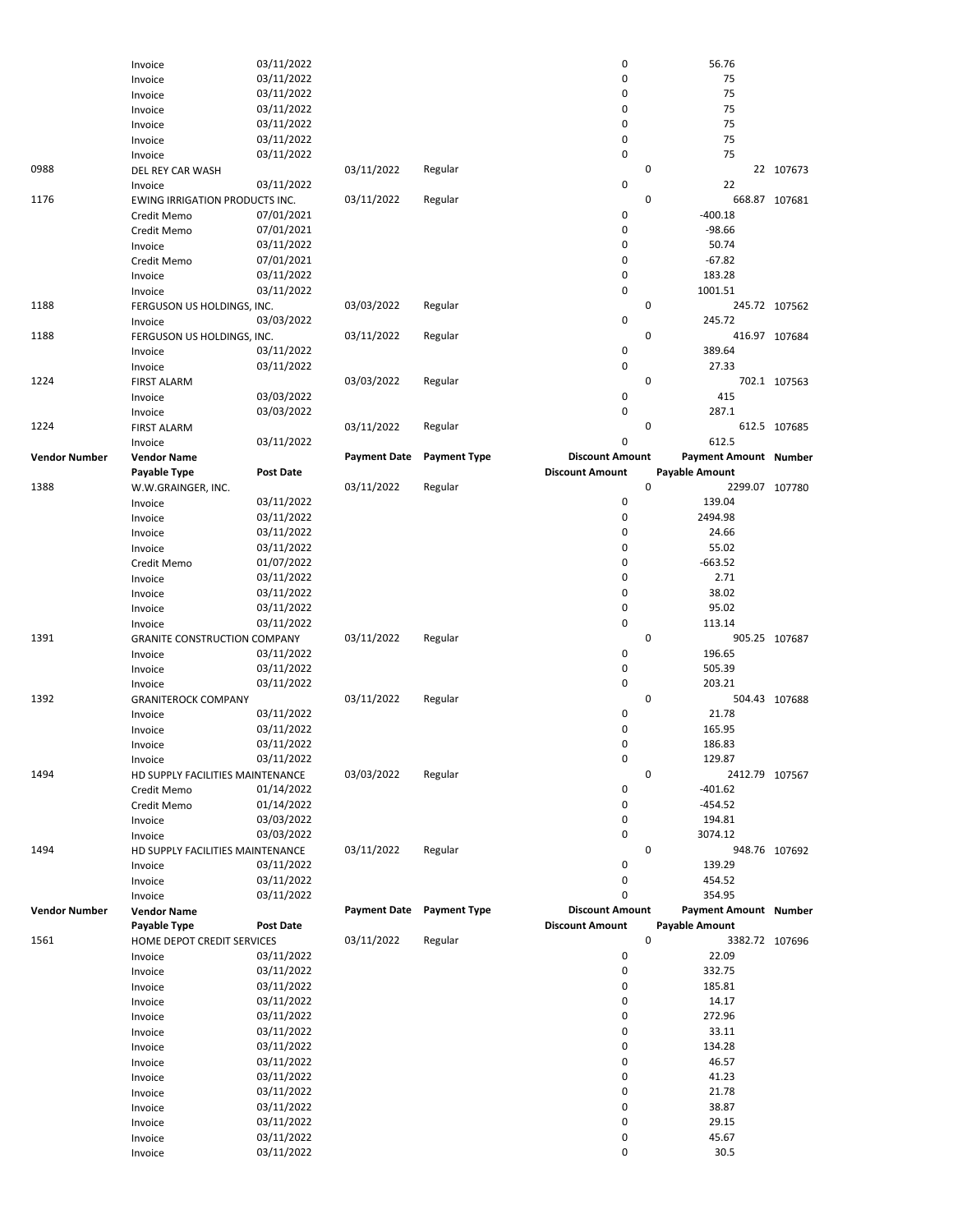|                      | Invoice                             | 03/11/2022               |                     |                     | 0                      | 56.76                        |               |
|----------------------|-------------------------------------|--------------------------|---------------------|---------------------|------------------------|------------------------------|---------------|
|                      | Invoice                             | 03/11/2022               |                     |                     | 0                      | 75                           |               |
|                      | Invoice                             | 03/11/2022               |                     |                     | 0                      | 75                           |               |
|                      | Invoice                             | 03/11/2022               |                     |                     | 0                      | 75                           |               |
|                      | Invoice                             | 03/11/2022               |                     |                     | 0                      | 75                           |               |
|                      | Invoice                             | 03/11/2022               |                     |                     | 0                      | 75                           |               |
|                      | Invoice                             | 03/11/2022               |                     |                     | 0                      | 75                           |               |
| 0988                 | DEL REY CAR WASH                    |                          | 03/11/2022          | Regular             | 0                      |                              | 22 107673     |
|                      | Invoice                             | 03/11/2022               |                     |                     | 0                      | 22                           |               |
| 1176                 | EWING IRRIGATION PRODUCTS INC.      |                          | 03/11/2022          | Regular             | $\mathbf 0$            |                              | 668.87 107681 |
|                      | Credit Memo                         | 07/01/2021               |                     |                     | 0                      | $-400.18$                    |               |
|                      | Credit Memo                         | 07/01/2021               |                     |                     | 0                      | $-98.66$                     |               |
|                      | Invoice                             | 03/11/2022               |                     |                     | 0                      | 50.74                        |               |
|                      | Credit Memo                         | 07/01/2021               |                     |                     | 0                      | $-67.82$                     |               |
|                      |                                     |                          |                     |                     | 0                      | 183.28                       |               |
|                      | Invoice                             | 03/11/2022               |                     |                     |                        |                              |               |
|                      | Invoice                             | 03/11/2022               |                     |                     | 0                      | 1001.51                      |               |
| 1188                 | FERGUSON US HOLDINGS, INC.          |                          | 03/03/2022          | Regular             | $\mathbf 0$            |                              | 245.72 107562 |
|                      | Invoice                             | 03/03/2022               |                     |                     | 0                      | 245.72                       |               |
| 1188                 | FERGUSON US HOLDINGS, INC.          |                          | 03/11/2022          | Regular             | $\mathbf 0$            |                              | 416.97 107684 |
|                      | Invoice                             | 03/11/2022               |                     |                     | 0                      | 389.64                       |               |
|                      | Invoice                             | 03/11/2022               |                     |                     | 0                      | 27.33                        |               |
| 1224                 | <b>FIRST ALARM</b>                  |                          | 03/03/2022          | Regular             | 0                      |                              | 702.1 107563  |
|                      | Invoice                             | 03/03/2022               |                     |                     | 0                      | 415                          |               |
|                      | Invoice                             | 03/03/2022               |                     |                     | 0                      | 287.1                        |               |
| 1224                 | <b>FIRST ALARM</b>                  |                          | 03/11/2022          | Regular             | $\mathbf 0$            |                              | 612.5 107685  |
|                      | Invoice                             | 03/11/2022               |                     |                     | 0                      | 612.5                        |               |
| <b>Vendor Number</b> | <b>Vendor Name</b>                  |                          | <b>Payment Date</b> | <b>Payment Type</b> | <b>Discount Amount</b> | Payment Amount Number        |               |
|                      | Payable Type                        | <b>Post Date</b>         |                     |                     | <b>Discount Amount</b> | Payable Amount               |               |
| 1388                 | W.W.GRAINGER, INC.                  |                          | 03/11/2022          | Regular             | 0                      | 2299.07 107780               |               |
|                      |                                     | 03/11/2022               |                     |                     | 0                      | 139.04                       |               |
|                      | Invoice                             |                          |                     |                     |                        |                              |               |
|                      | Invoice                             | 03/11/2022               |                     |                     | 0                      | 2494.98                      |               |
|                      | Invoice                             | 03/11/2022               |                     |                     | 0                      | 24.66                        |               |
|                      | Invoice                             | 03/11/2022               |                     |                     | 0                      | 55.02                        |               |
|                      | Credit Memo                         | 01/07/2022               |                     |                     | 0                      | $-663.52$                    |               |
|                      | Invoice                             | 03/11/2022               |                     |                     | 0                      | 2.71                         |               |
|                      | Invoice                             | 03/11/2022               |                     |                     | 0                      | 38.02                        |               |
|                      | Invoice                             | 03/11/2022               |                     |                     | 0                      | 95.02                        |               |
|                      | Invoice                             |                          |                     |                     | 0                      | 113.14                       |               |
|                      |                                     | 03/11/2022               |                     |                     |                        |                              |               |
| 1391                 |                                     |                          |                     |                     | 0                      |                              |               |
|                      | <b>GRANITE CONSTRUCTION COMPANY</b> |                          | 03/11/2022          | Regular             |                        |                              | 905.25 107687 |
|                      | Invoice                             | 03/11/2022               |                     |                     | 0                      | 196.65                       |               |
|                      | Invoice                             | 03/11/2022               |                     |                     | 0                      | 505.39                       |               |
|                      | Invoice                             | 03/11/2022               |                     |                     | 0                      | 203.21                       |               |
| 1392                 | <b>GRANITEROCK COMPANY</b>          |                          | 03/11/2022          | Regular             | 0                      |                              | 504.43 107688 |
|                      | Invoice                             | 03/11/2022               |                     |                     | 0                      | 21.78                        |               |
|                      | Invoice                             | 03/11/2022               |                     |                     | 0                      | 165.95                       |               |
|                      | Invoice                             | 03/11/2022               |                     |                     | 0                      | 186.83                       |               |
|                      | Invoice                             | 03/11/2022               |                     |                     | 0                      | 129.87                       |               |
| 1494                 | HD SUPPLY FACILITIES MAINTENANCE    |                          | 03/03/2022          | Regular             | 0                      | 2412.79 107567               |               |
|                      | Credit Memo                         | 01/14/2022               |                     |                     | 0                      | $-401.62$                    |               |
|                      | Credit Memo                         | 01/14/2022               |                     |                     | 0                      | $-454.52$                    |               |
|                      | Invoice                             | 03/03/2022               |                     |                     | 0                      | 194.81                       |               |
|                      | Invoice                             | 03/03/2022               |                     |                     | 0                      | 3074.12                      |               |
| 1494                 | HD SUPPLY FACILITIES MAINTENANCE    |                          | 03/11/2022          | Regular             | 0                      |                              | 948.76 107692 |
|                      |                                     |                          |                     |                     |                        |                              |               |
|                      | Invoice                             | 03/11/2022               |                     |                     | 0                      | 139.29<br>454.52             |               |
|                      | Invoice                             | 03/11/2022               |                     |                     | 0                      |                              |               |
|                      | Invoice                             | 03/11/2022               |                     |                     | 0                      | 354.95                       |               |
| <b>Vendor Number</b> | <b>Vendor Name</b>                  |                          | <b>Payment Date</b> | <b>Payment Type</b> | <b>Discount Amount</b> | <b>Payment Amount Number</b> |               |
|                      | Payable Type                        | Post Date                |                     |                     | <b>Discount Amount</b> | <b>Payable Amount</b>        |               |
| 1561                 | HOME DEPOT CREDIT SERVICES          |                          | 03/11/2022          | Regular             | $\mathbf 0$            | 3382.72 107696               |               |
|                      | Invoice                             | 03/11/2022               |                     |                     | 0                      | 22.09                        |               |
|                      | Invoice                             | 03/11/2022               |                     |                     | 0                      | 332.75                       |               |
|                      | Invoice                             | 03/11/2022               |                     |                     | 0                      | 185.81                       |               |
|                      | Invoice                             | 03/11/2022               |                     |                     | 0                      | 14.17                        |               |
|                      | Invoice                             | 03/11/2022               |                     |                     | 0                      | 272.96                       |               |
|                      | Invoice                             | 03/11/2022               |                     |                     | 0                      | 33.11                        |               |
|                      | Invoice                             | 03/11/2022               |                     |                     | 0                      | 134.28                       |               |
|                      | Invoice                             | 03/11/2022               |                     |                     | 0                      | 46.57                        |               |
|                      |                                     | 03/11/2022               |                     |                     | 0                      | 41.23                        |               |
|                      | Invoice                             |                          |                     |                     | 0                      | 21.78                        |               |
|                      | Invoice                             | 03/11/2022               |                     |                     |                        |                              |               |
|                      | Invoice                             | 03/11/2022               |                     |                     | 0                      | 38.87                        |               |
|                      | Invoice                             | 03/11/2022               |                     |                     | 0                      | 29.15                        |               |
|                      | Invoice<br>Invoice                  | 03/11/2022<br>03/11/2022 |                     |                     | 0<br>0                 | 45.67<br>30.5                |               |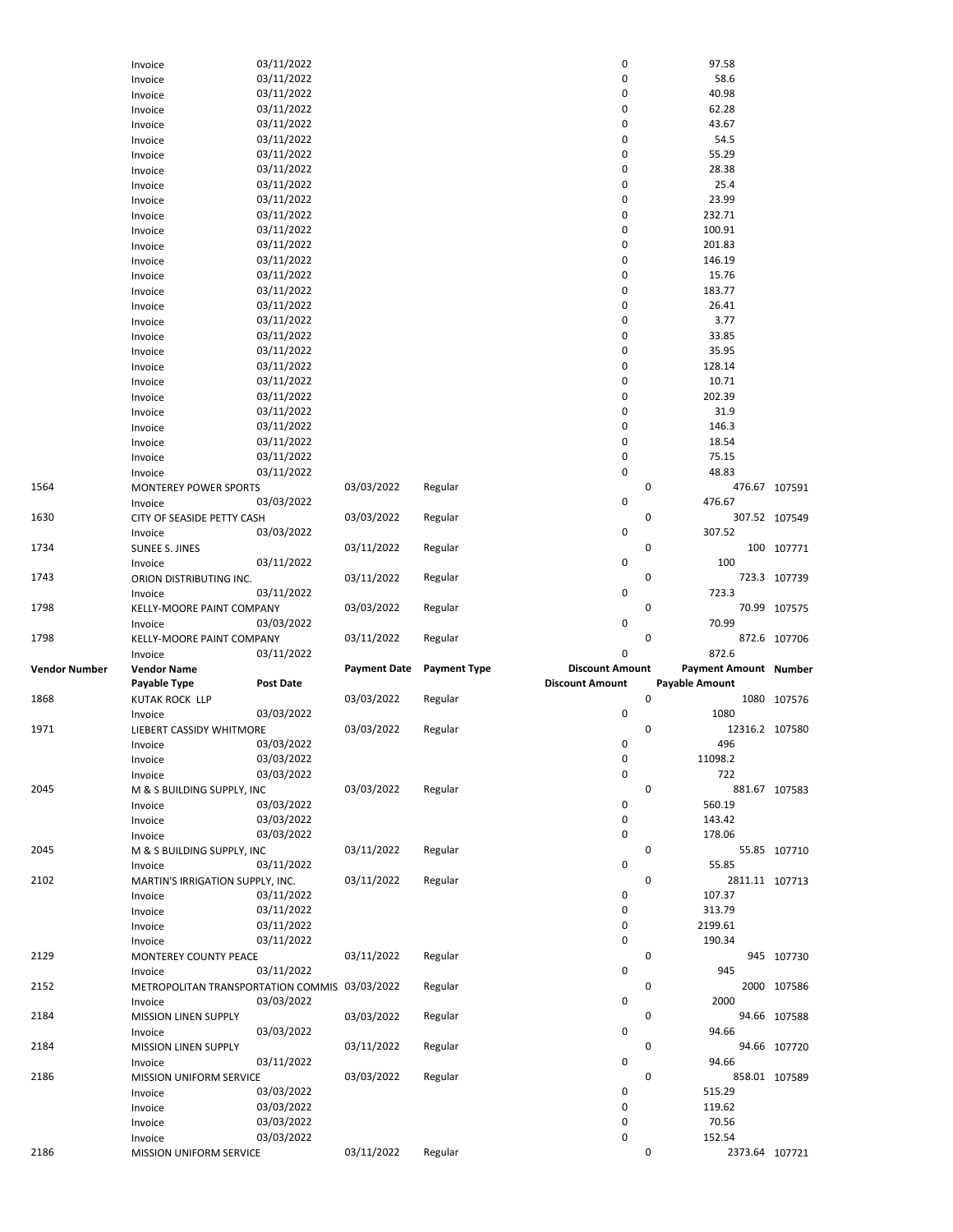|               | Invoice                                        | 03/11/2022       |                     |                     | 0                      |                       | 97.58                    |               |
|---------------|------------------------------------------------|------------------|---------------------|---------------------|------------------------|-----------------------|--------------------------|---------------|
|               | Invoice                                        | 03/11/2022       |                     |                     | 0                      |                       | 58.6                     |               |
|               | Invoice                                        | 03/11/2022       |                     |                     | 0                      |                       | 40.98                    |               |
|               | Invoice                                        | 03/11/2022       |                     |                     | 0                      |                       | 62.28                    |               |
|               |                                                |                  |                     |                     | 0                      |                       |                          |               |
|               | Invoice                                        | 03/11/2022       |                     |                     |                        |                       | 43.67                    |               |
|               | Invoice                                        | 03/11/2022       |                     |                     | 0                      |                       | 54.5                     |               |
|               | Invoice                                        | 03/11/2022       |                     |                     | 0                      |                       | 55.29                    |               |
|               | Invoice                                        | 03/11/2022       |                     |                     | 0                      |                       | 28.38                    |               |
|               | Invoice                                        | 03/11/2022       |                     |                     | 0                      |                       | 25.4                     |               |
|               | Invoice                                        | 03/11/2022       |                     |                     | 0                      |                       | 23.99                    |               |
|               | Invoice                                        | 03/11/2022       |                     |                     | 0                      |                       | 232.71                   |               |
|               |                                                | 03/11/2022       |                     |                     | 0                      |                       | 100.91                   |               |
|               | Invoice                                        |                  |                     |                     |                        |                       |                          |               |
|               | Invoice                                        | 03/11/2022       |                     |                     | 0                      |                       | 201.83                   |               |
|               | Invoice                                        | 03/11/2022       |                     |                     | 0                      |                       | 146.19                   |               |
|               | Invoice                                        | 03/11/2022       |                     |                     | 0                      |                       | 15.76                    |               |
|               | Invoice                                        | 03/11/2022       |                     |                     | 0                      |                       | 183.77                   |               |
|               | Invoice                                        | 03/11/2022       |                     |                     | 0                      |                       | 26.41                    |               |
|               | Invoice                                        | 03/11/2022       |                     |                     | 0                      |                       | 3.77                     |               |
|               | Invoice                                        | 03/11/2022       |                     |                     | 0                      |                       | 33.85                    |               |
|               |                                                | 03/11/2022       |                     |                     | 0                      |                       | 35.95                    |               |
|               | Invoice                                        |                  |                     |                     |                        |                       |                          |               |
|               | Invoice                                        | 03/11/2022       |                     |                     | 0                      |                       | 128.14                   |               |
|               | Invoice                                        | 03/11/2022       |                     |                     | 0                      |                       | 10.71                    |               |
|               | Invoice                                        | 03/11/2022       |                     |                     | 0                      |                       | 202.39                   |               |
|               | Invoice                                        | 03/11/2022       |                     |                     | 0                      |                       | 31.9                     |               |
|               | Invoice                                        | 03/11/2022       |                     |                     | 0                      |                       | 146.3                    |               |
|               | Invoice                                        | 03/11/2022       |                     |                     | 0                      |                       | 18.54                    |               |
|               | Invoice                                        | 03/11/2022       |                     |                     | 0                      |                       | 75.15                    |               |
|               |                                                | 03/11/2022       |                     |                     | $\pmb{0}$              |                       | 48.83                    |               |
|               | Invoice                                        |                  |                     |                     |                        |                       |                          |               |
| 1564          | MONTEREY POWER SPORTS                          |                  | 03/03/2022          | Regular             |                        | 0                     |                          | 476.67 107591 |
|               | Invoice                                        | 03/03/2022       |                     |                     | 0                      |                       | 476.67                   |               |
| 1630          | CITY OF SEASIDE PETTY CASH                     |                  | 03/03/2022          | Regular             |                        | 0                     |                          | 307.52 107549 |
|               | Invoice                                        | 03/03/2022       |                     |                     | 0                      |                       | 307.52                   |               |
| 1734          | <b>SUNEE S. JINES</b>                          |                  | 03/11/2022          | Regular             |                        | 0                     |                          | 100 107771    |
|               | Invoice                                        | 03/11/2022       |                     |                     | 0                      |                       | 100                      |               |
| 1743          | ORION DISTRIBUTING INC.                        |                  | 03/11/2022          | Regular             |                        | 0                     |                          | 723.3 107739  |
|               | Invoice                                        | 03/11/2022       |                     |                     | 0                      |                       | 723.3                    |               |
|               |                                                |                  |                     |                     |                        |                       |                          |               |
|               |                                                |                  |                     |                     |                        |                       |                          |               |
| 1798          | KELLY-MOORE PAINT COMPANY                      |                  | 03/03/2022          | Regular             |                        | 0                     |                          | 70.99 107575  |
|               | Invoice                                        | 03/03/2022       |                     |                     | 0                      |                       | 70.99                    |               |
| 1798          | KELLY-MOORE PAINT COMPANY                      |                  | 03/11/2022          | Regular             |                        | 0                     |                          | 872.6 107706  |
|               | Invoice                                        | 03/11/2022       |                     |                     | 0                      |                       | 872.6                    |               |
| Vendor Number | <b>Vendor Name</b>                             |                  | <b>Payment Date</b> | <b>Payment Type</b> | <b>Discount Amount</b> |                       | Payment Amount Number    |               |
|               |                                                |                  |                     |                     | <b>Discount Amount</b> |                       |                          |               |
|               | Payable Type                                   | <b>Post Date</b> |                     |                     |                        | <b>Payable Amount</b> |                          |               |
| 1868          | KUTAK ROCK LLP                                 |                  | 03/03/2022          | Regular             |                        | 0                     |                          | 1080 107576   |
|               | Invoice                                        | 03/03/2022       |                     |                     | $\pmb{0}$              |                       | 1080                     |               |
| 1971          | LIEBERT CASSIDY WHITMORE                       |                  | 03/03/2022          | Regular             |                        | 0                     | 12316.2 107580           |               |
|               | Invoice                                        | 03/03/2022       |                     |                     | 0                      |                       | 496                      |               |
|               | Invoice                                        | 03/03/2022       |                     |                     | 0                      |                       | 11098.2                  |               |
|               | Invoice                                        | 03/03/2022       |                     |                     | $\pmb{0}$              |                       | 722                      |               |
| 2045          | M & S BUILDING SUPPLY, INC                     |                  | 03/03/2022          | Regular             |                        | 0                     |                          | 881.67 107583 |
|               |                                                |                  |                     |                     | 0                      |                       | 560.19                   |               |
|               | Invoice                                        | 03/03/2022       |                     |                     |                        |                       |                          |               |
|               | Invoice                                        | 03/03/2022       |                     |                     | 0                      |                       | 143.42                   |               |
|               | Invoice                                        | 03/03/2022       |                     |                     | 0                      |                       | 178.06                   |               |
| 2045          | M & S BUILDING SUPPLY, INC                     |                  | 03/11/2022          | Regular             |                        | 0                     |                          | 55.85 107710  |
|               | Invoice                                        | 03/11/2022       |                     |                     | 0                      |                       | 55.85                    |               |
| 2102          | MARTIN'S IRRIGATION SUPPLY, INC.               |                  | 03/11/2022          | Regular             |                        | 0                     | 2811.11 107713           |               |
|               | Invoice                                        | 03/11/2022       |                     |                     | 0                      |                       | 107.37                   |               |
|               | Invoice                                        | 03/11/2022       |                     |                     | 0                      |                       | 313.79                   |               |
|               | Invoice                                        | 03/11/2022       |                     |                     | 0                      |                       | 2199.61                  |               |
|               |                                                |                  |                     |                     | 0                      |                       | 190.34                   |               |
|               | Invoice                                        | 03/11/2022       |                     |                     |                        |                       |                          |               |
| 2129          | MONTEREY COUNTY PEACE                          |                  | 03/11/2022          | Regular             |                        | 0                     |                          | 945 107730    |
|               | Invoice                                        | 03/11/2022       |                     |                     | 0                      |                       | 945                      |               |
| 2152          | METROPOLITAN TRANSPORTATION COMMIS: 03/03/2022 |                  |                     | Regular             |                        | 0                     |                          | 2000 107586   |
|               | Invoice                                        | 03/03/2022       |                     |                     | 0                      |                       | 2000                     |               |
| 2184          | <b>MISSION LINEN SUPPLY</b>                    |                  | 03/03/2022          | Regular             |                        | 0                     |                          | 94.66 107588  |
|               | Invoice                                        | 03/03/2022       |                     |                     | 0                      |                       | 94.66                    |               |
| 2184          | <b>MISSION LINEN SUPPLY</b>                    |                  | 03/11/2022          | Regular             |                        | 0                     |                          | 94.66 107720  |
|               | Invoice                                        | 03/11/2022       |                     |                     | 0                      |                       | 94.66                    |               |
| 2186          | MISSION UNIFORM SERVICE                        |                  | 03/03/2022          | Regular             |                        | 0                     |                          | 858.01 107589 |
|               |                                                |                  |                     |                     | 0                      |                       | 515.29                   |               |
|               | Invoice                                        | 03/03/2022       |                     |                     |                        |                       |                          |               |
|               | Invoice                                        | 03/03/2022       |                     |                     | 0                      |                       | 119.62                   |               |
|               | Invoice                                        | 03/03/2022       |                     |                     | 0                      |                       | 70.56                    |               |
| 2186          | Invoice<br>MISSION UNIFORM SERVICE             | 03/03/2022       | 03/11/2022          | Regular             | 0                      | 0                     | 152.54<br>2373.64 107721 |               |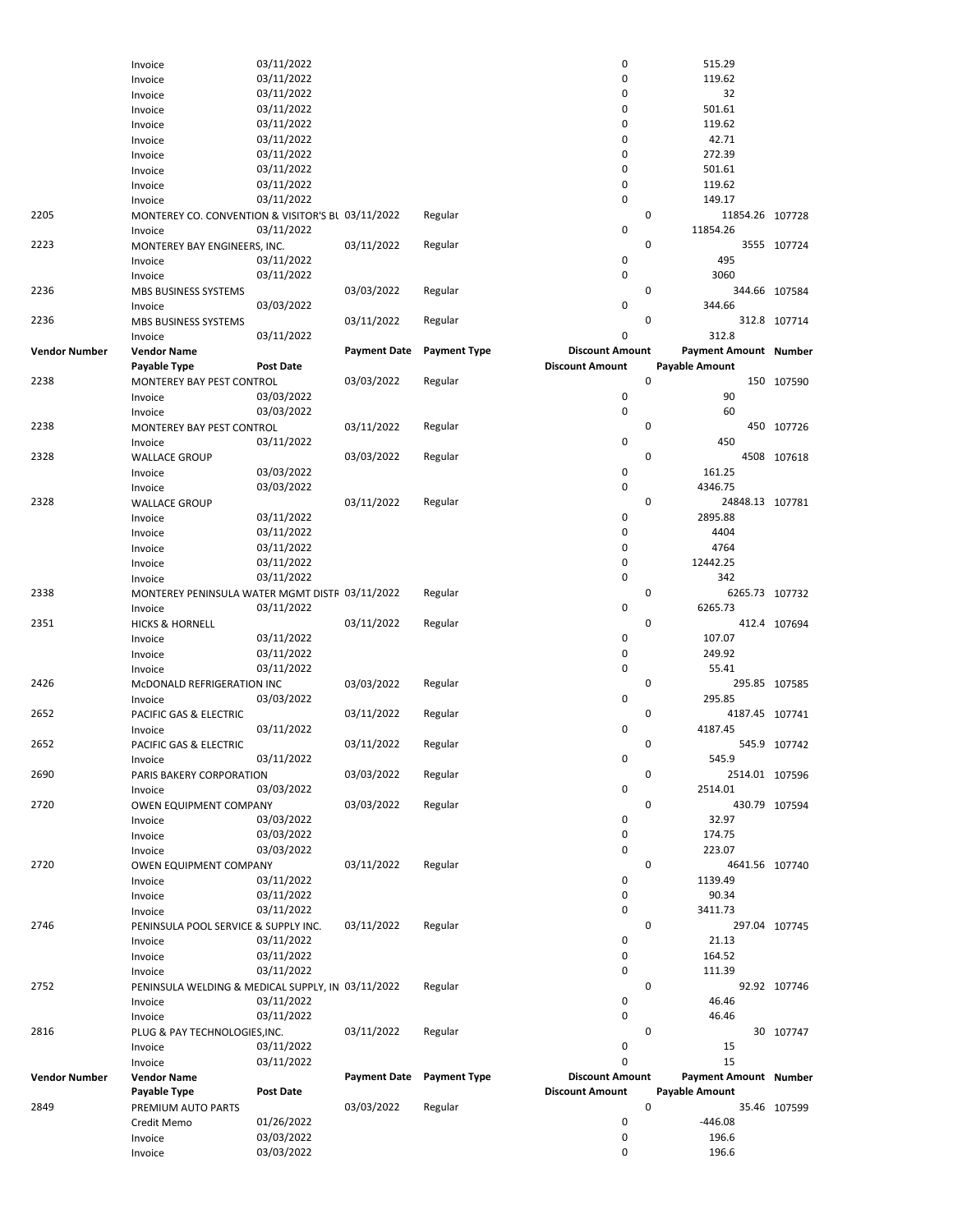|                      | Invoice                                           | 03/11/2022               |                     |                     | 0                      | 515.29                       |                |
|----------------------|---------------------------------------------------|--------------------------|---------------------|---------------------|------------------------|------------------------------|----------------|
|                      | Invoice                                           | 03/11/2022               |                     |                     | $\pmb{0}$              | 119.62                       |                |
|                      | Invoice                                           | 03/11/2022               |                     |                     | $\mathbf 0$            | 32                           |                |
|                      | Invoice                                           | 03/11/2022               |                     |                     | 0                      | 501.61                       |                |
|                      | Invoice                                           | 03/11/2022               |                     |                     | $\mathbf 0$            | 119.62                       |                |
|                      | Invoice                                           | 03/11/2022               |                     |                     | $\mathbf 0$            | 42.71                        |                |
|                      | Invoice                                           | 03/11/2022               |                     |                     | 0                      | 272.39                       |                |
|                      |                                                   | 03/11/2022               |                     |                     | 0                      | 501.61                       |                |
|                      | Invoice                                           |                          |                     |                     | $\mathbf 0$            |                              |                |
|                      | Invoice                                           | 03/11/2022               |                     |                     |                        | 119.62                       |                |
|                      | Invoice                                           | 03/11/2022               |                     |                     | 0                      | 149.17                       |                |
| 2205                 | MONTEREY CO. CONVENTION & VISITOR'S BL 03/11/2022 |                          |                     | Regular             | 0                      | 11854.26 107728              |                |
|                      | Invoice                                           | 03/11/2022               |                     |                     | 0                      | 11854.26                     |                |
| 2223                 | MONTEREY BAY ENGINEERS, INC.                      |                          | 03/11/2022          | Regular             | 0                      |                              | 3555 107724    |
|                      | Invoice                                           | 03/11/2022               |                     |                     | 0                      | 495                          |                |
|                      | Invoice                                           | 03/11/2022               |                     |                     | 0                      | 3060                         |                |
| 2236                 | MBS BUSINESS SYSTEMS                              |                          | 03/03/2022          | Regular             | 0                      |                              | 344.66 107584  |
|                      | Invoice                                           | 03/03/2022               |                     |                     | $\pmb{0}$              | 344.66                       |                |
| 2236                 | MBS BUSINESS SYSTEMS                              |                          | 03/11/2022          | Regular             | 0                      |                              | 312.8 107714   |
|                      | Invoice                                           | 03/11/2022               |                     |                     | $\mathbf 0$            | 312.8                        |                |
| <b>Vendor Number</b> | <b>Vendor Name</b>                                |                          | <b>Payment Date</b> | <b>Payment Type</b> | <b>Discount Amount</b> | <b>Payment Amount Number</b> |                |
|                      | Payable Type                                      | <b>Post Date</b>         |                     |                     | <b>Discount Amount</b> | Payable Amount               |                |
|                      |                                                   |                          |                     |                     |                        |                              |                |
| 2238                 | MONTEREY BAY PEST CONTROL                         |                          | 03/03/2022          | Regular             | $\mathbf 0$            |                              | 150 107590     |
|                      | Invoice                                           | 03/03/2022               |                     |                     | 0                      | 90                           |                |
|                      | Invoice                                           | 03/03/2022               |                     |                     | $\pmb{0}$              | 60                           |                |
| 2238                 | MONTEREY BAY PEST CONTROL                         |                          | 03/11/2022          | Regular             | 0                      |                              | 450 107726     |
|                      | Invoice                                           | 03/11/2022               |                     |                     | 0                      | 450                          |                |
| 2328                 | <b>WALLACE GROUP</b>                              |                          | 03/03/2022          | Regular             | 0                      | 4508                         | 107618         |
|                      | Invoice                                           | 03/03/2022               |                     |                     | 0                      | 161.25                       |                |
|                      | Invoice                                           | 03/03/2022               |                     |                     | $\pmb{0}$              | 4346.75                      |                |
| 2328                 | <b>WALLACE GROUP</b>                              |                          | 03/11/2022          | Regular             | $\mathbf{0}$           | 24848.13 107781              |                |
|                      | Invoice                                           | 03/11/2022               |                     |                     | 0                      | 2895.88                      |                |
|                      | Invoice                                           | 03/11/2022               |                     |                     | $\pmb{0}$              | 4404                         |                |
|                      |                                                   |                          |                     |                     | 0                      | 4764                         |                |
|                      | Invoice                                           | 03/11/2022               |                     |                     |                        |                              |                |
|                      | Invoice                                           | 03/11/2022               |                     |                     | $\pmb{0}$              | 12442.25                     |                |
|                      | Invoice                                           | 03/11/2022               |                     |                     | $\pmb{0}$              | 342                          |                |
| 2338                 | MONTEREY PENINSULA WATER MGMT DISTF 03/11/2022    |                          |                     | Regular             | 0                      |                              | 6265.73 107732 |
|                      | Invoice                                           | 03/11/2022               |                     |                     | 0                      | 6265.73                      |                |
| 2351                 | <b>HICKS &amp; HORNELL</b>                        |                          | 03/11/2022          | Regular             | $\mathbf 0$            |                              | 412.4 107694   |
|                      | Invoice                                           | 03/11/2022               |                     |                     | 0                      | 107.07                       |                |
|                      | Invoice                                           | 03/11/2022               |                     |                     | 0                      | 249.92                       |                |
|                      | Invoice                                           | 03/11/2022               |                     |                     | 0                      | 55.41                        |                |
| 2426                 | McDONALD REFRIGERATION INC                        |                          | 03/03/2022          | Regular             | 0                      |                              | 295.85 107585  |
|                      | Invoice                                           | 03/03/2022               |                     |                     | 0                      | 295.85                       |                |
| 2652                 | PACIFIC GAS & ELECTRIC                            |                          | 03/11/2022          | Regular             | 0                      | 4187.45 107741               |                |
|                      |                                                   | 03/11/2022               |                     |                     | 0                      | 4187.45                      |                |
|                      | Invoice                                           |                          |                     |                     |                        |                              |                |
| 2652                 | PACIFIC GAS & ELECTRIC                            |                          | 03/11/2022          | Regular             | 0                      |                              | 545.9 107742   |
|                      | Invoice                                           | 03/11/2022               |                     |                     | 0                      | 545.9                        |                |
| 2690                 | PARIS BAKERY CORPORATION                          |                          | 03/03/2022          | Regular             | 0                      | 2514.01 107596               |                |
|                      | Invoice                                           | 03/03/2022               |                     |                     | 0                      | 2514.01                      |                |
| 2720                 | OWEN EQUIPMENT COMPANY                            |                          | 03/03/2022          | Regular             | 0                      |                              | 430.79 107594  |
|                      | Invoice                                           | 03/03/2022               |                     |                     | 0                      | 32.97                        |                |
|                      | Invoice                                           | 03/03/2022               |                     |                     | 0                      | 174.75                       |                |
|                      | Invoice                                           | 03/03/2022               |                     |                     | $\pmb{0}$              | 223.07                       |                |
| 2720                 | OWEN EQUIPMENT COMPANY                            |                          | 03/11/2022          | Regular             | 0                      | 4641.56 107740               |                |
|                      | Invoice                                           | 03/11/2022               |                     |                     | 0                      | 1139.49                      |                |
|                      | Invoice                                           | 03/11/2022               |                     |                     | 0                      | 90.34                        |                |
|                      |                                                   |                          |                     |                     | 0                      | 3411.73                      |                |
|                      | Invoice                                           | 03/11/2022               |                     |                     |                        |                              |                |
| 2746                 | PENINSULA POOL SERVICE & SUPPLY INC.              |                          | 03/11/2022          | Regular             | 0                      |                              | 297.04 107745  |
|                      | Invoice                                           | 03/11/2022               |                     |                     | 0                      | 21.13                        |                |
|                      | Invoice                                           | 03/11/2022               |                     |                     | $\pmb{0}$              | 164.52                       |                |
|                      | Invoice                                           | 03/11/2022               |                     |                     | $\pmb{0}$              | 111.39                       |                |
| 2752                 | PENINSULA WELDING & MEDICAL SUPPLY, IN 03/11/2022 |                          |                     | Regular             | 0                      |                              | 92.92 107746   |
|                      | Invoice                                           | 03/11/2022               |                     |                     | 0                      | 46.46                        |                |
|                      | Invoice                                           | 03/11/2022               |                     |                     | $\pmb{0}$              | 46.46                        |                |
| 2816                 | PLUG & PAY TECHNOLOGIES, INC.                     |                          | 03/11/2022          | Regular             | 0                      |                              | 30 107747      |
|                      | Invoice                                           | 03/11/2022               |                     |                     | 0                      | 15                           |                |
|                      | Invoice                                           | 03/11/2022               |                     |                     | $\mathbf 0$            | 15                           |                |
| <b>Vendor Number</b> | <b>Vendor Name</b>                                |                          | <b>Payment Date</b> | <b>Payment Type</b> | <b>Discount Amount</b> | <b>Payment Amount Number</b> |                |
|                      |                                                   |                          |                     |                     |                        |                              |                |
|                      | Payable Type                                      | <b>Post Date</b>         |                     |                     | <b>Discount Amount</b> | Payable Amount               |                |
| 2849                 | PREMIUM AUTO PARTS                                |                          | 03/03/2022          | Regular             | $\mathbf 0$            |                              | 35.46 107599   |
|                      |                                                   |                          |                     |                     |                        |                              |                |
|                      | Credit Memo                                       | 01/26/2022               |                     |                     | $\pmb{0}$              | $-446.08$                    |                |
|                      | Invoice                                           | 03/03/2022<br>03/03/2022 |                     |                     | 0<br>$\mathbf 0$       | 196.6<br>196.6               |                |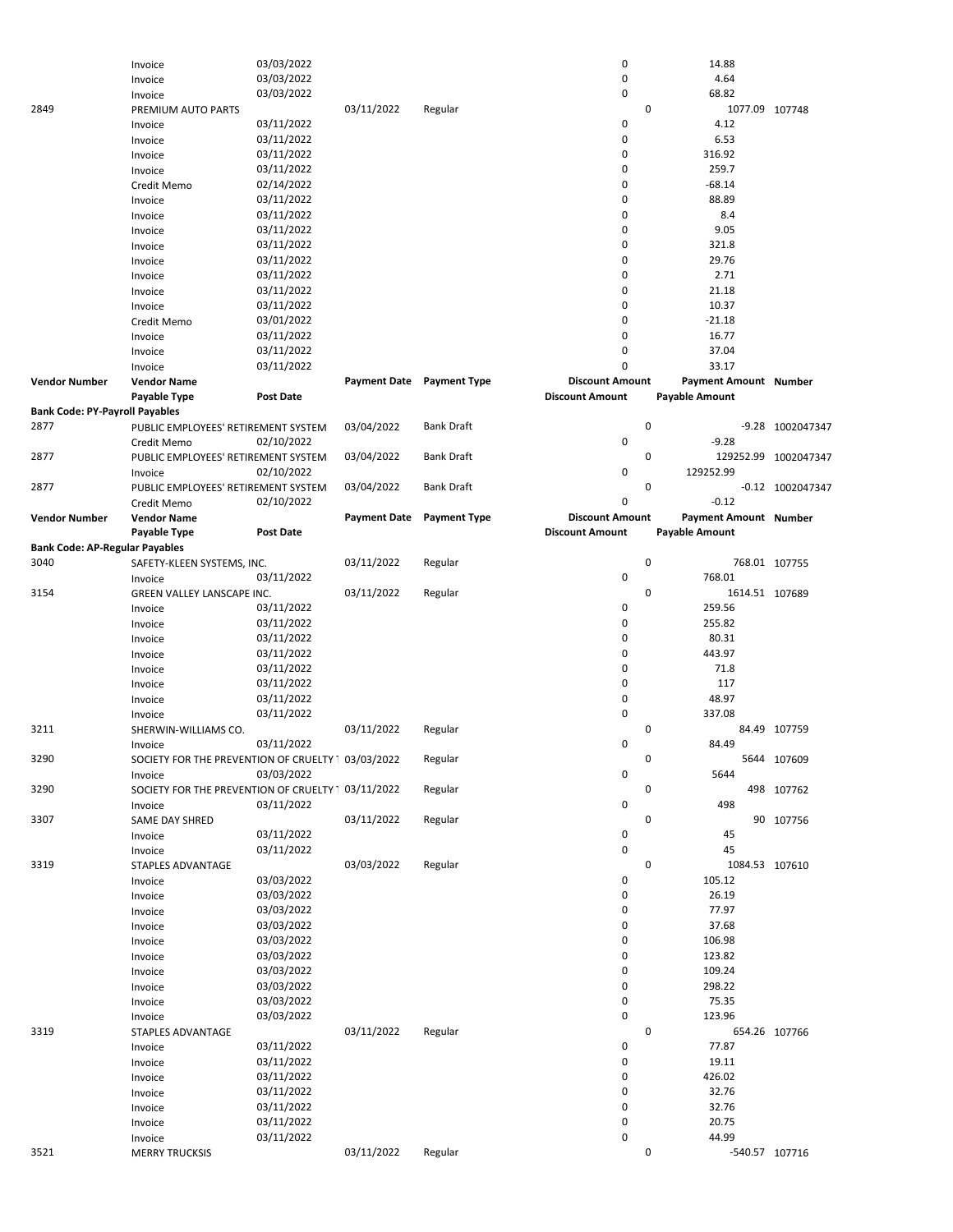|                                       | Invoice                                            | 03/03/2022                                         |                     |                           | 0                      | 14.88                        |                      |
|---------------------------------------|----------------------------------------------------|----------------------------------------------------|---------------------|---------------------------|------------------------|------------------------------|----------------------|
|                                       | Invoice                                            | 03/03/2022                                         |                     |                           | 0                      | 4.64                         |                      |
|                                       | Invoice                                            | 03/03/2022                                         |                     |                           | 0                      | 68.82                        |                      |
|                                       |                                                    |                                                    |                     |                           |                        |                              |                      |
| 2849                                  | PREMIUM AUTO PARTS                                 |                                                    | 03/11/2022          | Regular                   | $\mathbf 0$            | 1077.09 107748               |                      |
|                                       | Invoice                                            | 03/11/2022                                         |                     |                           | 0                      | 4.12                         |                      |
|                                       | Invoice                                            | 03/11/2022                                         |                     |                           | 0                      | 6.53                         |                      |
|                                       | Invoice                                            | 03/11/2022                                         |                     |                           | 0                      | 316.92                       |                      |
|                                       |                                                    |                                                    |                     |                           |                        |                              |                      |
|                                       | Invoice                                            | 03/11/2022                                         |                     |                           | 0                      | 259.7                        |                      |
|                                       | Credit Memo                                        | 02/14/2022                                         |                     |                           | 0                      | $-68.14$                     |                      |
|                                       | Invoice                                            | 03/11/2022                                         |                     |                           | 0                      | 88.89                        |                      |
|                                       |                                                    | 03/11/2022                                         |                     |                           | 0                      | 8.4                          |                      |
|                                       | Invoice                                            |                                                    |                     |                           |                        |                              |                      |
|                                       | Invoice                                            | 03/11/2022                                         |                     |                           | 0                      | 9.05                         |                      |
|                                       | Invoice                                            | 03/11/2022                                         |                     |                           | 0                      | 321.8                        |                      |
|                                       | Invoice                                            | 03/11/2022                                         |                     |                           | 0                      | 29.76                        |                      |
|                                       |                                                    | 03/11/2022                                         |                     |                           | 0                      | 2.71                         |                      |
|                                       | Invoice                                            |                                                    |                     |                           |                        |                              |                      |
|                                       | Invoice                                            | 03/11/2022                                         |                     |                           | 0                      | 21.18                        |                      |
|                                       | Invoice                                            | 03/11/2022                                         |                     |                           | 0                      | 10.37                        |                      |
|                                       | Credit Memo                                        | 03/01/2022                                         |                     |                           | 0                      | $-21.18$                     |                      |
|                                       | Invoice                                            | 03/11/2022                                         |                     |                           | 0                      | 16.77                        |                      |
|                                       |                                                    |                                                    |                     |                           |                        |                              |                      |
|                                       | Invoice                                            | 03/11/2022                                         |                     |                           | 0                      | 37.04                        |                      |
|                                       | Invoice                                            | 03/11/2022                                         |                     |                           | 0                      | 33.17                        |                      |
| <b>Vendor Number</b>                  | <b>Vendor Name</b>                                 |                                                    |                     | Payment Date Payment Type | <b>Discount Amount</b> | <b>Payment Amount Number</b> |                      |
|                                       | Payable Type                                       | <b>Post Date</b>                                   |                     |                           | <b>Discount Amount</b> | <b>Payable Amount</b>        |                      |
|                                       |                                                    |                                                    |                     |                           |                        |                              |                      |
| <b>Bank Code: PY-Payroll Payables</b> |                                                    |                                                    |                     |                           |                        |                              |                      |
| 2877                                  | PUBLIC EMPLOYEES' RETIREMENT SYSTEM                |                                                    | 03/04/2022          | <b>Bank Draft</b>         | $\mathbf 0$            |                              | -9.28 1002047347     |
|                                       | Credit Memo                                        | 02/10/2022                                         |                     |                           | 0                      | $-9.28$                      |                      |
| 2877                                  | PUBLIC EMPLOYEES' RETIREMENT SYSTEM                |                                                    | 03/04/2022          | <b>Bank Draft</b>         | 0                      |                              | 129252.99 1002047347 |
|                                       |                                                    |                                                    |                     |                           |                        |                              |                      |
|                                       | Invoice                                            | 02/10/2022                                         |                     |                           | 0                      | 129252.99                    |                      |
| 2877                                  | PUBLIC EMPLOYEES' RETIREMENT SYSTEM                |                                                    | 03/04/2022          | <b>Bank Draft</b>         | 0                      |                              | $-0.12$ 1002047347   |
|                                       | Credit Memo                                        | 02/10/2022                                         |                     |                           | 0                      | $-0.12$                      |                      |
| <b>Vendor Number</b>                  | <b>Vendor Name</b>                                 |                                                    | <b>Payment Date</b> | <b>Payment Type</b>       | <b>Discount Amount</b> | Payment Amount Number        |                      |
|                                       |                                                    |                                                    |                     |                           |                        |                              |                      |
|                                       | Payable Type                                       | Post Date                                          |                     |                           | <b>Discount Amount</b> | <b>Payable Amount</b>        |                      |
| <b>Bank Code: AP-Regular Payables</b> |                                                    |                                                    |                     |                           |                        |                              |                      |
| 3040                                  | SAFETY-KLEEN SYSTEMS, INC.                         |                                                    | 03/11/2022          | Regular                   | 0                      |                              | 768.01 107755        |
|                                       | Invoice                                            | 03/11/2022                                         |                     |                           | 0                      | 768.01                       |                      |
| 3154                                  |                                                    |                                                    | 03/11/2022          | Regular                   | 0                      | 1614.51 107689               |                      |
|                                       | GREEN VALLEY LANSCAPE INC.                         |                                                    |                     |                           |                        |                              |                      |
|                                       | Invoice                                            | 03/11/2022                                         |                     |                           | 0                      | 259.56                       |                      |
|                                       | Invoice                                            | 03/11/2022                                         |                     |                           | 0                      | 255.82                       |                      |
|                                       | Invoice                                            | 03/11/2022                                         |                     |                           | 0                      | 80.31                        |                      |
|                                       | Invoice                                            | 03/11/2022                                         |                     |                           | 0                      | 443.97                       |                      |
|                                       |                                                    |                                                    |                     |                           |                        |                              |                      |
|                                       | Invoice                                            | 03/11/2022                                         |                     |                           | 0                      | 71.8                         |                      |
|                                       | Invoice                                            | 03/11/2022                                         |                     |                           | 0                      | 117                          |                      |
|                                       | Invoice                                            | 03/11/2022                                         |                     |                           | 0                      | 48.97                        |                      |
|                                       | Invoice                                            | 03/11/2022                                         |                     |                           | 0                      | 337.08                       |                      |
|                                       |                                                    |                                                    |                     |                           |                        |                              |                      |
| 3211                                  | SHERWIN-WILLIAMS CO.                               |                                                    | 03/11/2022          | Regular                   | 0                      |                              | 84.49 107759         |
|                                       | Invoice                                            | 03/11/2022                                         |                     |                           | 0                      | 84.49                        |                      |
| 3290                                  |                                                    | SOCIETY FOR THE PREVENTION OF CRUELTY 1 03/03/2022 |                     | Regular                   | 0                      |                              | 5644 107609          |
|                                       | Invoice                                            | 03/03/2022                                         |                     |                           |                        | 5644                         |                      |
|                                       |                                                    |                                                    |                     |                           |                        |                              |                      |
| 3290                                  | SOCIETY FOR THE PREVENTION OF CRUELTY 1 03/11/2022 |                                                    |                     |                           | $\pmb{0}$              |                              |                      |
|                                       |                                                    |                                                    |                     | Regular                   | 0                      |                              | 498 107762           |
| 3307                                  | Invoice                                            | 03/11/2022                                         |                     |                           | $\pmb{0}$              | 498                          |                      |
|                                       | SAME DAY SHRED                                     |                                                    | 03/11/2022          | Regular                   | 0                      |                              |                      |
|                                       |                                                    |                                                    |                     |                           |                        |                              | 90 107756            |
|                                       | Invoice                                            | 03/11/2022                                         |                     |                           | 0                      | 45                           |                      |
|                                       | Invoice                                            | 03/11/2022                                         |                     |                           | $\pmb{0}$              | 45                           |                      |
| 3319                                  | STAPLES ADVANTAGE                                  |                                                    | 03/03/2022          | Regular                   | $\pmb{0}$              | 1084.53 107610               |                      |
|                                       | Invoice                                            | 03/03/2022                                         |                     |                           | 0                      | 105.12                       |                      |
|                                       |                                                    |                                                    |                     |                           |                        |                              |                      |
|                                       | Invoice                                            | 03/03/2022                                         |                     |                           | $\pmb{0}$              | 26.19                        |                      |
|                                       | Invoice                                            | 03/03/2022                                         |                     |                           | 0                      | 77.97                        |                      |
|                                       | Invoice                                            | 03/03/2022                                         |                     |                           | 0                      | 37.68                        |                      |
|                                       | Invoice                                            | 03/03/2022                                         |                     |                           | 0                      | 106.98                       |                      |
|                                       |                                                    |                                                    |                     |                           |                        |                              |                      |
|                                       | Invoice                                            | 03/03/2022                                         |                     |                           | 0                      | 123.82                       |                      |
|                                       | Invoice                                            | 03/03/2022                                         |                     |                           | 0                      | 109.24                       |                      |
|                                       | Invoice                                            | 03/03/2022                                         |                     |                           | 0                      | 298.22                       |                      |
|                                       | Invoice                                            | 03/03/2022                                         |                     |                           | 0                      | 75.35                        |                      |
|                                       |                                                    |                                                    |                     |                           |                        |                              |                      |
|                                       | Invoice                                            | 03/03/2022                                         |                     |                           | $\mathbf 0$            | 123.96                       |                      |
| 3319                                  | STAPLES ADVANTAGE                                  |                                                    | 03/11/2022          | Regular                   | $\pmb{0}$              |                              | 654.26 107766        |
|                                       | Invoice                                            | 03/11/2022                                         |                     |                           | 0                      | 77.87                        |                      |
|                                       |                                                    | 03/11/2022                                         |                     |                           | 0                      | 19.11                        |                      |
|                                       | Invoice                                            |                                                    |                     |                           |                        |                              |                      |
|                                       | Invoice                                            | 03/11/2022                                         |                     |                           | 0                      | 426.02                       |                      |
|                                       | Invoice                                            | 03/11/2022                                         |                     |                           | 0                      | 32.76                        |                      |
|                                       | Invoice                                            | 03/11/2022                                         |                     |                           | 0                      | 32.76                        |                      |
|                                       |                                                    |                                                    |                     |                           | 0                      | 20.75                        |                      |
|                                       | Invoice                                            | 03/11/2022                                         |                     |                           |                        |                              |                      |
| 3521                                  | Invoice<br><b>MERRY TRUCKSIS</b>                   | 03/11/2022                                         | 03/11/2022          | Regular                   | 0<br>0                 | 44.99<br>-540.57 107716      |                      |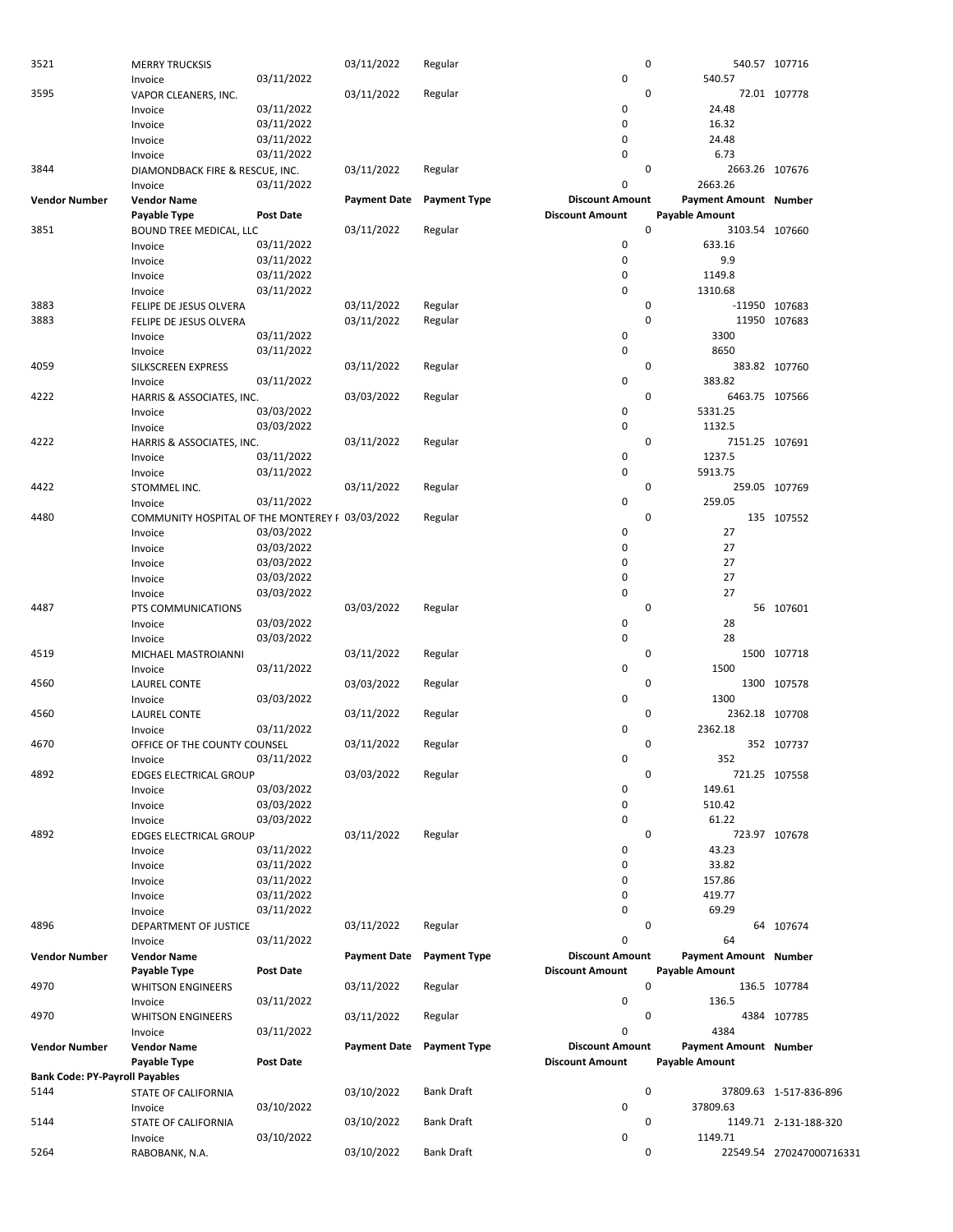| 3521                                  | <b>MERRY TRUCKSIS</b>                           |                  | 03/11/2022          | Regular             | 0                      |                       | 540.57 107716            |
|---------------------------------------|-------------------------------------------------|------------------|---------------------|---------------------|------------------------|-----------------------|--------------------------|
|                                       | Invoice                                         | 03/11/2022       |                     |                     | $\pmb{0}$              | 540.57                |                          |
| 3595                                  | VAPOR CLEANERS, INC.                            |                  | 03/11/2022          | Regular             | 0                      |                       | 72.01 107778             |
|                                       |                                                 |                  |                     |                     | 0                      | 24.48                 |                          |
|                                       | Invoice                                         | 03/11/2022       |                     |                     |                        |                       |                          |
|                                       | Invoice                                         | 03/11/2022       |                     |                     | 0                      | 16.32                 |                          |
|                                       | Invoice                                         | 03/11/2022       |                     |                     | 0                      | 24.48                 |                          |
|                                       | Invoice                                         | 03/11/2022       |                     |                     | $\pmb{0}$              | 6.73                  |                          |
| 3844                                  | DIAMONDBACK FIRE & RESCUE, INC.                 |                  | 03/11/2022          | Regular             | 0                      | 2663.26 107676        |                          |
|                                       | Invoice                                         | 03/11/2022       |                     |                     | 0                      | 2663.26               |                          |
|                                       |                                                 |                  |                     |                     |                        |                       |                          |
| <b>Vendor Number</b>                  | <b>Vendor Name</b>                              |                  | <b>Payment Date</b> | <b>Payment Type</b> | <b>Discount Amount</b> | Payment Amount Number |                          |
|                                       | Payable Type                                    | <b>Post Date</b> |                     |                     | <b>Discount Amount</b> | <b>Payable Amount</b> |                          |
| 3851                                  | <b>BOUND TREE MEDICAL, LLC</b>                  |                  | 03/11/2022          | Regular             | $\mathbf 0$            | 3103.54 107660        |                          |
|                                       | Invoice                                         | 03/11/2022       |                     |                     | $\pmb{0}$              | 633.16                |                          |
|                                       | Invoice                                         | 03/11/2022       |                     |                     | 0                      | 9.9                   |                          |
|                                       |                                                 |                  |                     |                     |                        |                       |                          |
|                                       | Invoice                                         | 03/11/2022       |                     |                     | 0                      | 1149.8                |                          |
|                                       | Invoice                                         | 03/11/2022       |                     |                     | 0                      | 1310.68               |                          |
| 3883                                  | FELIPE DE JESUS OLVERA                          |                  | 03/11/2022          | Regular             | 0                      | -11950 107683         |                          |
| 3883                                  | FELIPE DE JESUS OLVERA                          |                  | 03/11/2022          | Regular             | 0                      |                       | 11950 107683             |
|                                       | Invoice                                         | 03/11/2022       |                     |                     | 0                      | 3300                  |                          |
|                                       |                                                 |                  |                     |                     |                        |                       |                          |
|                                       | Invoice                                         | 03/11/2022       |                     |                     | $\mathsf 0$            | 8650                  |                          |
| 4059                                  | SILKSCREEN EXPRESS                              |                  | 03/11/2022          | Regular             | 0                      |                       | 383.82 107760            |
|                                       | Invoice                                         | 03/11/2022       |                     |                     | 0                      | 383.82                |                          |
| 4222                                  | HARRIS & ASSOCIATES, INC.                       |                  | 03/03/2022          | Regular             | 0                      | 6463.75 107566        |                          |
|                                       | Invoice                                         | 03/03/2022       |                     |                     | 0                      | 5331.25               |                          |
|                                       |                                                 |                  |                     |                     |                        |                       |                          |
|                                       | Invoice                                         | 03/03/2022       |                     |                     | $\mathsf 0$            | 1132.5                |                          |
| 4222                                  | HARRIS & ASSOCIATES, INC.                       |                  | 03/11/2022          | Regular             | 0                      | 7151.25 107691        |                          |
|                                       | Invoice                                         | 03/11/2022       |                     |                     | 0                      | 1237.5                |                          |
|                                       | Invoice                                         | 03/11/2022       |                     |                     | $\mathsf 0$            | 5913.75               |                          |
| 4422                                  | STOMMEL INC.                                    |                  |                     | Regular             | 0                      |                       | 259.05 107769            |
|                                       |                                                 |                  | 03/11/2022          |                     |                        |                       |                          |
|                                       | Invoice                                         | 03/11/2022       |                     |                     | 0                      | 259.05                |                          |
| 4480                                  | COMMUNITY HOSPITAL OF THE MONTEREY F 03/03/2022 |                  |                     | Regular             | $\mathbf 0$            |                       | 135 107552               |
|                                       | Invoice                                         | 03/03/2022       |                     |                     | 0                      | 27                    |                          |
|                                       | Invoice                                         | 03/03/2022       |                     |                     | 0                      | 27                    |                          |
|                                       |                                                 |                  |                     |                     | 0                      | 27                    |                          |
|                                       | Invoice                                         | 03/03/2022       |                     |                     |                        |                       |                          |
|                                       | Invoice                                         | 03/03/2022       |                     |                     | 0                      | 27                    |                          |
|                                       | Invoice                                         | 03/03/2022       |                     |                     | 0                      | 27                    |                          |
| 4487                                  | PTS COMMUNICATIONS                              |                  | 03/03/2022          | Regular             | 0                      |                       | 56 107601                |
|                                       | Invoice                                         | 03/03/2022       |                     |                     | 0                      | 28                    |                          |
|                                       |                                                 |                  |                     |                     |                        |                       |                          |
|                                       | Invoice                                         | 03/03/2022       |                     |                     | $\mathsf 0$            | 28                    |                          |
| 4519                                  | MICHAEL MASTROIANNI                             |                  | 03/11/2022          | Regular             | 0                      |                       | 1500 107718              |
|                                       | Invoice                                         | 03/11/2022       |                     |                     | 0                      | 1500                  |                          |
| 4560                                  | LAUREL CONTE                                    |                  | 03/03/2022          | Regular             | 0                      |                       | 1300 107578              |
|                                       |                                                 | 03/03/2022       |                     |                     | 0                      | 1300                  |                          |
|                                       | Invoice                                         |                  |                     |                     |                        |                       |                          |
| 4560                                  | <b>LAUREL CONTE</b>                             |                  | 03/11/2022          | Regular             | 0                      | 2362.18 107708        |                          |
|                                       | Invoice                                         | 03/11/2022       |                     |                     | 0                      | 2362.18               |                          |
| 4670                                  | OFFICE OF THE COUNTY COUNSEL                    |                  | 03/11/2022          | Regular             | 0                      |                       | 352 107737               |
|                                       | Invoice                                         | 03/11/2022       |                     |                     | 0                      | 352                   |                          |
|                                       |                                                 |                  |                     |                     | 0                      |                       |                          |
| 4892                                  | <b>EDGES ELECTRICAL GROUP</b>                   |                  | 03/03/2022          | Regular             |                        |                       | 721.25 107558            |
|                                       | Invoice                                         | 03/03/2022       |                     |                     | $\pmb{0}$              | 149.61                |                          |
|                                       | Invoice                                         | 03/03/2022       |                     |                     | 0                      | 510.42                |                          |
|                                       | Invoice                                         | 03/03/2022       |                     |                     | $\pmb{0}$              | 61.22                 |                          |
| 4892                                  | EDGES ELECTRICAL GROUP                          |                  | 03/11/2022          | Regular             | $\mathbf 0$            | 723.97 107678         |                          |
|                                       |                                                 | 03/11/2022       |                     |                     | 0                      | 43.23                 |                          |
|                                       | Invoice                                         |                  |                     |                     |                        |                       |                          |
|                                       | Invoice                                         | 03/11/2022       |                     |                     | $\pmb{0}$              | 33.82                 |                          |
|                                       | Invoice                                         | 03/11/2022       |                     |                     | 0                      | 157.86                |                          |
|                                       | Invoice                                         | 03/11/2022       |                     |                     | 0                      | 419.77                |                          |
|                                       | Invoice                                         | 03/11/2022       |                     |                     | $\pmb{0}$              | 69.29                 |                          |
| 4896                                  |                                                 |                  |                     |                     | 0                      |                       |                          |
|                                       | DEPARTMENT OF JUSTICE                           |                  | 03/11/2022          | Regular             |                        |                       | 64 107674                |
|                                       | Invoice                                         | 03/11/2022       |                     |                     | 0                      | 64                    |                          |
| <b>Vendor Number</b>                  | <b>Vendor Name</b>                              |                  | <b>Payment Date</b> | <b>Payment Type</b> | <b>Discount Amount</b> | Payment Amount Number |                          |
|                                       | Payable Type                                    | <b>Post Date</b> |                     |                     | <b>Discount Amount</b> | Payable Amount        |                          |
| 4970                                  | <b>WHITSON ENGINEERS</b>                        |                  | 03/11/2022          | Regular             | $\mathbf 0$            |                       | 136.5 107784             |
|                                       |                                                 |                  |                     |                     |                        |                       |                          |
|                                       | Invoice                                         | 03/11/2022       |                     |                     | 0                      | 136.5                 |                          |
| 4970                                  | <b>WHITSON ENGINEERS</b>                        |                  | 03/11/2022          | Regular             | 0                      |                       | 4384 107785              |
|                                       | Invoice                                         | 03/11/2022       |                     |                     | 0                      | 4384                  |                          |
| <b>Vendor Number</b>                  | <b>Vendor Name</b>                              |                  | <b>Payment Date</b> | <b>Payment Type</b> | <b>Discount Amount</b> | Payment Amount Number |                          |
|                                       | Payable Type                                    | <b>Post Date</b> |                     |                     | <b>Discount Amount</b> | Payable Amount        |                          |
| <b>Bank Code: PY-Payroll Payables</b> |                                                 |                  |                     |                     |                        |                       |                          |
|                                       |                                                 |                  |                     |                     |                        |                       |                          |
| 5144                                  | STATE OF CALIFORNIA                             |                  | 03/10/2022          | Bank Draft          | 0                      |                       | 37809.63 1-517-836-896   |
|                                       | Invoice                                         | 03/10/2022       |                     |                     | $\mathsf 0$            | 37809.63              |                          |
| 5144                                  | STATE OF CALIFORNIA                             |                  | 03/10/2022          | Bank Draft          | 0                      |                       | 1149.71 2-131-188-320    |
|                                       | Invoice                                         | 03/10/2022       |                     |                     | $\pmb{0}$              | 1149.71               |                          |
| 5264                                  |                                                 |                  | 03/10/2022          | <b>Bank Draft</b>   | 0                      |                       | 22549.54 270247000716331 |
|                                       | RABOBANK, N.A.                                  |                  |                     |                     |                        |                       |                          |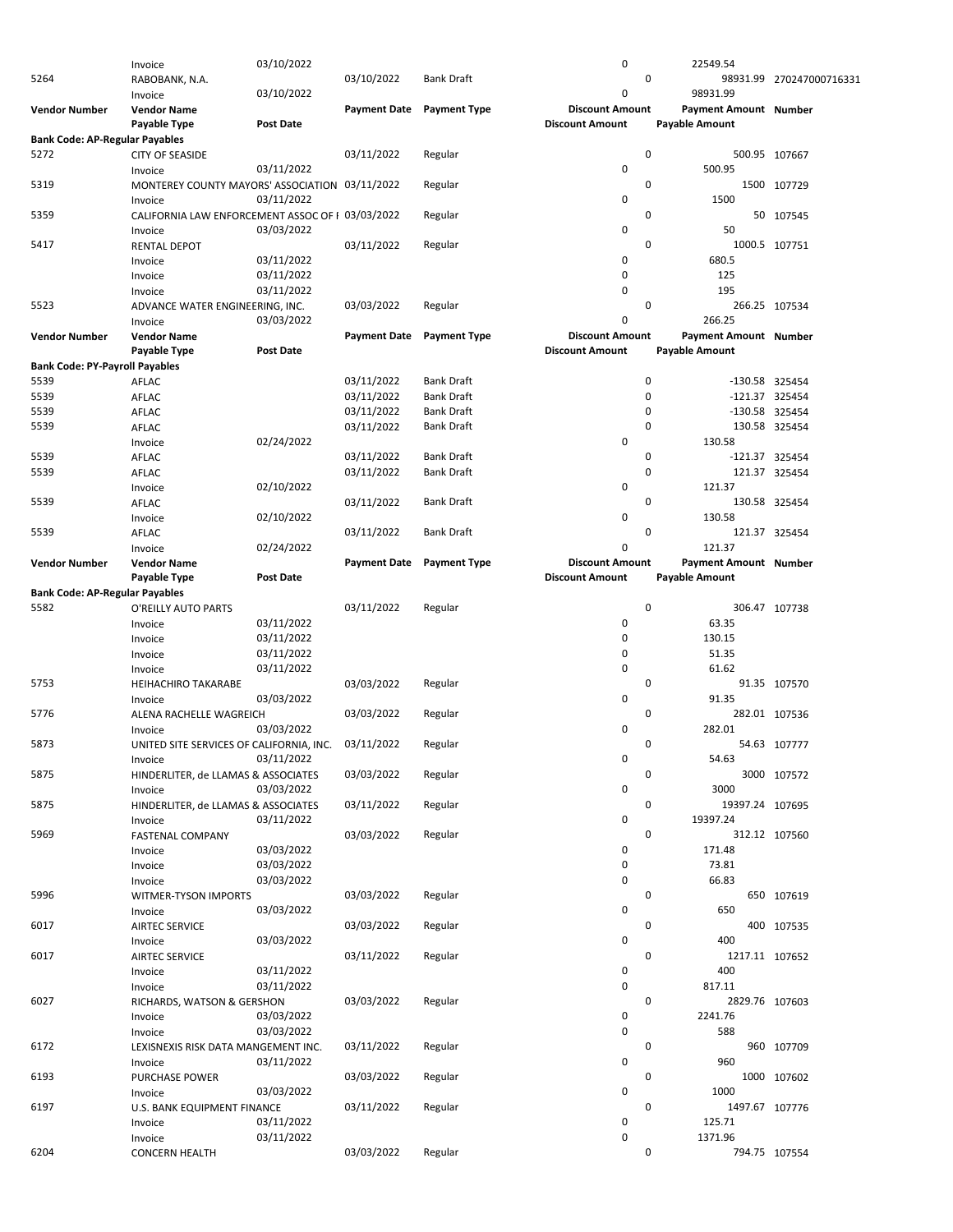|                                       | Invoice                                          | 03/10/2022       |                     |                     | $\pmb{0}$              | 22549.54                     |                          |
|---------------------------------------|--------------------------------------------------|------------------|---------------------|---------------------|------------------------|------------------------------|--------------------------|
| 5264                                  |                                                  |                  |                     | <b>Bank Draft</b>   | 0                      |                              |                          |
|                                       | RABOBANK, N.A.                                   |                  | 03/10/2022          |                     |                        |                              | 98931.99 270247000716331 |
|                                       | Invoice                                          | 03/10/2022       |                     |                     | 0                      | 98931.99                     |                          |
| <b>Vendor Number</b>                  | <b>Vendor Name</b>                               |                  | <b>Payment Date</b> | <b>Payment Type</b> | <b>Discount Amount</b> | Payment Amount Number        |                          |
|                                       |                                                  |                  |                     |                     |                        |                              |                          |
|                                       | Payable Type                                     | <b>Post Date</b> |                     |                     | <b>Discount Amount</b> | Payable Amount               |                          |
| <b>Bank Code: AP-Regular Payables</b> |                                                  |                  |                     |                     |                        |                              |                          |
| 5272                                  | <b>CITY OF SEASIDE</b>                           |                  | 03/11/2022          | Regular             | $\mathbf 0$            | 500.95 107667                |                          |
|                                       |                                                  |                  |                     |                     |                        |                              |                          |
|                                       | Invoice                                          | 03/11/2022       |                     |                     | $\mathbf 0$            | 500.95                       |                          |
| 5319                                  | MONTEREY COUNTY MAYORS' ASSOCIATION 03/11/2022   |                  |                     | Regular             | 0                      |                              | 1500 107729              |
|                                       |                                                  |                  |                     |                     |                        |                              |                          |
|                                       | Invoice                                          | 03/11/2022       |                     |                     | 0                      | 1500                         |                          |
| 5359                                  | CALIFORNIA LAW ENFORCEMENT ASSOC OF 1 03/03/2022 |                  |                     | Regular             | 0                      |                              | 50 107545                |
|                                       |                                                  |                  |                     |                     |                        |                              |                          |
|                                       | Invoice                                          | 03/03/2022       |                     |                     | 0                      | 50                           |                          |
| 5417                                  | <b>RENTAL DEPOT</b>                              |                  | 03/11/2022          | Regular             | 0                      | 1000.5 107751                |                          |
|                                       |                                                  |                  |                     |                     | $\mathbf 0$            | 680.5                        |                          |
|                                       | Invoice                                          | 03/11/2022       |                     |                     |                        |                              |                          |
|                                       | Invoice                                          | 03/11/2022       |                     |                     | 0                      | 125                          |                          |
|                                       | Invoice                                          | 03/11/2022       |                     |                     | 0                      | 195                          |                          |
|                                       |                                                  |                  |                     |                     |                        |                              |                          |
| 5523                                  | ADVANCE WATER ENGINEERING, INC.                  |                  | 03/03/2022          | Regular             | 0                      | 266.25 107534                |                          |
|                                       | Invoice                                          | 03/03/2022       |                     |                     | $\mathbf 0$            | 266.25                       |                          |
|                                       |                                                  |                  |                     |                     |                        |                              |                          |
| <b>Vendor Number</b>                  | <b>Vendor Name</b>                               |                  | <b>Payment Date</b> | <b>Payment Type</b> | <b>Discount Amount</b> | <b>Payment Amount Number</b> |                          |
|                                       | Payable Type                                     | <b>Post Date</b> |                     |                     | <b>Discount Amount</b> | Payable Amount               |                          |
|                                       |                                                  |                  |                     |                     |                        |                              |                          |
| <b>Bank Code: PY-Payroll Payables</b> |                                                  |                  |                     |                     |                        |                              |                          |
| 5539                                  | AFLAC                                            |                  | 03/11/2022          | <b>Bank Draft</b>   | $\mathbf 0$            | -130.58 325454               |                          |
| 5539                                  |                                                  |                  | 03/11/2022          | <b>Bank Draft</b>   | 0                      |                              |                          |
|                                       | AFLAC                                            |                  |                     |                     |                        | -121.37 325454               |                          |
| 5539                                  | AFLAC                                            |                  | 03/11/2022          | <b>Bank Draft</b>   | 0                      | -130.58 325454               |                          |
| 5539                                  | AFLAC                                            |                  | 03/11/2022          | <b>Bank Draft</b>   | 0                      | 130.58 325454                |                          |
|                                       |                                                  |                  |                     |                     |                        |                              |                          |
|                                       | Invoice                                          | 02/24/2022       |                     |                     | 0                      | 130.58                       |                          |
| 5539                                  | AFLAC                                            |                  | 03/11/2022          | <b>Bank Draft</b>   | 0                      | -121.37 325454               |                          |
|                                       |                                                  |                  |                     |                     |                        |                              |                          |
| 5539                                  | AFLAC                                            |                  | 03/11/2022          | <b>Bank Draft</b>   | 0                      | 121.37 325454                |                          |
|                                       | Invoice                                          | 02/10/2022       |                     |                     | 0                      | 121.37                       |                          |
| 5539                                  |                                                  |                  |                     | <b>Bank Draft</b>   | 0                      | 130.58 325454                |                          |
|                                       | AFLAC                                            |                  | 03/11/2022          |                     |                        |                              |                          |
|                                       | Invoice                                          | 02/10/2022       |                     |                     | 0                      | 130.58                       |                          |
| 5539                                  | AFLAC                                            |                  | 03/11/2022          | <b>Bank Draft</b>   | 0                      | 121.37 325454                |                          |
|                                       |                                                  |                  |                     |                     |                        |                              |                          |
|                                       | Invoice                                          | 02/24/2022       |                     |                     | 0                      | 121.37                       |                          |
| <b>Vendor Number</b>                  | <b>Vendor Name</b>                               |                  | <b>Payment Date</b> | <b>Payment Type</b> | <b>Discount Amount</b> | Payment Amount Number        |                          |
|                                       |                                                  |                  |                     |                     |                        |                              |                          |
|                                       | Payable Type                                     | <b>Post Date</b> |                     |                     | <b>Discount Amount</b> | Payable Amount               |                          |
| <b>Bank Code: AP-Regular Payables</b> |                                                  |                  |                     |                     |                        |                              |                          |
| 5582                                  |                                                  |                  |                     |                     | 0                      |                              | 306.47 107738            |
|                                       | O'REILLY AUTO PARTS                              |                  | 03/11/2022          | Regular             |                        |                              |                          |
|                                       | Invoice                                          | 03/11/2022       |                     |                     | 0                      | 63.35                        |                          |
|                                       | Invoice                                          | 03/11/2022       |                     |                     | 0                      | 130.15                       |                          |
|                                       |                                                  |                  |                     |                     |                        |                              |                          |
|                                       | Invoice                                          | 03/11/2022       |                     |                     | 0                      | 51.35                        |                          |
|                                       | Invoice                                          | 03/11/2022       |                     |                     | $\mathbf 0$            | 61.62                        |                          |
|                                       |                                                  |                  |                     |                     |                        |                              |                          |
| 5753                                  | <b>HEIHACHIRO TAKARABE</b>                       |                  | 03/03/2022          | Regular             | 0                      |                              | 91.35 107570             |
|                                       | Invoice                                          | 03/03/2022       |                     |                     | $\mathbf 0$            | 91.35                        |                          |
| 5776                                  |                                                  |                  |                     |                     | 0                      |                              |                          |
|                                       | ALENA RACHELLE WAGREICH                          |                  | 03/03/2022          | Regular             |                        |                              | 282.01 107536            |
|                                       | Invoice                                          | 03/03/2022       |                     |                     | $\mathbf 0$            | 282.01                       |                          |
| 5873                                  | UNITED SITE SERVICES OF CALIFORNIA, INC.         |                  | 03/11/2022          | Regular             | 0                      |                              | 54.63 107777             |
|                                       |                                                  |                  |                     |                     |                        |                              |                          |
|                                       | Invoice                                          | 03/11/2022       |                     |                     | 0                      | 54.63                        |                          |
| 5875                                  | HINDERLITER, de LLAMAS & ASSOCIATES              |                  | 03/03/2022          | Regular             | 0                      |                              | 3000 107572              |
|                                       |                                                  |                  |                     |                     | $\mathbf 0$            | 3000                         |                          |
|                                       | Invoice                                          | 03/03/2022       |                     |                     |                        |                              |                          |
| 5875                                  | HINDERLITER, de LLAMAS & ASSOCIATES              |                  | 03/11/2022          | Regular             | 0                      | 19397.24 107695              |                          |
|                                       | Invoice                                          | 03/11/2022       |                     |                     | 0                      | 19397.24                     |                          |
|                                       |                                                  |                  |                     |                     |                        |                              |                          |
| 5969                                  | <b>FASTENAL COMPANY</b>                          |                  | 03/03/2022          | Regular             | 0                      | 312.12 107560                |                          |
|                                       | Invoice                                          | 03/03/2022       |                     |                     | 0                      | 171.48                       |                          |
|                                       |                                                  | 03/03/2022       |                     |                     | 0                      | 73.81                        |                          |
|                                       | Invoice                                          |                  |                     |                     |                        |                              |                          |
|                                       | Invoice                                          | 03/03/2022       |                     |                     | 0                      | 66.83                        |                          |
| 5996                                  | WITMER-TYSON IMPORTS                             |                  | 03/03/2022          | Regular             | 0                      |                              | 650 107619               |
|                                       |                                                  |                  |                     |                     |                        |                              |                          |
|                                       | Invoice                                          | 03/03/2022       |                     |                     | $\mathbf 0$            | 650                          |                          |
| 6017                                  | <b>AIRTEC SERVICE</b>                            |                  | 03/03/2022          | Regular             | 0                      |                              | 400 107535               |
|                                       |                                                  |                  |                     |                     |                        |                              |                          |
|                                       | Invoice                                          | 03/03/2022       |                     |                     | $\mathbf 0$            | 400                          |                          |
| 6017                                  | <b>AIRTEC SERVICE</b>                            |                  | 03/11/2022          | Regular             | 0                      | 1217.11 107652               |                          |
|                                       |                                                  | 03/11/2022       |                     |                     | 0                      | 400                          |                          |
|                                       | Invoice                                          |                  |                     |                     |                        |                              |                          |
|                                       | Invoice                                          | 03/11/2022       |                     |                     | $\mathbf 0$            | 817.11                       |                          |
| 6027                                  | RICHARDS, WATSON & GERSHON                       |                  | 03/03/2022          | Regular             | 0                      | 2829.76 107603               |                          |
|                                       |                                                  |                  |                     |                     |                        |                              |                          |
|                                       | Invoice                                          | 03/03/2022       |                     |                     | 0                      | 2241.76                      |                          |
|                                       | Invoice                                          | 03/03/2022       |                     |                     | 0                      | 588                          |                          |
|                                       |                                                  |                  |                     |                     |                        |                              |                          |
| 6172                                  | LEXISNEXIS RISK DATA MANGEMENT INC.              |                  | 03/11/2022          | Regular             | 0                      |                              | 960 107709               |
|                                       | Invoice                                          | 03/11/2022       |                     |                     | 0                      | 960                          |                          |
| 6193                                  | PURCHASE POWER                                   |                  | 03/03/2022          | Regular             | 0                      |                              | 1000 107602              |
|                                       |                                                  |                  |                     |                     |                        |                              |                          |
|                                       | Invoice                                          | 03/03/2022       |                     |                     | $\mathbf 0$            | 1000                         |                          |
| 6197                                  | U.S. BANK EQUIPMENT FINANCE                      |                  | 03/11/2022          | Regular             | 0                      | 1497.67 107776               |                          |
|                                       |                                                  |                  |                     |                     |                        |                              |                          |
|                                       | Invoice                                          | 03/11/2022       |                     |                     | 0                      | 125.71                       |                          |
|                                       | Invoice                                          | 03/11/2022       |                     |                     | $\mathbf 0$            | 1371.96                      |                          |
| 6204                                  | <b>CONCERN HEALTH</b>                            |                  | 03/03/2022          | Regular             | 0                      | 794.75 107554                |                          |
|                                       |                                                  |                  |                     |                     |                        |                              |                          |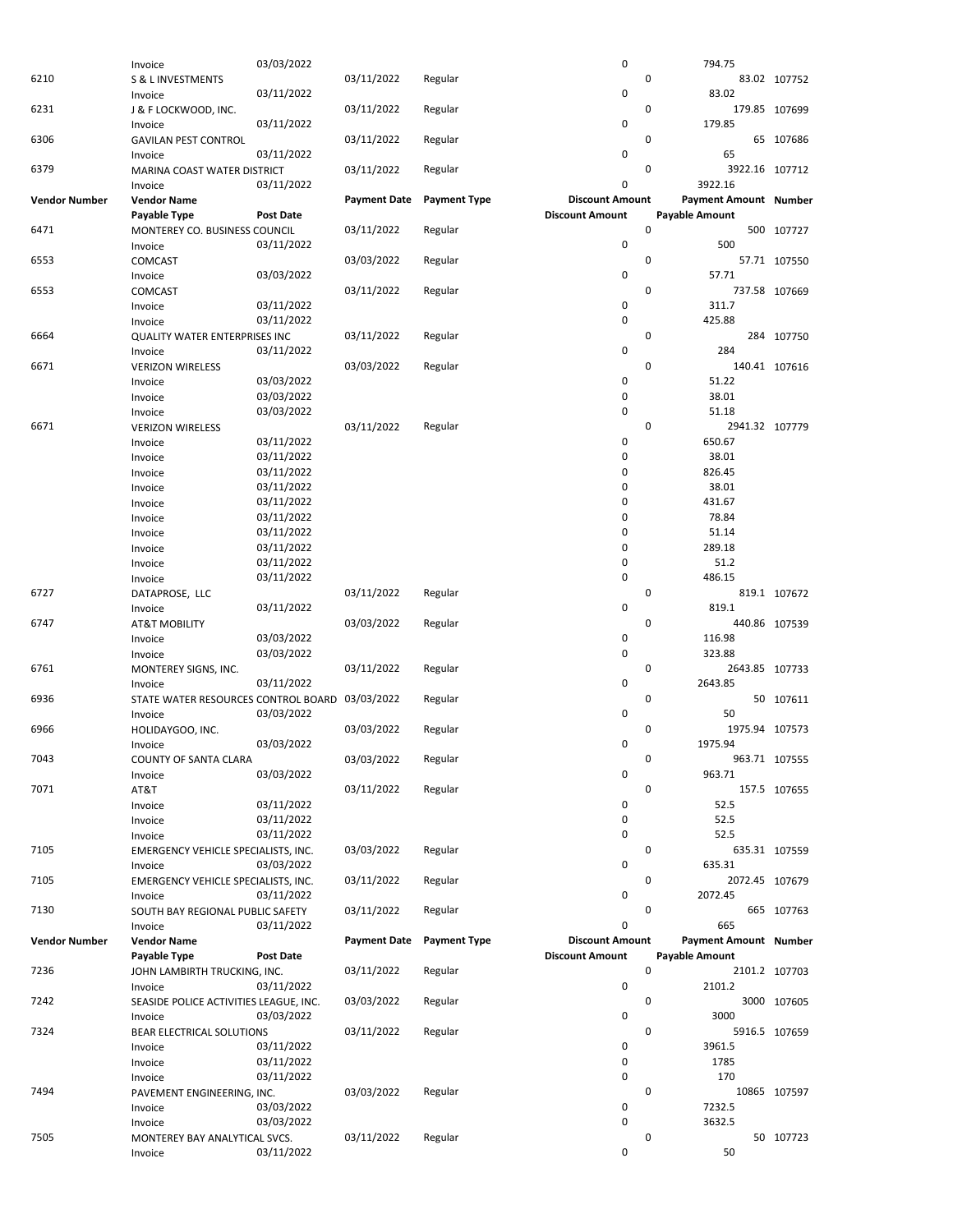|                      | Invoice                                        | 03/03/2022       |                     |                     | 0                      | 794.75                        |               |
|----------------------|------------------------------------------------|------------------|---------------------|---------------------|------------------------|-------------------------------|---------------|
| 6210                 | S & L INVESTMENTS                              |                  | 03/11/2022          | Regular             |                        | 0                             | 83.02 107752  |
|                      |                                                |                  |                     |                     | 0                      | 83.02                         |               |
|                      | Invoice                                        | 03/11/2022       |                     |                     |                        |                               |               |
| 6231                 | J & F LOCKWOOD, INC.                           |                  | 03/11/2022          | Regular             |                        | 0                             | 179.85 107699 |
|                      | Invoice                                        | 03/11/2022       |                     |                     | 0                      | 179.85                        |               |
| 6306                 | <b>GAVILAN PEST CONTROL</b>                    |                  | 03/11/2022          | Regular             |                        | 0                             | 65 107686     |
|                      |                                                |                  |                     |                     |                        |                               |               |
|                      | Invoice                                        | 03/11/2022       |                     |                     | 0                      | 65                            |               |
| 6379                 | MARINA COAST WATER DISTRICT                    |                  | 03/11/2022          | Regular             |                        | 0<br>3922.16 107712           |               |
|                      | Invoice                                        | 03/11/2022       |                     |                     | 0                      | 3922.16                       |               |
|                      |                                                |                  |                     |                     | <b>Discount Amount</b> |                               |               |
| <b>Vendor Number</b> | <b>Vendor Name</b>                             |                  | <b>Payment Date</b> | <b>Payment Type</b> |                        | Payment Amount Number         |               |
|                      | Payable Type                                   | <b>Post Date</b> |                     |                     | <b>Discount Amount</b> | <b>Payable Amount</b>         |               |
| 6471                 | MONTEREY CO. BUSINESS COUNCIL                  |                  | 03/11/2022          | Regular             |                        | 0                             | 500 107727    |
|                      | Invoice                                        | 03/11/2022       |                     |                     | 0                      | 500                           |               |
|                      |                                                |                  |                     |                     |                        |                               |               |
| 6553                 | COMCAST                                        |                  | 03/03/2022          | Regular             |                        | 0                             | 57.71 107550  |
|                      | Invoice                                        | 03/03/2022       |                     |                     | 0                      | 57.71                         |               |
| 6553                 | COMCAST                                        |                  | 03/11/2022          | Regular             |                        | 0                             | 737.58 107669 |
|                      |                                                | 03/11/2022       |                     |                     | 0                      | 311.7                         |               |
|                      | Invoice                                        |                  |                     |                     |                        |                               |               |
|                      | Invoice                                        | 03/11/2022       |                     |                     | 0                      | 425.88                        |               |
| 6664                 | QUALITY WATER ENTERPRISES INC                  |                  | 03/11/2022          | Regular             |                        | 0                             | 284 107750    |
|                      | Invoice                                        | 03/11/2022       |                     |                     | 0                      | 284                           |               |
|                      |                                                |                  |                     |                     |                        |                               |               |
| 6671                 | <b>VERIZON WIRELESS</b>                        |                  | 03/03/2022          | Regular             |                        | 0                             | 140.41 107616 |
|                      | Invoice                                        | 03/03/2022       |                     |                     | 0                      | 51.22                         |               |
|                      | Invoice                                        | 03/03/2022       |                     |                     | $\pmb{0}$              | 38.01                         |               |
|                      | Invoice                                        | 03/03/2022       |                     |                     | 0                      | 51.18                         |               |
|                      |                                                |                  |                     |                     |                        |                               |               |
| 6671                 | <b>VERIZON WIRELESS</b>                        |                  | 03/11/2022          | Regular             |                        | $\mathbf 0$<br>2941.32 107779 |               |
|                      | Invoice                                        | 03/11/2022       |                     |                     | 0                      | 650.67                        |               |
|                      | Invoice                                        | 03/11/2022       |                     |                     | 0                      | 38.01                         |               |
|                      |                                                |                  |                     |                     | 0                      | 826.45                        |               |
|                      | Invoice                                        | 03/11/2022       |                     |                     |                        |                               |               |
|                      | Invoice                                        | 03/11/2022       |                     |                     | 0                      | 38.01                         |               |
|                      | Invoice                                        | 03/11/2022       |                     |                     | $\mathbf 0$            | 431.67                        |               |
|                      | Invoice                                        | 03/11/2022       |                     |                     | 0                      | 78.84                         |               |
|                      |                                                | 03/11/2022       |                     |                     | 0                      | 51.14                         |               |
|                      | Invoice                                        |                  |                     |                     |                        |                               |               |
|                      | Invoice                                        | 03/11/2022       |                     |                     | 0                      | 289.18                        |               |
|                      | Invoice                                        | 03/11/2022       |                     |                     | 0                      | 51.2                          |               |
|                      | Invoice                                        | 03/11/2022       |                     |                     | 0                      | 486.15                        |               |
| 6727                 | DATAPROSE, LLC                                 |                  | 03/11/2022          | Regular             |                        | 0                             | 819.1 107672  |
|                      |                                                | 03/11/2022       |                     |                     | 0                      | 819.1                         |               |
|                      | Invoice                                        |                  |                     |                     |                        |                               |               |
| 6747                 | <b>AT&amp;T MOBILITY</b>                       |                  | 03/03/2022          | Regular             |                        | 0                             | 440.86 107539 |
|                      | Invoice                                        | 03/03/2022       |                     |                     | 0                      | 116.98                        |               |
|                      | Invoice                                        | 03/03/2022       |                     |                     | 0                      | 323.88                        |               |
| 6761                 |                                                |                  |                     |                     |                        | 0<br>2643.85 107733           |               |
|                      | MONTEREY SIGNS, INC.                           |                  | 03/11/2022          | Regular             |                        |                               |               |
|                      | Invoice                                        | 03/11/2022       |                     |                     | 0                      | 2643.85                       |               |
| 6936                 | STATE WATER RESOURCES CONTROL BOARD 03/03/2022 |                  |                     | Regular             |                        | 0                             | 50 107611     |
|                      | Invoice                                        | 03/03/2022       |                     |                     | 0                      | 50                            |               |
| 6966                 |                                                |                  | 03/03/2022          | Regular             |                        | 1975.94 107573<br>0           |               |
|                      | HOLIDAYGOO, INC.                               |                  |                     |                     | 0                      |                               |               |
|                      | Invoice                                        | 03/03/2022       |                     |                     |                        | 1975.94                       |               |
| 7043                 | COUNTY OF SANTA CLARA                          |                  |                     |                     |                        |                               |               |
|                      |                                                |                  |                     |                     |                        | 0                             |               |
|                      |                                                |                  | 03/03/2022          | Regular             |                        |                               | 963.71 107555 |
| 7071                 | Invoice                                        | 03/03/2022       |                     |                     | 0                      | 963.71                        |               |
|                      | AT&T                                           |                  | 03/11/2022          | Regular             |                        | 0                             | 157.5 107655  |
|                      | Invoice                                        | 03/11/2022       |                     |                     | 0                      | 52.5                          |               |
|                      | Invoice                                        | 03/11/2022       |                     |                     | 0                      | 52.5                          |               |
|                      |                                                |                  |                     |                     |                        |                               |               |
|                      | Invoice                                        | 03/11/2022       |                     |                     | 0                      | 52.5                          |               |
| 7105                 | EMERGENCY VEHICLE SPECIALISTS, INC.            |                  | 03/03/2022          | Regular             |                        | 0                             | 635.31 107559 |
|                      | Invoice                                        | 03/03/2022       |                     |                     | 0                      | 635.31                        |               |
| 7105                 | EMERGENCY VEHICLE SPECIALISTS, INC.            |                  | 03/11/2022          | Regular             |                        | 0<br>2072.45 107679           |               |
|                      |                                                |                  |                     |                     |                        |                               |               |
|                      | Invoice                                        | 03/11/2022       |                     |                     | 0                      | 2072.45                       |               |
| 7130                 | SOUTH BAY REGIONAL PUBLIC SAFETY               |                  | 03/11/2022          | Regular             |                        | 0                             | 665 107763    |
|                      | Invoice                                        | 03/11/2022       |                     |                     | 0                      | 665                           |               |
| <b>Vendor Number</b> | <b>Vendor Name</b>                             |                  | <b>Payment Date</b> | <b>Payment Type</b> | <b>Discount Amount</b> | <b>Payment Amount Number</b>  |               |
|                      |                                                |                  |                     |                     |                        |                               |               |
|                      | Payable Type                                   | <b>Post Date</b> |                     |                     | <b>Discount Amount</b> | Payable Amount                |               |
| 7236                 | JOHN LAMBIRTH TRUCKING, INC.                   |                  | 03/11/2022          | Regular             |                        | 0                             | 2101.2 107703 |
|                      | Invoice                                        | 03/11/2022       |                     |                     | 0                      | 2101.2                        |               |
| 7242                 | SEASIDE POLICE ACTIVITIES LEAGUE, INC.         |                  | 03/03/2022          | Regular             |                        | 0                             | 3000 107605   |
|                      | Invoice                                        | 03/03/2022       |                     |                     | 0                      | 3000                          |               |
|                      |                                                |                  |                     |                     |                        |                               |               |
| 7324                 | BEAR ELECTRICAL SOLUTIONS                      |                  | 03/11/2022          | Regular             |                        | 0                             | 5916.5 107659 |
|                      | Invoice                                        | 03/11/2022       |                     |                     | 0                      | 3961.5                        |               |
|                      | Invoice                                        | 03/11/2022       |                     |                     | 0                      | 1785                          |               |
|                      | Invoice                                        | 03/11/2022       |                     |                     | 0                      | 170                           |               |
|                      |                                                |                  |                     |                     |                        | 0                             |               |
| 7494                 | PAVEMENT ENGINEERING, INC.                     |                  | 03/03/2022          | Regular             |                        |                               | 10865 107597  |
|                      | Invoice                                        | 03/03/2022       |                     |                     | 0                      | 7232.5                        |               |
|                      | Invoice                                        | 03/03/2022       |                     |                     | 0                      | 3632.5                        |               |
| 7505                 | MONTEREY BAY ANALYTICAL SVCS.                  |                  | 03/11/2022          | Regular             |                        | 0                             | 50 107723     |
|                      | Invoice                                        | 03/11/2022       |                     |                     | 0                      | 50                            |               |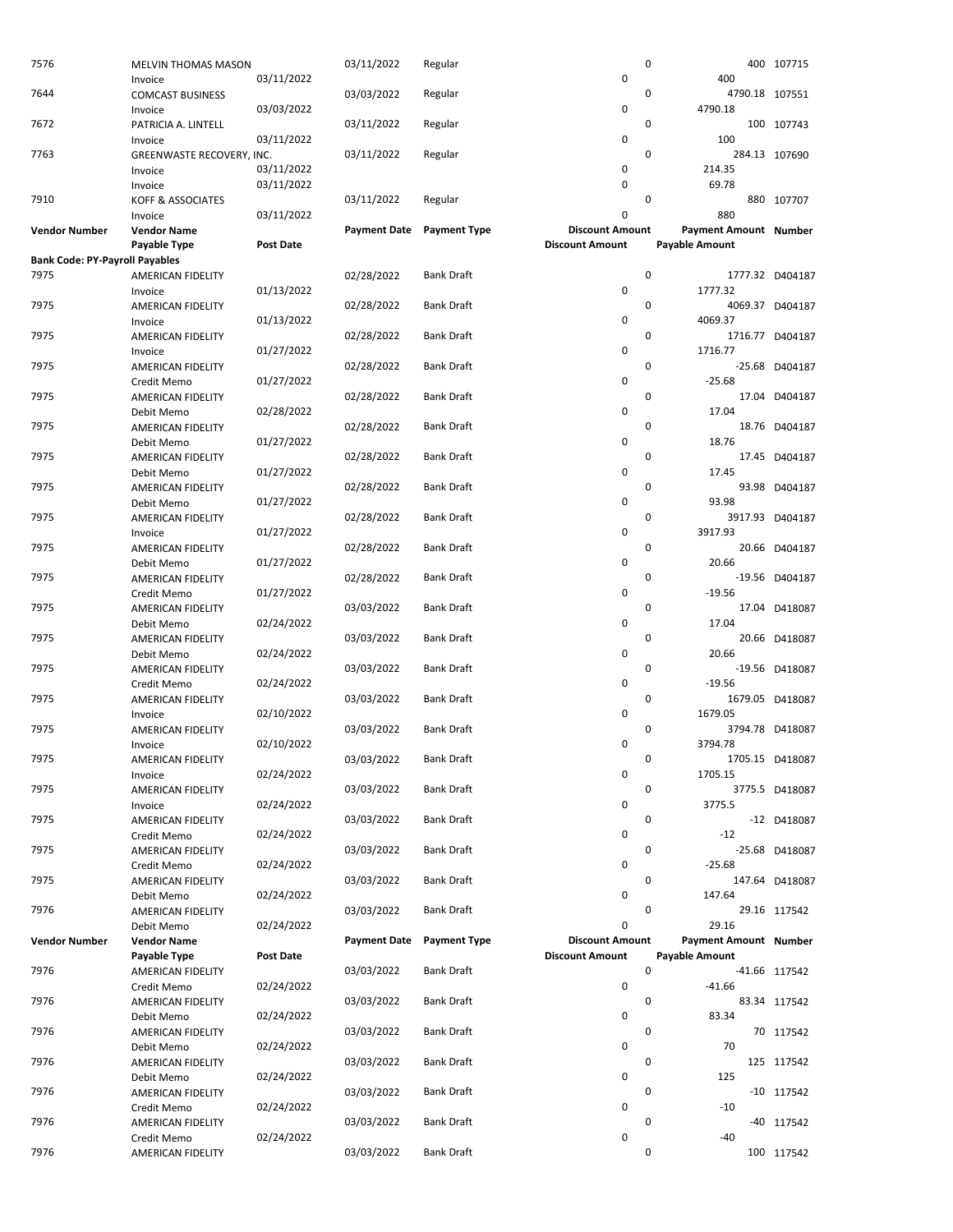| 0<br>7644<br>03/03/2022<br>4790.18 107551<br><b>COMCAST BUSINESS</b><br>Regular<br>0<br>4790.18<br>03/03/2022<br>Invoice<br>0<br>7672<br>100 107743<br>PATRICIA A. LINTELL<br>03/11/2022<br>Regular<br>03/11/2022<br>0<br>100<br>Invoice<br>$\mathbf 0$<br>7763<br>03/11/2022<br>Regular<br>284.13 107690<br>GREENWASTE RECOVERY, INC.<br>03/11/2022<br>0<br>214.35<br>Invoice<br>$\mathbf 0$<br>69.78<br>03/11/2022<br>Invoice<br>$\mathbf 0$<br>7910<br>03/11/2022<br>KOFF & ASSOCIATES<br>Regular<br>880<br>0<br>03/11/2022<br>Invoice<br>Payment Amount Number<br><b>Payment Date</b><br><b>Payment Type</b><br><b>Discount Amount</b><br><b>Vendor Number</b><br><b>Vendor Name</b><br>Payable Type<br>Post Date<br><b>Discount Amount</b><br><b>Payable Amount</b><br><b>Bank Code: PY-Payroll Payables</b><br>$\mathbf 0$<br>7975<br><b>Bank Draft</b><br>1777.32 D404187<br>02/28/2022<br>AMERICAN FIDELITY<br>$\mathbf 0$<br>01/13/2022<br>1777.32<br>Invoice<br>0<br>7975<br><b>Bank Draft</b><br>4069.37 D404187<br>02/28/2022<br>AMERICAN FIDELITY<br>0<br>4069.37<br>01/13/2022<br>Invoice<br>$\mathbf 0$<br>7975<br>02/28/2022<br><b>Bank Draft</b><br>1716.77 D404187<br>AMERICAN FIDELITY<br>0<br>1716.77<br>01/27/2022<br>Invoice<br>0<br>7975<br>02/28/2022<br><b>Bank Draft</b><br>-25.68 D404187<br>AMERICAN FIDELITY<br>0<br>$-25.68$<br>01/27/2022<br>Credit Memo<br>02/28/2022<br>0<br>7975<br><b>Bank Draft</b><br>17.04 D404187<br>AMERICAN FIDELITY<br>$\pmb{0}$<br>17.04<br>02/28/2022<br>Debit Memo<br>0<br>7975<br>02/28/2022<br><b>Bank Draft</b><br>18.76 D404187<br>AMERICAN FIDELITY<br>0<br>18.76<br>01/27/2022<br>Debit Memo<br>7975<br>$\mathbf 0$<br><b>Bank Draft</b><br>17.45 D404187<br>02/28/2022<br>AMERICAN FIDELITY<br>0<br>01/27/2022<br>17.45<br>Debit Memo<br>$\mathbf 0$<br>7975<br>02/28/2022<br>Bank Draft<br>93.98 D404187<br>AMERICAN FIDELITY<br>$\pmb{0}$<br>93.98<br>01/27/2022<br>Debit Memo<br>$\mathbf 0$<br>3917.93 D404187<br>7975<br>02/28/2022<br><b>Bank Draft</b><br>AMERICAN FIDELITY<br>0<br>3917.93<br>01/27/2022<br>Invoice<br>$\mathbf 0$<br>7975<br>02/28/2022<br><b>Bank Draft</b><br>20.66 D404187<br>AMERICAN FIDELITY<br>$\pmb{0}$<br>20.66<br>01/27/2022<br>Debit Memo<br>7975<br>02/28/2022<br>$\mathbf 0$<br>Bank Draft<br>AMERICAN FIDELITY<br>0<br>01/27/2022<br>$-19.56$<br>Credit Memo<br>$\mathbf 0$<br>7975<br>03/03/2022<br>Bank Draft<br>AMERICAN FIDELITY<br>0<br>17.04<br>02/24/2022<br>Debit Memo<br>0<br>7975<br>03/03/2022<br>Bank Draft<br>AMERICAN FIDELITY<br>$\mathbf 0$<br>20.66<br>02/24/2022<br>Debit Memo<br>$\mathbf 0$<br>7975<br>Bank Draft<br>03/03/2022<br>AMERICAN FIDELITY<br>$\pmb{0}$<br>$-19.56$<br>02/24/2022<br>Credit Memo<br>03/03/2022<br>$\mathbf 0$<br>7975<br>Bank Draft<br>1679.05 D418087<br>AMERICAN FIDELITY<br>$\mathbf 0$<br>1679.05<br>02/10/2022<br>Invoice<br>03/03/2022<br>7975<br><b>Bank Draft</b><br>0<br>3794.78 D418087<br>AMERICAN FIDELITY<br>0<br>3794.78<br>02/10/2022<br>Invoice<br>1705.15 D418087<br>7975<br>03/03/2022<br><b>Bank Draft</b><br>0<br>AMERICAN FIDELITY<br>02/24/2022<br>0<br>1705.15<br>Invoice<br>0<br>7975<br>AMERICAN FIDELITY<br>03/03/2022<br>Bank Draft<br>3775.5 D418087<br>$\pmb{0}$<br>3775.5<br>02/24/2022<br>Invoice<br>7975<br>03/03/2022<br><b>Bank Draft</b><br>0<br>AMERICAN FIDELITY<br>-12 D418087<br>0<br>$-12$<br>02/24/2022<br>Credit Memo<br>7975<br>03/03/2022<br>Bank Draft<br>0<br>-25.68 D418087<br>AMERICAN FIDELITY<br>0<br>$-25.68$<br>02/24/2022<br>Credit Memo<br>0<br>7975<br>03/03/2022<br><b>Bank Draft</b><br>147.64 D418087<br>AMERICAN FIDELITY<br>$\pmb{0}$<br>147.64<br>02/24/2022<br>Debit Memo<br>7976<br>03/03/2022<br>Bank Draft<br>0<br>29.16 117542<br>AMERICAN FIDELITY<br>0<br>29.16<br>02/24/2022<br>Debit Memo<br><b>Discount Amount</b><br>Payment Amount Number<br><b>Vendor Number</b><br><b>Payment Date</b><br><b>Payment Type</b><br><b>Vendor Name</b><br>Post Date<br><b>Payable Amount</b><br><b>Discount Amount</b><br>Payable Type<br>03/03/2022<br>Bank Draft<br>0<br>7976<br>-41.66 117542<br>AMERICAN FIDELITY<br>$\pmb{0}$<br>$-41.66$<br>02/24/2022<br>Credit Memo<br>03/03/2022<br>$\mathbf 0$<br>7976<br><b>Bank Draft</b><br>83.34 117542<br>AMERICAN FIDELITY<br>$\pmb{0}$<br>83.34<br>02/24/2022<br>Debit Memo<br>0<br>7976<br>Bank Draft<br>03/03/2022<br>AMERICAN FIDELITY<br>02/24/2022<br>0<br>70<br>Debit Memo<br>0<br>7976<br>03/03/2022<br><b>Bank Draft</b><br>125 117542<br>AMERICAN FIDELITY<br>0<br>125<br>02/24/2022<br>Debit Memo<br>03/03/2022<br>0<br>7976<br>Bank Draft<br>$-10$ 117542<br>AMERICAN FIDELITY<br>0<br>$-10$<br>02/24/2022<br>Credit Memo<br>03/03/2022<br>0<br>7976<br>Bank Draft<br>AMERICAN FIDELITY<br>02/24/2022<br>0<br>$-40$<br>Credit Memo<br>03/03/2022<br><b>Bank Draft</b><br>0<br>7976<br>100 117542<br>AMERICAN FIDELITY | 7576 | MELVIN THOMAS MASON |            | 03/11/2022 | Regular | 0 |     | 400 107715     |
|----------------------------------------------------------------------------------------------------------------------------------------------------------------------------------------------------------------------------------------------------------------------------------------------------------------------------------------------------------------------------------------------------------------------------------------------------------------------------------------------------------------------------------------------------------------------------------------------------------------------------------------------------------------------------------------------------------------------------------------------------------------------------------------------------------------------------------------------------------------------------------------------------------------------------------------------------------------------------------------------------------------------------------------------------------------------------------------------------------------------------------------------------------------------------------------------------------------------------------------------------------------------------------------------------------------------------------------------------------------------------------------------------------------------------------------------------------------------------------------------------------------------------------------------------------------------------------------------------------------------------------------------------------------------------------------------------------------------------------------------------------------------------------------------------------------------------------------------------------------------------------------------------------------------------------------------------------------------------------------------------------------------------------------------------------------------------------------------------------------------------------------------------------------------------------------------------------------------------------------------------------------------------------------------------------------------------------------------------------------------------------------------------------------------------------------------------------------------------------------------------------------------------------------------------------------------------------------------------------------------------------------------------------------------------------------------------------------------------------------------------------------------------------------------------------------------------------------------------------------------------------------------------------------------------------------------------------------------------------------------------------------------------------------------------------------------------------------------------------------------------------------------------------------------------------------------------------------------------------------------------------------------------------------------------------------------------------------------------------------------------------------------------------------------------------------------------------------------------------------------------------------------------------------------------------------------------------------------------------------------------------------------------------------------------------------------------------------------------------------------------------------------------------------------------------------------------------------------------------------------------------------------------------------------------------------------------------------------------------------------------------------------------------------------------------------------------------------------------------------------------------------------------------------------------------------------------------------------------------------------------------------------------------------------------------------------------------------------------------------------------------------------------------------------------------------------------------------------------------------------------------------------------------------------------------------------------------------------------------------------------------------------------------------------------------------------------------------------------------------------------------------------------------------------------------------------------------------------------------------------------------------------------|------|---------------------|------------|------------|---------|---|-----|----------------|
|                                                                                                                                                                                                                                                                                                                                                                                                                                                                                                                                                                                                                                                                                                                                                                                                                                                                                                                                                                                                                                                                                                                                                                                                                                                                                                                                                                                                                                                                                                                                                                                                                                                                                                                                                                                                                                                                                                                                                                                                                                                                                                                                                                                                                                                                                                                                                                                                                                                                                                                                                                                                                                                                                                                                                                                                                                                                                                                                                                                                                                                                                                                                                                                                                                                                                                                                                                                                                                                                                                                                                                                                                                                                                                                                                                                                                                                                                                                                                                                                                                                                                                                                                                                                                                                                                                                                                                                                                                                                                                                                                                                                                                                                                                                                                                                                                                                                                                    |      | Invoice             | 03/11/2022 |            |         | 0 | 400 |                |
|                                                                                                                                                                                                                                                                                                                                                                                                                                                                                                                                                                                                                                                                                                                                                                                                                                                                                                                                                                                                                                                                                                                                                                                                                                                                                                                                                                                                                                                                                                                                                                                                                                                                                                                                                                                                                                                                                                                                                                                                                                                                                                                                                                                                                                                                                                                                                                                                                                                                                                                                                                                                                                                                                                                                                                                                                                                                                                                                                                                                                                                                                                                                                                                                                                                                                                                                                                                                                                                                                                                                                                                                                                                                                                                                                                                                                                                                                                                                                                                                                                                                                                                                                                                                                                                                                                                                                                                                                                                                                                                                                                                                                                                                                                                                                                                                                                                                                                    |      |                     |            |            |         |   |     |                |
|                                                                                                                                                                                                                                                                                                                                                                                                                                                                                                                                                                                                                                                                                                                                                                                                                                                                                                                                                                                                                                                                                                                                                                                                                                                                                                                                                                                                                                                                                                                                                                                                                                                                                                                                                                                                                                                                                                                                                                                                                                                                                                                                                                                                                                                                                                                                                                                                                                                                                                                                                                                                                                                                                                                                                                                                                                                                                                                                                                                                                                                                                                                                                                                                                                                                                                                                                                                                                                                                                                                                                                                                                                                                                                                                                                                                                                                                                                                                                                                                                                                                                                                                                                                                                                                                                                                                                                                                                                                                                                                                                                                                                                                                                                                                                                                                                                                                                                    |      |                     |            |            |         |   |     |                |
|                                                                                                                                                                                                                                                                                                                                                                                                                                                                                                                                                                                                                                                                                                                                                                                                                                                                                                                                                                                                                                                                                                                                                                                                                                                                                                                                                                                                                                                                                                                                                                                                                                                                                                                                                                                                                                                                                                                                                                                                                                                                                                                                                                                                                                                                                                                                                                                                                                                                                                                                                                                                                                                                                                                                                                                                                                                                                                                                                                                                                                                                                                                                                                                                                                                                                                                                                                                                                                                                                                                                                                                                                                                                                                                                                                                                                                                                                                                                                                                                                                                                                                                                                                                                                                                                                                                                                                                                                                                                                                                                                                                                                                                                                                                                                                                                                                                                                                    |      |                     |            |            |         |   |     |                |
|                                                                                                                                                                                                                                                                                                                                                                                                                                                                                                                                                                                                                                                                                                                                                                                                                                                                                                                                                                                                                                                                                                                                                                                                                                                                                                                                                                                                                                                                                                                                                                                                                                                                                                                                                                                                                                                                                                                                                                                                                                                                                                                                                                                                                                                                                                                                                                                                                                                                                                                                                                                                                                                                                                                                                                                                                                                                                                                                                                                                                                                                                                                                                                                                                                                                                                                                                                                                                                                                                                                                                                                                                                                                                                                                                                                                                                                                                                                                                                                                                                                                                                                                                                                                                                                                                                                                                                                                                                                                                                                                                                                                                                                                                                                                                                                                                                                                                                    |      |                     |            |            |         |   |     |                |
|                                                                                                                                                                                                                                                                                                                                                                                                                                                                                                                                                                                                                                                                                                                                                                                                                                                                                                                                                                                                                                                                                                                                                                                                                                                                                                                                                                                                                                                                                                                                                                                                                                                                                                                                                                                                                                                                                                                                                                                                                                                                                                                                                                                                                                                                                                                                                                                                                                                                                                                                                                                                                                                                                                                                                                                                                                                                                                                                                                                                                                                                                                                                                                                                                                                                                                                                                                                                                                                                                                                                                                                                                                                                                                                                                                                                                                                                                                                                                                                                                                                                                                                                                                                                                                                                                                                                                                                                                                                                                                                                                                                                                                                                                                                                                                                                                                                                                                    |      |                     |            |            |         |   |     |                |
|                                                                                                                                                                                                                                                                                                                                                                                                                                                                                                                                                                                                                                                                                                                                                                                                                                                                                                                                                                                                                                                                                                                                                                                                                                                                                                                                                                                                                                                                                                                                                                                                                                                                                                                                                                                                                                                                                                                                                                                                                                                                                                                                                                                                                                                                                                                                                                                                                                                                                                                                                                                                                                                                                                                                                                                                                                                                                                                                                                                                                                                                                                                                                                                                                                                                                                                                                                                                                                                                                                                                                                                                                                                                                                                                                                                                                                                                                                                                                                                                                                                                                                                                                                                                                                                                                                                                                                                                                                                                                                                                                                                                                                                                                                                                                                                                                                                                                                    |      |                     |            |            |         |   |     |                |
|                                                                                                                                                                                                                                                                                                                                                                                                                                                                                                                                                                                                                                                                                                                                                                                                                                                                                                                                                                                                                                                                                                                                                                                                                                                                                                                                                                                                                                                                                                                                                                                                                                                                                                                                                                                                                                                                                                                                                                                                                                                                                                                                                                                                                                                                                                                                                                                                                                                                                                                                                                                                                                                                                                                                                                                                                                                                                                                                                                                                                                                                                                                                                                                                                                                                                                                                                                                                                                                                                                                                                                                                                                                                                                                                                                                                                                                                                                                                                                                                                                                                                                                                                                                                                                                                                                                                                                                                                                                                                                                                                                                                                                                                                                                                                                                                                                                                                                    |      |                     |            |            |         |   |     | 880 107707     |
|                                                                                                                                                                                                                                                                                                                                                                                                                                                                                                                                                                                                                                                                                                                                                                                                                                                                                                                                                                                                                                                                                                                                                                                                                                                                                                                                                                                                                                                                                                                                                                                                                                                                                                                                                                                                                                                                                                                                                                                                                                                                                                                                                                                                                                                                                                                                                                                                                                                                                                                                                                                                                                                                                                                                                                                                                                                                                                                                                                                                                                                                                                                                                                                                                                                                                                                                                                                                                                                                                                                                                                                                                                                                                                                                                                                                                                                                                                                                                                                                                                                                                                                                                                                                                                                                                                                                                                                                                                                                                                                                                                                                                                                                                                                                                                                                                                                                                                    |      |                     |            |            |         |   |     |                |
|                                                                                                                                                                                                                                                                                                                                                                                                                                                                                                                                                                                                                                                                                                                                                                                                                                                                                                                                                                                                                                                                                                                                                                                                                                                                                                                                                                                                                                                                                                                                                                                                                                                                                                                                                                                                                                                                                                                                                                                                                                                                                                                                                                                                                                                                                                                                                                                                                                                                                                                                                                                                                                                                                                                                                                                                                                                                                                                                                                                                                                                                                                                                                                                                                                                                                                                                                                                                                                                                                                                                                                                                                                                                                                                                                                                                                                                                                                                                                                                                                                                                                                                                                                                                                                                                                                                                                                                                                                                                                                                                                                                                                                                                                                                                                                                                                                                                                                    |      |                     |            |            |         |   |     |                |
|                                                                                                                                                                                                                                                                                                                                                                                                                                                                                                                                                                                                                                                                                                                                                                                                                                                                                                                                                                                                                                                                                                                                                                                                                                                                                                                                                                                                                                                                                                                                                                                                                                                                                                                                                                                                                                                                                                                                                                                                                                                                                                                                                                                                                                                                                                                                                                                                                                                                                                                                                                                                                                                                                                                                                                                                                                                                                                                                                                                                                                                                                                                                                                                                                                                                                                                                                                                                                                                                                                                                                                                                                                                                                                                                                                                                                                                                                                                                                                                                                                                                                                                                                                                                                                                                                                                                                                                                                                                                                                                                                                                                                                                                                                                                                                                                                                                                                                    |      |                     |            |            |         |   |     |                |
|                                                                                                                                                                                                                                                                                                                                                                                                                                                                                                                                                                                                                                                                                                                                                                                                                                                                                                                                                                                                                                                                                                                                                                                                                                                                                                                                                                                                                                                                                                                                                                                                                                                                                                                                                                                                                                                                                                                                                                                                                                                                                                                                                                                                                                                                                                                                                                                                                                                                                                                                                                                                                                                                                                                                                                                                                                                                                                                                                                                                                                                                                                                                                                                                                                                                                                                                                                                                                                                                                                                                                                                                                                                                                                                                                                                                                                                                                                                                                                                                                                                                                                                                                                                                                                                                                                                                                                                                                                                                                                                                                                                                                                                                                                                                                                                                                                                                                                    |      |                     |            |            |         |   |     |                |
|                                                                                                                                                                                                                                                                                                                                                                                                                                                                                                                                                                                                                                                                                                                                                                                                                                                                                                                                                                                                                                                                                                                                                                                                                                                                                                                                                                                                                                                                                                                                                                                                                                                                                                                                                                                                                                                                                                                                                                                                                                                                                                                                                                                                                                                                                                                                                                                                                                                                                                                                                                                                                                                                                                                                                                                                                                                                                                                                                                                                                                                                                                                                                                                                                                                                                                                                                                                                                                                                                                                                                                                                                                                                                                                                                                                                                                                                                                                                                                                                                                                                                                                                                                                                                                                                                                                                                                                                                                                                                                                                                                                                                                                                                                                                                                                                                                                                                                    |      |                     |            |            |         |   |     |                |
|                                                                                                                                                                                                                                                                                                                                                                                                                                                                                                                                                                                                                                                                                                                                                                                                                                                                                                                                                                                                                                                                                                                                                                                                                                                                                                                                                                                                                                                                                                                                                                                                                                                                                                                                                                                                                                                                                                                                                                                                                                                                                                                                                                                                                                                                                                                                                                                                                                                                                                                                                                                                                                                                                                                                                                                                                                                                                                                                                                                                                                                                                                                                                                                                                                                                                                                                                                                                                                                                                                                                                                                                                                                                                                                                                                                                                                                                                                                                                                                                                                                                                                                                                                                                                                                                                                                                                                                                                                                                                                                                                                                                                                                                                                                                                                                                                                                                                                    |      |                     |            |            |         |   |     |                |
|                                                                                                                                                                                                                                                                                                                                                                                                                                                                                                                                                                                                                                                                                                                                                                                                                                                                                                                                                                                                                                                                                                                                                                                                                                                                                                                                                                                                                                                                                                                                                                                                                                                                                                                                                                                                                                                                                                                                                                                                                                                                                                                                                                                                                                                                                                                                                                                                                                                                                                                                                                                                                                                                                                                                                                                                                                                                                                                                                                                                                                                                                                                                                                                                                                                                                                                                                                                                                                                                                                                                                                                                                                                                                                                                                                                                                                                                                                                                                                                                                                                                                                                                                                                                                                                                                                                                                                                                                                                                                                                                                                                                                                                                                                                                                                                                                                                                                                    |      |                     |            |            |         |   |     |                |
|                                                                                                                                                                                                                                                                                                                                                                                                                                                                                                                                                                                                                                                                                                                                                                                                                                                                                                                                                                                                                                                                                                                                                                                                                                                                                                                                                                                                                                                                                                                                                                                                                                                                                                                                                                                                                                                                                                                                                                                                                                                                                                                                                                                                                                                                                                                                                                                                                                                                                                                                                                                                                                                                                                                                                                                                                                                                                                                                                                                                                                                                                                                                                                                                                                                                                                                                                                                                                                                                                                                                                                                                                                                                                                                                                                                                                                                                                                                                                                                                                                                                                                                                                                                                                                                                                                                                                                                                                                                                                                                                                                                                                                                                                                                                                                                                                                                                                                    |      |                     |            |            |         |   |     |                |
|                                                                                                                                                                                                                                                                                                                                                                                                                                                                                                                                                                                                                                                                                                                                                                                                                                                                                                                                                                                                                                                                                                                                                                                                                                                                                                                                                                                                                                                                                                                                                                                                                                                                                                                                                                                                                                                                                                                                                                                                                                                                                                                                                                                                                                                                                                                                                                                                                                                                                                                                                                                                                                                                                                                                                                                                                                                                                                                                                                                                                                                                                                                                                                                                                                                                                                                                                                                                                                                                                                                                                                                                                                                                                                                                                                                                                                                                                                                                                                                                                                                                                                                                                                                                                                                                                                                                                                                                                                                                                                                                                                                                                                                                                                                                                                                                                                                                                                    |      |                     |            |            |         |   |     |                |
|                                                                                                                                                                                                                                                                                                                                                                                                                                                                                                                                                                                                                                                                                                                                                                                                                                                                                                                                                                                                                                                                                                                                                                                                                                                                                                                                                                                                                                                                                                                                                                                                                                                                                                                                                                                                                                                                                                                                                                                                                                                                                                                                                                                                                                                                                                                                                                                                                                                                                                                                                                                                                                                                                                                                                                                                                                                                                                                                                                                                                                                                                                                                                                                                                                                                                                                                                                                                                                                                                                                                                                                                                                                                                                                                                                                                                                                                                                                                                                                                                                                                                                                                                                                                                                                                                                                                                                                                                                                                                                                                                                                                                                                                                                                                                                                                                                                                                                    |      |                     |            |            |         |   |     |                |
|                                                                                                                                                                                                                                                                                                                                                                                                                                                                                                                                                                                                                                                                                                                                                                                                                                                                                                                                                                                                                                                                                                                                                                                                                                                                                                                                                                                                                                                                                                                                                                                                                                                                                                                                                                                                                                                                                                                                                                                                                                                                                                                                                                                                                                                                                                                                                                                                                                                                                                                                                                                                                                                                                                                                                                                                                                                                                                                                                                                                                                                                                                                                                                                                                                                                                                                                                                                                                                                                                                                                                                                                                                                                                                                                                                                                                                                                                                                                                                                                                                                                                                                                                                                                                                                                                                                                                                                                                                                                                                                                                                                                                                                                                                                                                                                                                                                                                                    |      |                     |            |            |         |   |     |                |
|                                                                                                                                                                                                                                                                                                                                                                                                                                                                                                                                                                                                                                                                                                                                                                                                                                                                                                                                                                                                                                                                                                                                                                                                                                                                                                                                                                                                                                                                                                                                                                                                                                                                                                                                                                                                                                                                                                                                                                                                                                                                                                                                                                                                                                                                                                                                                                                                                                                                                                                                                                                                                                                                                                                                                                                                                                                                                                                                                                                                                                                                                                                                                                                                                                                                                                                                                                                                                                                                                                                                                                                                                                                                                                                                                                                                                                                                                                                                                                                                                                                                                                                                                                                                                                                                                                                                                                                                                                                                                                                                                                                                                                                                                                                                                                                                                                                                                                    |      |                     |            |            |         |   |     |                |
|                                                                                                                                                                                                                                                                                                                                                                                                                                                                                                                                                                                                                                                                                                                                                                                                                                                                                                                                                                                                                                                                                                                                                                                                                                                                                                                                                                                                                                                                                                                                                                                                                                                                                                                                                                                                                                                                                                                                                                                                                                                                                                                                                                                                                                                                                                                                                                                                                                                                                                                                                                                                                                                                                                                                                                                                                                                                                                                                                                                                                                                                                                                                                                                                                                                                                                                                                                                                                                                                                                                                                                                                                                                                                                                                                                                                                                                                                                                                                                                                                                                                                                                                                                                                                                                                                                                                                                                                                                                                                                                                                                                                                                                                                                                                                                                                                                                                                                    |      |                     |            |            |         |   |     |                |
|                                                                                                                                                                                                                                                                                                                                                                                                                                                                                                                                                                                                                                                                                                                                                                                                                                                                                                                                                                                                                                                                                                                                                                                                                                                                                                                                                                                                                                                                                                                                                                                                                                                                                                                                                                                                                                                                                                                                                                                                                                                                                                                                                                                                                                                                                                                                                                                                                                                                                                                                                                                                                                                                                                                                                                                                                                                                                                                                                                                                                                                                                                                                                                                                                                                                                                                                                                                                                                                                                                                                                                                                                                                                                                                                                                                                                                                                                                                                                                                                                                                                                                                                                                                                                                                                                                                                                                                                                                                                                                                                                                                                                                                                                                                                                                                                                                                                                                    |      |                     |            |            |         |   |     |                |
|                                                                                                                                                                                                                                                                                                                                                                                                                                                                                                                                                                                                                                                                                                                                                                                                                                                                                                                                                                                                                                                                                                                                                                                                                                                                                                                                                                                                                                                                                                                                                                                                                                                                                                                                                                                                                                                                                                                                                                                                                                                                                                                                                                                                                                                                                                                                                                                                                                                                                                                                                                                                                                                                                                                                                                                                                                                                                                                                                                                                                                                                                                                                                                                                                                                                                                                                                                                                                                                                                                                                                                                                                                                                                                                                                                                                                                                                                                                                                                                                                                                                                                                                                                                                                                                                                                                                                                                                                                                                                                                                                                                                                                                                                                                                                                                                                                                                                                    |      |                     |            |            |         |   |     |                |
|                                                                                                                                                                                                                                                                                                                                                                                                                                                                                                                                                                                                                                                                                                                                                                                                                                                                                                                                                                                                                                                                                                                                                                                                                                                                                                                                                                                                                                                                                                                                                                                                                                                                                                                                                                                                                                                                                                                                                                                                                                                                                                                                                                                                                                                                                                                                                                                                                                                                                                                                                                                                                                                                                                                                                                                                                                                                                                                                                                                                                                                                                                                                                                                                                                                                                                                                                                                                                                                                                                                                                                                                                                                                                                                                                                                                                                                                                                                                                                                                                                                                                                                                                                                                                                                                                                                                                                                                                                                                                                                                                                                                                                                                                                                                                                                                                                                                                                    |      |                     |            |            |         |   |     |                |
|                                                                                                                                                                                                                                                                                                                                                                                                                                                                                                                                                                                                                                                                                                                                                                                                                                                                                                                                                                                                                                                                                                                                                                                                                                                                                                                                                                                                                                                                                                                                                                                                                                                                                                                                                                                                                                                                                                                                                                                                                                                                                                                                                                                                                                                                                                                                                                                                                                                                                                                                                                                                                                                                                                                                                                                                                                                                                                                                                                                                                                                                                                                                                                                                                                                                                                                                                                                                                                                                                                                                                                                                                                                                                                                                                                                                                                                                                                                                                                                                                                                                                                                                                                                                                                                                                                                                                                                                                                                                                                                                                                                                                                                                                                                                                                                                                                                                                                    |      |                     |            |            |         |   |     |                |
|                                                                                                                                                                                                                                                                                                                                                                                                                                                                                                                                                                                                                                                                                                                                                                                                                                                                                                                                                                                                                                                                                                                                                                                                                                                                                                                                                                                                                                                                                                                                                                                                                                                                                                                                                                                                                                                                                                                                                                                                                                                                                                                                                                                                                                                                                                                                                                                                                                                                                                                                                                                                                                                                                                                                                                                                                                                                                                                                                                                                                                                                                                                                                                                                                                                                                                                                                                                                                                                                                                                                                                                                                                                                                                                                                                                                                                                                                                                                                                                                                                                                                                                                                                                                                                                                                                                                                                                                                                                                                                                                                                                                                                                                                                                                                                                                                                                                                                    |      |                     |            |            |         |   |     |                |
|                                                                                                                                                                                                                                                                                                                                                                                                                                                                                                                                                                                                                                                                                                                                                                                                                                                                                                                                                                                                                                                                                                                                                                                                                                                                                                                                                                                                                                                                                                                                                                                                                                                                                                                                                                                                                                                                                                                                                                                                                                                                                                                                                                                                                                                                                                                                                                                                                                                                                                                                                                                                                                                                                                                                                                                                                                                                                                                                                                                                                                                                                                                                                                                                                                                                                                                                                                                                                                                                                                                                                                                                                                                                                                                                                                                                                                                                                                                                                                                                                                                                                                                                                                                                                                                                                                                                                                                                                                                                                                                                                                                                                                                                                                                                                                                                                                                                                                    |      |                     |            |            |         |   |     |                |
|                                                                                                                                                                                                                                                                                                                                                                                                                                                                                                                                                                                                                                                                                                                                                                                                                                                                                                                                                                                                                                                                                                                                                                                                                                                                                                                                                                                                                                                                                                                                                                                                                                                                                                                                                                                                                                                                                                                                                                                                                                                                                                                                                                                                                                                                                                                                                                                                                                                                                                                                                                                                                                                                                                                                                                                                                                                                                                                                                                                                                                                                                                                                                                                                                                                                                                                                                                                                                                                                                                                                                                                                                                                                                                                                                                                                                                                                                                                                                                                                                                                                                                                                                                                                                                                                                                                                                                                                                                                                                                                                                                                                                                                                                                                                                                                                                                                                                                    |      |                     |            |            |         |   |     |                |
|                                                                                                                                                                                                                                                                                                                                                                                                                                                                                                                                                                                                                                                                                                                                                                                                                                                                                                                                                                                                                                                                                                                                                                                                                                                                                                                                                                                                                                                                                                                                                                                                                                                                                                                                                                                                                                                                                                                                                                                                                                                                                                                                                                                                                                                                                                                                                                                                                                                                                                                                                                                                                                                                                                                                                                                                                                                                                                                                                                                                                                                                                                                                                                                                                                                                                                                                                                                                                                                                                                                                                                                                                                                                                                                                                                                                                                                                                                                                                                                                                                                                                                                                                                                                                                                                                                                                                                                                                                                                                                                                                                                                                                                                                                                                                                                                                                                                                                    |      |                     |            |            |         |   |     |                |
|                                                                                                                                                                                                                                                                                                                                                                                                                                                                                                                                                                                                                                                                                                                                                                                                                                                                                                                                                                                                                                                                                                                                                                                                                                                                                                                                                                                                                                                                                                                                                                                                                                                                                                                                                                                                                                                                                                                                                                                                                                                                                                                                                                                                                                                                                                                                                                                                                                                                                                                                                                                                                                                                                                                                                                                                                                                                                                                                                                                                                                                                                                                                                                                                                                                                                                                                                                                                                                                                                                                                                                                                                                                                                                                                                                                                                                                                                                                                                                                                                                                                                                                                                                                                                                                                                                                                                                                                                                                                                                                                                                                                                                                                                                                                                                                                                                                                                                    |      |                     |            |            |         |   |     |                |
|                                                                                                                                                                                                                                                                                                                                                                                                                                                                                                                                                                                                                                                                                                                                                                                                                                                                                                                                                                                                                                                                                                                                                                                                                                                                                                                                                                                                                                                                                                                                                                                                                                                                                                                                                                                                                                                                                                                                                                                                                                                                                                                                                                                                                                                                                                                                                                                                                                                                                                                                                                                                                                                                                                                                                                                                                                                                                                                                                                                                                                                                                                                                                                                                                                                                                                                                                                                                                                                                                                                                                                                                                                                                                                                                                                                                                                                                                                                                                                                                                                                                                                                                                                                                                                                                                                                                                                                                                                                                                                                                                                                                                                                                                                                                                                                                                                                                                                    |      |                     |            |            |         |   |     |                |
|                                                                                                                                                                                                                                                                                                                                                                                                                                                                                                                                                                                                                                                                                                                                                                                                                                                                                                                                                                                                                                                                                                                                                                                                                                                                                                                                                                                                                                                                                                                                                                                                                                                                                                                                                                                                                                                                                                                                                                                                                                                                                                                                                                                                                                                                                                                                                                                                                                                                                                                                                                                                                                                                                                                                                                                                                                                                                                                                                                                                                                                                                                                                                                                                                                                                                                                                                                                                                                                                                                                                                                                                                                                                                                                                                                                                                                                                                                                                                                                                                                                                                                                                                                                                                                                                                                                                                                                                                                                                                                                                                                                                                                                                                                                                                                                                                                                                                                    |      |                     |            |            |         |   |     | -19.56 D404187 |
|                                                                                                                                                                                                                                                                                                                                                                                                                                                                                                                                                                                                                                                                                                                                                                                                                                                                                                                                                                                                                                                                                                                                                                                                                                                                                                                                                                                                                                                                                                                                                                                                                                                                                                                                                                                                                                                                                                                                                                                                                                                                                                                                                                                                                                                                                                                                                                                                                                                                                                                                                                                                                                                                                                                                                                                                                                                                                                                                                                                                                                                                                                                                                                                                                                                                                                                                                                                                                                                                                                                                                                                                                                                                                                                                                                                                                                                                                                                                                                                                                                                                                                                                                                                                                                                                                                                                                                                                                                                                                                                                                                                                                                                                                                                                                                                                                                                                                                    |      |                     |            |            |         |   |     |                |
|                                                                                                                                                                                                                                                                                                                                                                                                                                                                                                                                                                                                                                                                                                                                                                                                                                                                                                                                                                                                                                                                                                                                                                                                                                                                                                                                                                                                                                                                                                                                                                                                                                                                                                                                                                                                                                                                                                                                                                                                                                                                                                                                                                                                                                                                                                                                                                                                                                                                                                                                                                                                                                                                                                                                                                                                                                                                                                                                                                                                                                                                                                                                                                                                                                                                                                                                                                                                                                                                                                                                                                                                                                                                                                                                                                                                                                                                                                                                                                                                                                                                                                                                                                                                                                                                                                                                                                                                                                                                                                                                                                                                                                                                                                                                                                                                                                                                                                    |      |                     |            |            |         |   |     | 17.04 D418087  |
|                                                                                                                                                                                                                                                                                                                                                                                                                                                                                                                                                                                                                                                                                                                                                                                                                                                                                                                                                                                                                                                                                                                                                                                                                                                                                                                                                                                                                                                                                                                                                                                                                                                                                                                                                                                                                                                                                                                                                                                                                                                                                                                                                                                                                                                                                                                                                                                                                                                                                                                                                                                                                                                                                                                                                                                                                                                                                                                                                                                                                                                                                                                                                                                                                                                                                                                                                                                                                                                                                                                                                                                                                                                                                                                                                                                                                                                                                                                                                                                                                                                                                                                                                                                                                                                                                                                                                                                                                                                                                                                                                                                                                                                                                                                                                                                                                                                                                                    |      |                     |            |            |         |   |     |                |
|                                                                                                                                                                                                                                                                                                                                                                                                                                                                                                                                                                                                                                                                                                                                                                                                                                                                                                                                                                                                                                                                                                                                                                                                                                                                                                                                                                                                                                                                                                                                                                                                                                                                                                                                                                                                                                                                                                                                                                                                                                                                                                                                                                                                                                                                                                                                                                                                                                                                                                                                                                                                                                                                                                                                                                                                                                                                                                                                                                                                                                                                                                                                                                                                                                                                                                                                                                                                                                                                                                                                                                                                                                                                                                                                                                                                                                                                                                                                                                                                                                                                                                                                                                                                                                                                                                                                                                                                                                                                                                                                                                                                                                                                                                                                                                                                                                                                                                    |      |                     |            |            |         |   |     | 20.66 D418087  |
|                                                                                                                                                                                                                                                                                                                                                                                                                                                                                                                                                                                                                                                                                                                                                                                                                                                                                                                                                                                                                                                                                                                                                                                                                                                                                                                                                                                                                                                                                                                                                                                                                                                                                                                                                                                                                                                                                                                                                                                                                                                                                                                                                                                                                                                                                                                                                                                                                                                                                                                                                                                                                                                                                                                                                                                                                                                                                                                                                                                                                                                                                                                                                                                                                                                                                                                                                                                                                                                                                                                                                                                                                                                                                                                                                                                                                                                                                                                                                                                                                                                                                                                                                                                                                                                                                                                                                                                                                                                                                                                                                                                                                                                                                                                                                                                                                                                                                                    |      |                     |            |            |         |   |     |                |
|                                                                                                                                                                                                                                                                                                                                                                                                                                                                                                                                                                                                                                                                                                                                                                                                                                                                                                                                                                                                                                                                                                                                                                                                                                                                                                                                                                                                                                                                                                                                                                                                                                                                                                                                                                                                                                                                                                                                                                                                                                                                                                                                                                                                                                                                                                                                                                                                                                                                                                                                                                                                                                                                                                                                                                                                                                                                                                                                                                                                                                                                                                                                                                                                                                                                                                                                                                                                                                                                                                                                                                                                                                                                                                                                                                                                                                                                                                                                                                                                                                                                                                                                                                                                                                                                                                                                                                                                                                                                                                                                                                                                                                                                                                                                                                                                                                                                                                    |      |                     |            |            |         |   |     | -19.56 D418087 |
|                                                                                                                                                                                                                                                                                                                                                                                                                                                                                                                                                                                                                                                                                                                                                                                                                                                                                                                                                                                                                                                                                                                                                                                                                                                                                                                                                                                                                                                                                                                                                                                                                                                                                                                                                                                                                                                                                                                                                                                                                                                                                                                                                                                                                                                                                                                                                                                                                                                                                                                                                                                                                                                                                                                                                                                                                                                                                                                                                                                                                                                                                                                                                                                                                                                                                                                                                                                                                                                                                                                                                                                                                                                                                                                                                                                                                                                                                                                                                                                                                                                                                                                                                                                                                                                                                                                                                                                                                                                                                                                                                                                                                                                                                                                                                                                                                                                                                                    |      |                     |            |            |         |   |     |                |
|                                                                                                                                                                                                                                                                                                                                                                                                                                                                                                                                                                                                                                                                                                                                                                                                                                                                                                                                                                                                                                                                                                                                                                                                                                                                                                                                                                                                                                                                                                                                                                                                                                                                                                                                                                                                                                                                                                                                                                                                                                                                                                                                                                                                                                                                                                                                                                                                                                                                                                                                                                                                                                                                                                                                                                                                                                                                                                                                                                                                                                                                                                                                                                                                                                                                                                                                                                                                                                                                                                                                                                                                                                                                                                                                                                                                                                                                                                                                                                                                                                                                                                                                                                                                                                                                                                                                                                                                                                                                                                                                                                                                                                                                                                                                                                                                                                                                                                    |      |                     |            |            |         |   |     |                |
|                                                                                                                                                                                                                                                                                                                                                                                                                                                                                                                                                                                                                                                                                                                                                                                                                                                                                                                                                                                                                                                                                                                                                                                                                                                                                                                                                                                                                                                                                                                                                                                                                                                                                                                                                                                                                                                                                                                                                                                                                                                                                                                                                                                                                                                                                                                                                                                                                                                                                                                                                                                                                                                                                                                                                                                                                                                                                                                                                                                                                                                                                                                                                                                                                                                                                                                                                                                                                                                                                                                                                                                                                                                                                                                                                                                                                                                                                                                                                                                                                                                                                                                                                                                                                                                                                                                                                                                                                                                                                                                                                                                                                                                                                                                                                                                                                                                                                                    |      |                     |            |            |         |   |     |                |
|                                                                                                                                                                                                                                                                                                                                                                                                                                                                                                                                                                                                                                                                                                                                                                                                                                                                                                                                                                                                                                                                                                                                                                                                                                                                                                                                                                                                                                                                                                                                                                                                                                                                                                                                                                                                                                                                                                                                                                                                                                                                                                                                                                                                                                                                                                                                                                                                                                                                                                                                                                                                                                                                                                                                                                                                                                                                                                                                                                                                                                                                                                                                                                                                                                                                                                                                                                                                                                                                                                                                                                                                                                                                                                                                                                                                                                                                                                                                                                                                                                                                                                                                                                                                                                                                                                                                                                                                                                                                                                                                                                                                                                                                                                                                                                                                                                                                                                    |      |                     |            |            |         |   |     |                |
|                                                                                                                                                                                                                                                                                                                                                                                                                                                                                                                                                                                                                                                                                                                                                                                                                                                                                                                                                                                                                                                                                                                                                                                                                                                                                                                                                                                                                                                                                                                                                                                                                                                                                                                                                                                                                                                                                                                                                                                                                                                                                                                                                                                                                                                                                                                                                                                                                                                                                                                                                                                                                                                                                                                                                                                                                                                                                                                                                                                                                                                                                                                                                                                                                                                                                                                                                                                                                                                                                                                                                                                                                                                                                                                                                                                                                                                                                                                                                                                                                                                                                                                                                                                                                                                                                                                                                                                                                                                                                                                                                                                                                                                                                                                                                                                                                                                                                                    |      |                     |            |            |         |   |     |                |
|                                                                                                                                                                                                                                                                                                                                                                                                                                                                                                                                                                                                                                                                                                                                                                                                                                                                                                                                                                                                                                                                                                                                                                                                                                                                                                                                                                                                                                                                                                                                                                                                                                                                                                                                                                                                                                                                                                                                                                                                                                                                                                                                                                                                                                                                                                                                                                                                                                                                                                                                                                                                                                                                                                                                                                                                                                                                                                                                                                                                                                                                                                                                                                                                                                                                                                                                                                                                                                                                                                                                                                                                                                                                                                                                                                                                                                                                                                                                                                                                                                                                                                                                                                                                                                                                                                                                                                                                                                                                                                                                                                                                                                                                                                                                                                                                                                                                                                    |      |                     |            |            |         |   |     |                |
|                                                                                                                                                                                                                                                                                                                                                                                                                                                                                                                                                                                                                                                                                                                                                                                                                                                                                                                                                                                                                                                                                                                                                                                                                                                                                                                                                                                                                                                                                                                                                                                                                                                                                                                                                                                                                                                                                                                                                                                                                                                                                                                                                                                                                                                                                                                                                                                                                                                                                                                                                                                                                                                                                                                                                                                                                                                                                                                                                                                                                                                                                                                                                                                                                                                                                                                                                                                                                                                                                                                                                                                                                                                                                                                                                                                                                                                                                                                                                                                                                                                                                                                                                                                                                                                                                                                                                                                                                                                                                                                                                                                                                                                                                                                                                                                                                                                                                                    |      |                     |            |            |         |   |     |                |
|                                                                                                                                                                                                                                                                                                                                                                                                                                                                                                                                                                                                                                                                                                                                                                                                                                                                                                                                                                                                                                                                                                                                                                                                                                                                                                                                                                                                                                                                                                                                                                                                                                                                                                                                                                                                                                                                                                                                                                                                                                                                                                                                                                                                                                                                                                                                                                                                                                                                                                                                                                                                                                                                                                                                                                                                                                                                                                                                                                                                                                                                                                                                                                                                                                                                                                                                                                                                                                                                                                                                                                                                                                                                                                                                                                                                                                                                                                                                                                                                                                                                                                                                                                                                                                                                                                                                                                                                                                                                                                                                                                                                                                                                                                                                                                                                                                                                                                    |      |                     |            |            |         |   |     |                |
|                                                                                                                                                                                                                                                                                                                                                                                                                                                                                                                                                                                                                                                                                                                                                                                                                                                                                                                                                                                                                                                                                                                                                                                                                                                                                                                                                                                                                                                                                                                                                                                                                                                                                                                                                                                                                                                                                                                                                                                                                                                                                                                                                                                                                                                                                                                                                                                                                                                                                                                                                                                                                                                                                                                                                                                                                                                                                                                                                                                                                                                                                                                                                                                                                                                                                                                                                                                                                                                                                                                                                                                                                                                                                                                                                                                                                                                                                                                                                                                                                                                                                                                                                                                                                                                                                                                                                                                                                                                                                                                                                                                                                                                                                                                                                                                                                                                                                                    |      |                     |            |            |         |   |     |                |
|                                                                                                                                                                                                                                                                                                                                                                                                                                                                                                                                                                                                                                                                                                                                                                                                                                                                                                                                                                                                                                                                                                                                                                                                                                                                                                                                                                                                                                                                                                                                                                                                                                                                                                                                                                                                                                                                                                                                                                                                                                                                                                                                                                                                                                                                                                                                                                                                                                                                                                                                                                                                                                                                                                                                                                                                                                                                                                                                                                                                                                                                                                                                                                                                                                                                                                                                                                                                                                                                                                                                                                                                                                                                                                                                                                                                                                                                                                                                                                                                                                                                                                                                                                                                                                                                                                                                                                                                                                                                                                                                                                                                                                                                                                                                                                                                                                                                                                    |      |                     |            |            |         |   |     |                |
|                                                                                                                                                                                                                                                                                                                                                                                                                                                                                                                                                                                                                                                                                                                                                                                                                                                                                                                                                                                                                                                                                                                                                                                                                                                                                                                                                                                                                                                                                                                                                                                                                                                                                                                                                                                                                                                                                                                                                                                                                                                                                                                                                                                                                                                                                                                                                                                                                                                                                                                                                                                                                                                                                                                                                                                                                                                                                                                                                                                                                                                                                                                                                                                                                                                                                                                                                                                                                                                                                                                                                                                                                                                                                                                                                                                                                                                                                                                                                                                                                                                                                                                                                                                                                                                                                                                                                                                                                                                                                                                                                                                                                                                                                                                                                                                                                                                                                                    |      |                     |            |            |         |   |     |                |
|                                                                                                                                                                                                                                                                                                                                                                                                                                                                                                                                                                                                                                                                                                                                                                                                                                                                                                                                                                                                                                                                                                                                                                                                                                                                                                                                                                                                                                                                                                                                                                                                                                                                                                                                                                                                                                                                                                                                                                                                                                                                                                                                                                                                                                                                                                                                                                                                                                                                                                                                                                                                                                                                                                                                                                                                                                                                                                                                                                                                                                                                                                                                                                                                                                                                                                                                                                                                                                                                                                                                                                                                                                                                                                                                                                                                                                                                                                                                                                                                                                                                                                                                                                                                                                                                                                                                                                                                                                                                                                                                                                                                                                                                                                                                                                                                                                                                                                    |      |                     |            |            |         |   |     |                |
|                                                                                                                                                                                                                                                                                                                                                                                                                                                                                                                                                                                                                                                                                                                                                                                                                                                                                                                                                                                                                                                                                                                                                                                                                                                                                                                                                                                                                                                                                                                                                                                                                                                                                                                                                                                                                                                                                                                                                                                                                                                                                                                                                                                                                                                                                                                                                                                                                                                                                                                                                                                                                                                                                                                                                                                                                                                                                                                                                                                                                                                                                                                                                                                                                                                                                                                                                                                                                                                                                                                                                                                                                                                                                                                                                                                                                                                                                                                                                                                                                                                                                                                                                                                                                                                                                                                                                                                                                                                                                                                                                                                                                                                                                                                                                                                                                                                                                                    |      |                     |            |            |         |   |     |                |
|                                                                                                                                                                                                                                                                                                                                                                                                                                                                                                                                                                                                                                                                                                                                                                                                                                                                                                                                                                                                                                                                                                                                                                                                                                                                                                                                                                                                                                                                                                                                                                                                                                                                                                                                                                                                                                                                                                                                                                                                                                                                                                                                                                                                                                                                                                                                                                                                                                                                                                                                                                                                                                                                                                                                                                                                                                                                                                                                                                                                                                                                                                                                                                                                                                                                                                                                                                                                                                                                                                                                                                                                                                                                                                                                                                                                                                                                                                                                                                                                                                                                                                                                                                                                                                                                                                                                                                                                                                                                                                                                                                                                                                                                                                                                                                                                                                                                                                    |      |                     |            |            |         |   |     |                |
|                                                                                                                                                                                                                                                                                                                                                                                                                                                                                                                                                                                                                                                                                                                                                                                                                                                                                                                                                                                                                                                                                                                                                                                                                                                                                                                                                                                                                                                                                                                                                                                                                                                                                                                                                                                                                                                                                                                                                                                                                                                                                                                                                                                                                                                                                                                                                                                                                                                                                                                                                                                                                                                                                                                                                                                                                                                                                                                                                                                                                                                                                                                                                                                                                                                                                                                                                                                                                                                                                                                                                                                                                                                                                                                                                                                                                                                                                                                                                                                                                                                                                                                                                                                                                                                                                                                                                                                                                                                                                                                                                                                                                                                                                                                                                                                                                                                                                                    |      |                     |            |            |         |   |     |                |
|                                                                                                                                                                                                                                                                                                                                                                                                                                                                                                                                                                                                                                                                                                                                                                                                                                                                                                                                                                                                                                                                                                                                                                                                                                                                                                                                                                                                                                                                                                                                                                                                                                                                                                                                                                                                                                                                                                                                                                                                                                                                                                                                                                                                                                                                                                                                                                                                                                                                                                                                                                                                                                                                                                                                                                                                                                                                                                                                                                                                                                                                                                                                                                                                                                                                                                                                                                                                                                                                                                                                                                                                                                                                                                                                                                                                                                                                                                                                                                                                                                                                                                                                                                                                                                                                                                                                                                                                                                                                                                                                                                                                                                                                                                                                                                                                                                                                                                    |      |                     |            |            |         |   |     |                |
|                                                                                                                                                                                                                                                                                                                                                                                                                                                                                                                                                                                                                                                                                                                                                                                                                                                                                                                                                                                                                                                                                                                                                                                                                                                                                                                                                                                                                                                                                                                                                                                                                                                                                                                                                                                                                                                                                                                                                                                                                                                                                                                                                                                                                                                                                                                                                                                                                                                                                                                                                                                                                                                                                                                                                                                                                                                                                                                                                                                                                                                                                                                                                                                                                                                                                                                                                                                                                                                                                                                                                                                                                                                                                                                                                                                                                                                                                                                                                                                                                                                                                                                                                                                                                                                                                                                                                                                                                                                                                                                                                                                                                                                                                                                                                                                                                                                                                                    |      |                     |            |            |         |   |     |                |
|                                                                                                                                                                                                                                                                                                                                                                                                                                                                                                                                                                                                                                                                                                                                                                                                                                                                                                                                                                                                                                                                                                                                                                                                                                                                                                                                                                                                                                                                                                                                                                                                                                                                                                                                                                                                                                                                                                                                                                                                                                                                                                                                                                                                                                                                                                                                                                                                                                                                                                                                                                                                                                                                                                                                                                                                                                                                                                                                                                                                                                                                                                                                                                                                                                                                                                                                                                                                                                                                                                                                                                                                                                                                                                                                                                                                                                                                                                                                                                                                                                                                                                                                                                                                                                                                                                                                                                                                                                                                                                                                                                                                                                                                                                                                                                                                                                                                                                    |      |                     |            |            |         |   |     |                |
|                                                                                                                                                                                                                                                                                                                                                                                                                                                                                                                                                                                                                                                                                                                                                                                                                                                                                                                                                                                                                                                                                                                                                                                                                                                                                                                                                                                                                                                                                                                                                                                                                                                                                                                                                                                                                                                                                                                                                                                                                                                                                                                                                                                                                                                                                                                                                                                                                                                                                                                                                                                                                                                                                                                                                                                                                                                                                                                                                                                                                                                                                                                                                                                                                                                                                                                                                                                                                                                                                                                                                                                                                                                                                                                                                                                                                                                                                                                                                                                                                                                                                                                                                                                                                                                                                                                                                                                                                                                                                                                                                                                                                                                                                                                                                                                                                                                                                                    |      |                     |            |            |         |   |     |                |
|                                                                                                                                                                                                                                                                                                                                                                                                                                                                                                                                                                                                                                                                                                                                                                                                                                                                                                                                                                                                                                                                                                                                                                                                                                                                                                                                                                                                                                                                                                                                                                                                                                                                                                                                                                                                                                                                                                                                                                                                                                                                                                                                                                                                                                                                                                                                                                                                                                                                                                                                                                                                                                                                                                                                                                                                                                                                                                                                                                                                                                                                                                                                                                                                                                                                                                                                                                                                                                                                                                                                                                                                                                                                                                                                                                                                                                                                                                                                                                                                                                                                                                                                                                                                                                                                                                                                                                                                                                                                                                                                                                                                                                                                                                                                                                                                                                                                                                    |      |                     |            |            |         |   |     |                |
|                                                                                                                                                                                                                                                                                                                                                                                                                                                                                                                                                                                                                                                                                                                                                                                                                                                                                                                                                                                                                                                                                                                                                                                                                                                                                                                                                                                                                                                                                                                                                                                                                                                                                                                                                                                                                                                                                                                                                                                                                                                                                                                                                                                                                                                                                                                                                                                                                                                                                                                                                                                                                                                                                                                                                                                                                                                                                                                                                                                                                                                                                                                                                                                                                                                                                                                                                                                                                                                                                                                                                                                                                                                                                                                                                                                                                                                                                                                                                                                                                                                                                                                                                                                                                                                                                                                                                                                                                                                                                                                                                                                                                                                                                                                                                                                                                                                                                                    |      |                     |            |            |         |   |     |                |
|                                                                                                                                                                                                                                                                                                                                                                                                                                                                                                                                                                                                                                                                                                                                                                                                                                                                                                                                                                                                                                                                                                                                                                                                                                                                                                                                                                                                                                                                                                                                                                                                                                                                                                                                                                                                                                                                                                                                                                                                                                                                                                                                                                                                                                                                                                                                                                                                                                                                                                                                                                                                                                                                                                                                                                                                                                                                                                                                                                                                                                                                                                                                                                                                                                                                                                                                                                                                                                                                                                                                                                                                                                                                                                                                                                                                                                                                                                                                                                                                                                                                                                                                                                                                                                                                                                                                                                                                                                                                                                                                                                                                                                                                                                                                                                                                                                                                                                    |      |                     |            |            |         |   |     |                |
|                                                                                                                                                                                                                                                                                                                                                                                                                                                                                                                                                                                                                                                                                                                                                                                                                                                                                                                                                                                                                                                                                                                                                                                                                                                                                                                                                                                                                                                                                                                                                                                                                                                                                                                                                                                                                                                                                                                                                                                                                                                                                                                                                                                                                                                                                                                                                                                                                                                                                                                                                                                                                                                                                                                                                                                                                                                                                                                                                                                                                                                                                                                                                                                                                                                                                                                                                                                                                                                                                                                                                                                                                                                                                                                                                                                                                                                                                                                                                                                                                                                                                                                                                                                                                                                                                                                                                                                                                                                                                                                                                                                                                                                                                                                                                                                                                                                                                                    |      |                     |            |            |         |   |     | 70 117542      |
|                                                                                                                                                                                                                                                                                                                                                                                                                                                                                                                                                                                                                                                                                                                                                                                                                                                                                                                                                                                                                                                                                                                                                                                                                                                                                                                                                                                                                                                                                                                                                                                                                                                                                                                                                                                                                                                                                                                                                                                                                                                                                                                                                                                                                                                                                                                                                                                                                                                                                                                                                                                                                                                                                                                                                                                                                                                                                                                                                                                                                                                                                                                                                                                                                                                                                                                                                                                                                                                                                                                                                                                                                                                                                                                                                                                                                                                                                                                                                                                                                                                                                                                                                                                                                                                                                                                                                                                                                                                                                                                                                                                                                                                                                                                                                                                                                                                                                                    |      |                     |            |            |         |   |     |                |
|                                                                                                                                                                                                                                                                                                                                                                                                                                                                                                                                                                                                                                                                                                                                                                                                                                                                                                                                                                                                                                                                                                                                                                                                                                                                                                                                                                                                                                                                                                                                                                                                                                                                                                                                                                                                                                                                                                                                                                                                                                                                                                                                                                                                                                                                                                                                                                                                                                                                                                                                                                                                                                                                                                                                                                                                                                                                                                                                                                                                                                                                                                                                                                                                                                                                                                                                                                                                                                                                                                                                                                                                                                                                                                                                                                                                                                                                                                                                                                                                                                                                                                                                                                                                                                                                                                                                                                                                                                                                                                                                                                                                                                                                                                                                                                                                                                                                                                    |      |                     |            |            |         |   |     |                |
|                                                                                                                                                                                                                                                                                                                                                                                                                                                                                                                                                                                                                                                                                                                                                                                                                                                                                                                                                                                                                                                                                                                                                                                                                                                                                                                                                                                                                                                                                                                                                                                                                                                                                                                                                                                                                                                                                                                                                                                                                                                                                                                                                                                                                                                                                                                                                                                                                                                                                                                                                                                                                                                                                                                                                                                                                                                                                                                                                                                                                                                                                                                                                                                                                                                                                                                                                                                                                                                                                                                                                                                                                                                                                                                                                                                                                                                                                                                                                                                                                                                                                                                                                                                                                                                                                                                                                                                                                                                                                                                                                                                                                                                                                                                                                                                                                                                                                                    |      |                     |            |            |         |   |     |                |
|                                                                                                                                                                                                                                                                                                                                                                                                                                                                                                                                                                                                                                                                                                                                                                                                                                                                                                                                                                                                                                                                                                                                                                                                                                                                                                                                                                                                                                                                                                                                                                                                                                                                                                                                                                                                                                                                                                                                                                                                                                                                                                                                                                                                                                                                                                                                                                                                                                                                                                                                                                                                                                                                                                                                                                                                                                                                                                                                                                                                                                                                                                                                                                                                                                                                                                                                                                                                                                                                                                                                                                                                                                                                                                                                                                                                                                                                                                                                                                                                                                                                                                                                                                                                                                                                                                                                                                                                                                                                                                                                                                                                                                                                                                                                                                                                                                                                                                    |      |                     |            |            |         |   |     |                |
|                                                                                                                                                                                                                                                                                                                                                                                                                                                                                                                                                                                                                                                                                                                                                                                                                                                                                                                                                                                                                                                                                                                                                                                                                                                                                                                                                                                                                                                                                                                                                                                                                                                                                                                                                                                                                                                                                                                                                                                                                                                                                                                                                                                                                                                                                                                                                                                                                                                                                                                                                                                                                                                                                                                                                                                                                                                                                                                                                                                                                                                                                                                                                                                                                                                                                                                                                                                                                                                                                                                                                                                                                                                                                                                                                                                                                                                                                                                                                                                                                                                                                                                                                                                                                                                                                                                                                                                                                                                                                                                                                                                                                                                                                                                                                                                                                                                                                                    |      |                     |            |            |         |   |     |                |
|                                                                                                                                                                                                                                                                                                                                                                                                                                                                                                                                                                                                                                                                                                                                                                                                                                                                                                                                                                                                                                                                                                                                                                                                                                                                                                                                                                                                                                                                                                                                                                                                                                                                                                                                                                                                                                                                                                                                                                                                                                                                                                                                                                                                                                                                                                                                                                                                                                                                                                                                                                                                                                                                                                                                                                                                                                                                                                                                                                                                                                                                                                                                                                                                                                                                                                                                                                                                                                                                                                                                                                                                                                                                                                                                                                                                                                                                                                                                                                                                                                                                                                                                                                                                                                                                                                                                                                                                                                                                                                                                                                                                                                                                                                                                                                                                                                                                                                    |      |                     |            |            |         |   |     | -40 117542     |
|                                                                                                                                                                                                                                                                                                                                                                                                                                                                                                                                                                                                                                                                                                                                                                                                                                                                                                                                                                                                                                                                                                                                                                                                                                                                                                                                                                                                                                                                                                                                                                                                                                                                                                                                                                                                                                                                                                                                                                                                                                                                                                                                                                                                                                                                                                                                                                                                                                                                                                                                                                                                                                                                                                                                                                                                                                                                                                                                                                                                                                                                                                                                                                                                                                                                                                                                                                                                                                                                                                                                                                                                                                                                                                                                                                                                                                                                                                                                                                                                                                                                                                                                                                                                                                                                                                                                                                                                                                                                                                                                                                                                                                                                                                                                                                                                                                                                                                    |      |                     |            |            |         |   |     |                |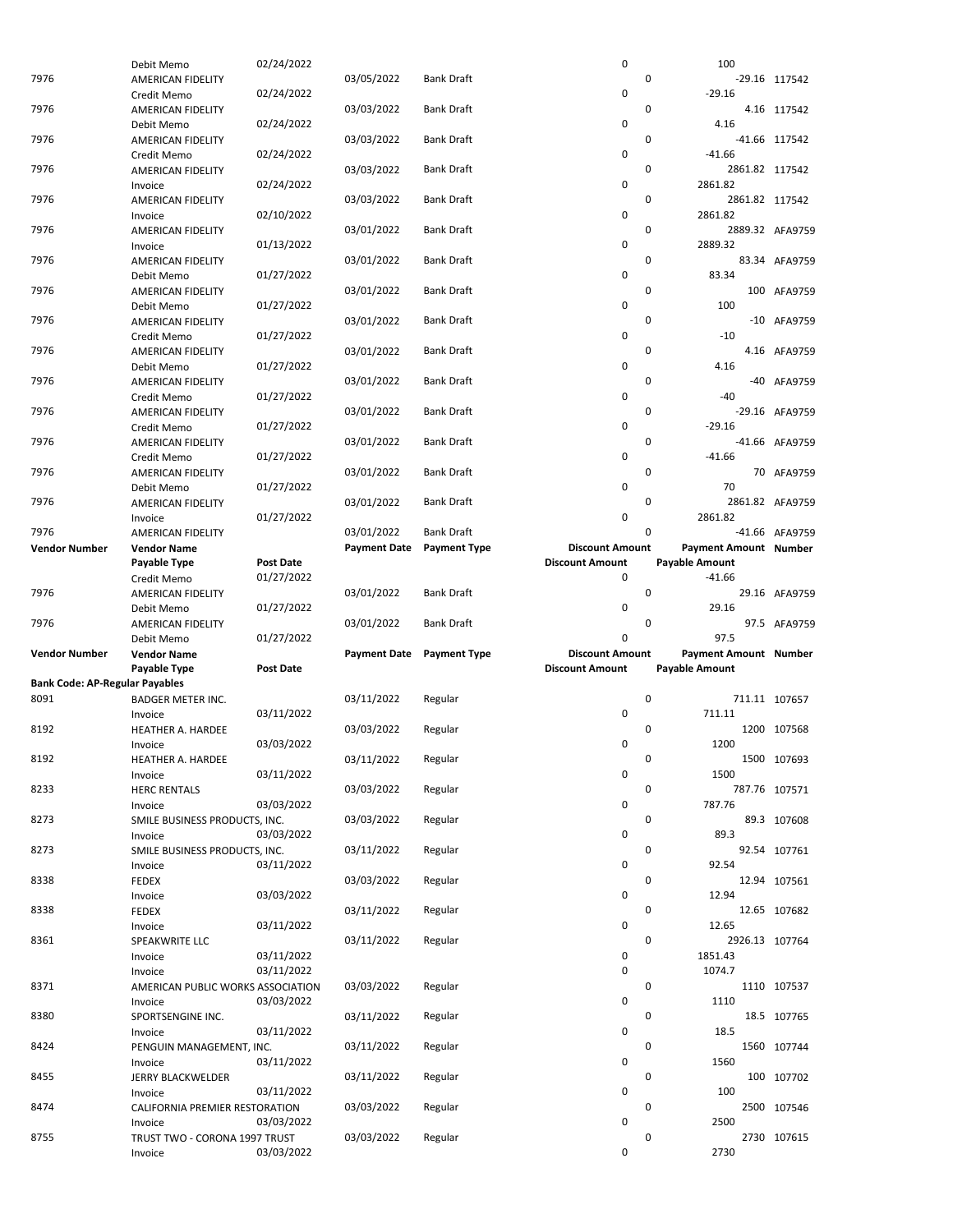|                                       | Debit Memo                        | 02/24/2022       |                     |                     | $\pmb{0}$              | 100                   |                 |
|---------------------------------------|-----------------------------------|------------------|---------------------|---------------------|------------------------|-----------------------|-----------------|
| 7976                                  | AMERICAN FIDELITY                 |                  | 03/05/2022          | <b>Bank Draft</b>   | $\mathbf 0$            |                       | -29.16 117542   |
|                                       | Credit Memo                       | 02/24/2022       |                     |                     | $\mathbf 0$            | $-29.16$              |                 |
| 7976                                  | AMERICAN FIDELITY                 |                  | 03/03/2022          | <b>Bank Draft</b>   | $\mathbf 0$            |                       | 4.16 117542     |
|                                       | Debit Memo                        | 02/24/2022       |                     |                     | $\mathbf 0$            | 4.16                  |                 |
| 7976                                  | AMERICAN FIDELITY                 |                  | 03/03/2022          | <b>Bank Draft</b>   | $\mathbf 0$            |                       | -41.66 117542   |
|                                       | Credit Memo                       | 02/24/2022       |                     |                     | 0                      | $-41.66$              |                 |
| 7976                                  | AMERICAN FIDELITY                 |                  | 03/03/2022          | <b>Bank Draft</b>   |                        | 0<br>2861.82 117542   |                 |
|                                       | Invoice                           | 02/24/2022       |                     |                     | 0                      | 2861.82               |                 |
|                                       |                                   |                  |                     |                     | $\mathbf 0$            |                       |                 |
| 7976                                  | AMERICAN FIDELITY                 |                  | 03/03/2022          | <b>Bank Draft</b>   |                        | 2861.82 117542        |                 |
|                                       | Invoice                           | 02/10/2022       |                     |                     | $\pmb{0}$              | 2861.82               |                 |
| 7976                                  | AMERICAN FIDELITY                 |                  | 03/01/2022          | <b>Bank Draft</b>   | $\mathbf 0$            |                       | 2889.32 AFA9759 |
|                                       | Invoice                           | 01/13/2022       |                     |                     | 0                      | 2889.32               |                 |
| 7976                                  | AMERICAN FIDELITY                 |                  | 03/01/2022          | Bank Draft          | $\mathbf 0$            |                       | 83.34 AFA9759   |
|                                       | Debit Memo                        | 01/27/2022       |                     |                     | $\mathbf 0$            | 83.34                 |                 |
| 7976                                  | AMERICAN FIDELITY                 |                  | 03/01/2022          | Bank Draft          | 0                      |                       | 100 AFA9759     |
|                                       | Debit Memo                        | 01/27/2022       |                     |                     | $\mathbf 0$            | 100                   |                 |
| 7976                                  | AMERICAN FIDELITY                 |                  | 03/01/2022          | Bank Draft          |                        | 0                     | -10 AFA9759     |
|                                       | Credit Memo                       | 01/27/2022       |                     |                     | $\mathbf 0$            | $-10$                 |                 |
| 7976                                  | AMERICAN FIDELITY                 |                  | 03/01/2022          | Bank Draft          | $\mathbf 0$            |                       | 4.16 AFA9759    |
|                                       | Debit Memo                        | 01/27/2022       |                     |                     | $\mathbf 0$            | 4.16                  |                 |
| 7976                                  | AMERICAN FIDELITY                 |                  | 03/01/2022          | Bank Draft          | $\mathbf 0$            |                       | -40 AFA9759     |
|                                       | Credit Memo                       | 01/27/2022       |                     |                     | $\mathbf 0$            | $-40$                 |                 |
|                                       |                                   |                  |                     | <b>Bank Draft</b>   |                        | 0                     |                 |
| 7976                                  | AMERICAN FIDELITY                 |                  | 03/01/2022          |                     |                        |                       | -29.16 AFA9759  |
|                                       | Credit Memo                       | 01/27/2022       |                     |                     | $\mathbf 0$            | $-29.16$              |                 |
| 7976                                  | <b>AMERICAN FIDELITY</b>          |                  | 03/01/2022          | Bank Draft          | 0                      |                       | -41.66 AFA9759  |
|                                       | Credit Memo                       | 01/27/2022       |                     |                     | 0                      | $-41.66$              |                 |
| 7976                                  | AMERICAN FIDELITY                 |                  | 03/01/2022          | Bank Draft          | 0                      |                       | 70 AFA9759      |
|                                       | Debit Memo                        | 01/27/2022       |                     |                     | $\mathbf 0$            | 70                    |                 |
| 7976                                  | AMERICAN FIDELITY                 |                  | 03/01/2022          | Bank Draft          | $\mathbf 0$            |                       | 2861.82 AFA9759 |
|                                       | Invoice                           | 01/27/2022       |                     |                     | 0                      | 2861.82               |                 |
| 7976                                  | AMERICAN FIDELITY                 |                  | 03/01/2022          | <b>Bank Draft</b>   | $\Omega$               |                       | -41.66 AFA9759  |
| <b>Vendor Number</b>                  | <b>Vendor Name</b>                |                  | <b>Payment Date</b> | <b>Payment Type</b> | <b>Discount Amount</b> | Payment Amount Number |                 |
|                                       | Payable Type                      | <b>Post Date</b> |                     |                     | <b>Discount Amount</b> | Payable Amount        |                 |
|                                       | Credit Memo                       | 01/27/2022       |                     |                     | 0                      | $-41.66$              |                 |
| 7976                                  |                                   |                  |                     |                     | $\mathbf 0$            |                       | 29.16 AFA9759   |
|                                       | AMERICAN FIDELITY                 |                  | 03/01/2022          | Bank Draft          |                        |                       |                 |
|                                       |                                   |                  |                     |                     |                        |                       |                 |
|                                       | Debit Memo                        | 01/27/2022       |                     |                     | 0                      | 29.16                 |                 |
| 7976                                  | AMERICAN FIDELITY                 |                  | 03/01/2022          | Bank Draft          | $\mathbf 0$            |                       | 97.5 AFA9759    |
|                                       | Debit Memo                        | 01/27/2022       |                     |                     | 0                      | 97.5                  |                 |
| <b>Vendor Number</b>                  | <b>Vendor Name</b>                |                  | <b>Payment Date</b> | <b>Payment Type</b> | <b>Discount Amount</b> | Payment Amount Number |                 |
|                                       | Payable Type                      | <b>Post Date</b> |                     |                     | <b>Discount Amount</b> | Payable Amount        |                 |
| <b>Bank Code: AP-Regular Payables</b> |                                   |                  |                     |                     |                        |                       |                 |
| 8091                                  | <b>BADGER METER INC.</b>          |                  | 03/11/2022          | Regular             | $\mathbf 0$            |                       | 711.11 107657   |
|                                       | Invoice                           | 03/11/2022       |                     |                     | 0                      | 711.11                |                 |
| 8192                                  | <b>HEATHER A. HARDEE</b>          |                  | 03/03/2022          | Regular             | $\mathbf 0$            |                       | 1200 107568     |
|                                       | Invoice                           | 03/03/2022       |                     |                     | 0                      | 1200                  |                 |
|                                       |                                   |                  |                     |                     |                        | 0                     |                 |
| 8192                                  | HEATHER A. HARDEE                 |                  | 03/11/2022          | Regular             |                        |                       | 1500 107693     |
|                                       | Invoice                           | 03/11/2022       |                     |                     | 0                      | 1500                  |                 |
| 8233                                  | <b>HERC RENTALS</b>               |                  | 03/03/2022          | Regular             | 0                      |                       | 787.76 107571   |
|                                       | Invoice                           | 03/03/2022       |                     |                     | 0                      | 787.76                |                 |
| 8273                                  | SMILE BUSINESS PRODUCTS, INC.     |                  | 03/03/2022          | Regular             | 0                      |                       | 89.3 107608     |
|                                       | Invoice                           | 03/03/2022       |                     |                     | 0                      | 89.3                  |                 |
| 8273                                  | SMILE BUSINESS PRODUCTS, INC.     |                  | 03/11/2022          | Regular             | 0                      |                       | 92.54 107761    |
|                                       | Invoice                           | 03/11/2022       |                     |                     | 0                      | 92.54                 |                 |
| 8338                                  | <b>FEDEX</b>                      |                  | 03/03/2022          | Regular             | 0                      |                       | 12.94 107561    |
|                                       | Invoice                           | 03/03/2022       |                     |                     | 0                      | 12.94                 |                 |
| 8338                                  | <b>FEDEX</b>                      |                  | 03/11/2022          | Regular             | 0                      |                       | 12.65 107682    |
|                                       | Invoice                           | 03/11/2022       |                     |                     | 0                      | 12.65                 |                 |
| 8361                                  |                                   |                  | 03/11/2022          |                     | $\mathbf 0$            | 2926.13 107764        |                 |
|                                       | SPEAKWRITE LLC                    |                  |                     | Regular             |                        |                       |                 |
|                                       | Invoice                           | 03/11/2022       |                     |                     | 0<br>$\mathbf 0$       | 1851.43               |                 |
|                                       | Invoice                           | 03/11/2022       |                     |                     |                        | 1074.7                |                 |
| 8371                                  | AMERICAN PUBLIC WORKS ASSOCIATION |                  | 03/03/2022          | Regular             | 0                      |                       | 1110 107537     |
|                                       | Invoice                           | 03/03/2022       |                     |                     | 0                      | 1110                  |                 |
| 8380                                  | SPORTSENGINE INC.                 |                  | 03/11/2022          | Regular             | 0                      |                       | 18.5 107765     |
|                                       | Invoice                           | 03/11/2022       |                     |                     | 0                      | 18.5                  |                 |
| 8424                                  | PENGUIN MANAGEMENT, INC.          |                  | 03/11/2022          | Regular             | 0                      |                       | 1560 107744     |
|                                       | Invoice                           | 03/11/2022       |                     |                     | 0                      | 1560                  |                 |
| 8455                                  | JERRY BLACKWELDER                 |                  | 03/11/2022          | Regular             | 0                      |                       | 100 107702      |
|                                       | Invoice                           | 03/11/2022       |                     |                     | 0                      | 100                   |                 |
| 8474                                  | CALIFORNIA PREMIER RESTORATION    |                  | 03/03/2022          | Regular             | 0                      |                       | 2500 107546     |
|                                       | Invoice                           | 03/03/2022       |                     |                     | 0                      | 2500                  |                 |
| 8755                                  | TRUST TWO - CORONA 1997 TRUST     |                  | 03/03/2022          | Regular             | 0                      |                       | 2730 107615     |
|                                       | Invoice                           | 03/03/2022       |                     |                     | 0                      | 2730                  |                 |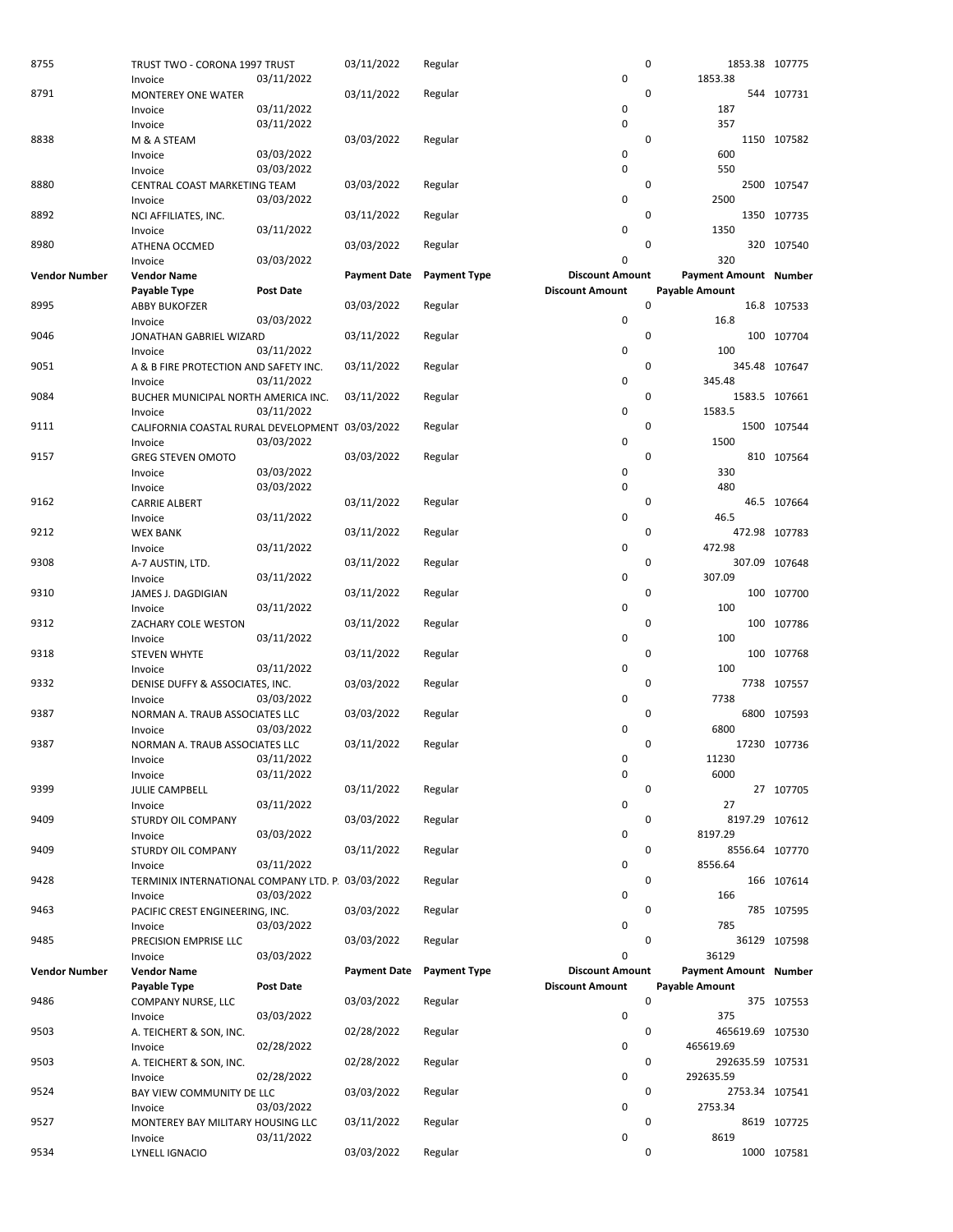| 8755                 | TRUST TWO - CORONA 1997 TRUST                     |                  | 03/11/2022          | Regular             |                            | 0                     | 1853.38 107775 |
|----------------------|---------------------------------------------------|------------------|---------------------|---------------------|----------------------------|-----------------------|----------------|
|                      | Invoice                                           | 03/11/2022       |                     |                     | $\mathbf 0$                | 1853.38               |                |
| 8791                 | <b>MONTEREY ONE WATER</b>                         |                  | 03/11/2022          | Regular             |                            | 0                     | 544 107731     |
|                      | Invoice                                           | 03/11/2022       |                     |                     | $\mathbf 0$                | 187                   |                |
|                      | Invoice                                           | 03/11/2022       |                     |                     | $\mathbf 0$                | 357                   |                |
| 8838                 | M & A STEAM                                       |                  | 03/03/2022          | Regular             |                            | 0                     | 1150 107582    |
|                      | Invoice                                           | 03/03/2022       |                     |                     | $\mathbf 0$<br>$\mathbf 0$ | 600                   |                |
|                      | Invoice                                           | 03/03/2022       |                     |                     |                            | 550                   |                |
| 8880                 | CENTRAL COAST MARKETING TEAM                      |                  | 03/03/2022          | Regular             | $\mathbf 0$                | 0<br>2500             | 2500 107547    |
| 8892                 | Invoice<br>NCI AFFILIATES, INC.                   | 03/03/2022       | 03/11/2022          |                     |                            | 0                     | 1350 107735    |
|                      | Invoice                                           | 03/11/2022       |                     | Regular             | $\mathbf 0$                | 1350                  |                |
| 8980                 | ATHENA OCCMED                                     |                  | 03/03/2022          | Regular             |                            | 0                     | 320 107540     |
|                      | Invoice                                           | 03/03/2022       |                     |                     | 0                          | 320                   |                |
| <b>Vendor Number</b> | <b>Vendor Name</b>                                |                  | <b>Payment Date</b> | <b>Payment Type</b> | <b>Discount Amount</b>     | Payment Amount Number |                |
|                      | Payable Type                                      | <b>Post Date</b> |                     |                     | <b>Discount Amount</b>     | Payable Amount        |                |
| 8995                 | <b>ABBY BUKOFZER</b>                              |                  | 03/03/2022          | Regular             |                            | 0                     | 16.8 107533    |
|                      | Invoice                                           | 03/03/2022       |                     |                     | $\mathbf 0$                | 16.8                  |                |
| 9046                 | JONATHAN GABRIEL WIZARD                           |                  | 03/11/2022          | Regular             |                            | 0                     | 100 107704     |
|                      | Invoice                                           | 03/11/2022       |                     |                     | 0                          | 100                   |                |
| 9051                 | A & B FIRE PROTECTION AND SAFETY INC.             |                  | 03/11/2022          | Regular             |                            | 0                     | 345.48 107647  |
|                      | Invoice                                           | 03/11/2022       |                     |                     | 0                          | 345.48                |                |
| 9084                 | BUCHER MUNICIPAL NORTH AMERICA INC.               |                  | 03/11/2022          | Regular             |                            | 0                     | 1583.5 107661  |
|                      | Invoice                                           | 03/11/2022       |                     |                     | 0                          | 1583.5                |                |
| 9111                 | CALIFORNIA COASTAL RURAL DEVELOPMENT 03/03/2022   |                  |                     | Regular             |                            | 0                     | 1500 107544    |
|                      | Invoice                                           | 03/03/2022       |                     |                     | 0                          | 1500                  |                |
| 9157                 | <b>GREG STEVEN OMOTO</b>                          |                  | 03/03/2022          | Regular             |                            | 0                     | 810 107564     |
|                      | Invoice                                           | 03/03/2022       |                     |                     | $\mathbf 0$                | 330                   |                |
|                      | Invoice                                           | 03/03/2022       |                     |                     | 0                          | 480                   |                |
| 9162                 | <b>CARRIE ALBERT</b>                              |                  | 03/11/2022          | Regular             |                            | 0                     | 46.5 107664    |
|                      | Invoice                                           | 03/11/2022       |                     |                     | $\mathbf 0$                | 46.5                  |                |
| 9212                 | <b>WEX BANK</b>                                   |                  | 03/11/2022          | Regular             |                            | 0                     | 472.98 107783  |
|                      | Invoice                                           | 03/11/2022       |                     |                     | $\mathbf 0$                | 472.98                |                |
| 9308                 | A-7 AUSTIN, LTD.                                  |                  | 03/11/2022          | Regular             |                            | 0                     | 307.09 107648  |
|                      | Invoice                                           | 03/11/2022       |                     |                     | $\mathbf 0$                | 307.09                |                |
| 9310                 | JAMES J. DAGDIGIAN                                |                  | 03/11/2022          | Regular             |                            | 0                     | 100 107700     |
|                      | Invoice                                           | 03/11/2022       |                     |                     | 0                          | 100                   |                |
| 9312                 | ZACHARY COLE WESTON                               |                  | 03/11/2022          | Regular             |                            | 0                     | 100 107786     |
|                      | Invoice                                           | 03/11/2022       |                     |                     | 0                          | 100                   |                |
| 9318                 | <b>STEVEN WHYTE</b>                               |                  | 03/11/2022          | Regular             |                            | 0<br>100              | 107768         |
|                      | Invoice                                           | 03/11/2022       |                     |                     | $\mathbf 0$                | 100                   |                |
| 9332                 | DENISE DUFFY & ASSOCIATES, INC.                   |                  | 03/03/2022          | Regular             |                            | 0                     | 7738 107557    |
| 9387                 | Invoice                                           | 03/03/2022       | 03/03/2022          |                     | 0                          | 7738<br>0             | 6800 107593    |
|                      | NORMAN A. TRAUB ASSOCIATES LLC                    | 03/03/2022       |                     | Regular             | 0                          | 6800                  |                |
| 9387                 | Invoice<br>NORMAN A. TRAUB ASSOCIATES LLC         |                  | 03/11/2022          | Regular             |                            | 0                     | 17230 107736   |
|                      | Invoice                                           | 03/11/2022       |                     |                     | 0                          | 11230                 |                |
|                      | Invoice                                           | 03/11/2022       |                     |                     | 0                          | 6000                  |                |
| 9399                 | JULIE CAMPBELL                                    |                  | 03/11/2022          | Regular             |                            | $\mathbf 0$           | 27 107705      |
|                      | Invoice                                           | 03/11/2022       |                     |                     | 0                          | 27                    |                |
| 9409                 | STURDY OIL COMPANY                                |                  | 03/03/2022          | Regular             |                            | 0                     | 8197.29 107612 |
|                      | Invoice                                           | 03/03/2022       |                     |                     | $\mathbf 0$                | 8197.29               |                |
| 9409                 | STURDY OIL COMPANY                                |                  | 03/11/2022          | Regular             |                            | 0                     | 8556.64 107770 |
|                      | Invoice                                           | 03/11/2022       |                     |                     | 0                          | 8556.64               |                |
| 9428                 | TERMINIX INTERNATIONAL COMPANY LTD. P. 03/03/2022 |                  |                     | Regular             |                            | 0                     | 166 107614     |
|                      | Invoice                                           | 03/03/2022       |                     |                     | $\mathbf 0$                | 166                   |                |
| 9463                 | PACIFIC CREST ENGINEERING, INC.                   |                  | 03/03/2022          | Regular             |                            | 0                     | 785 107595     |
|                      | Invoice                                           | 03/03/2022       |                     |                     | 0                          | 785                   |                |
| 9485                 | PRECISION EMPRISE LLC                             |                  | 03/03/2022          | Regular             |                            | 0                     | 36129 107598   |
|                      | Invoice                                           | 03/03/2022       |                     |                     | 0                          | 36129                 |                |
| <b>Vendor Number</b> | <b>Vendor Name</b>                                |                  | <b>Payment Date</b> | <b>Payment Type</b> | <b>Discount Amount</b>     | Payment Amount Number |                |
|                      | Payable Type                                      | <b>Post Date</b> |                     |                     | <b>Discount Amount</b>     | Payable Amount        |                |
| 9486                 | COMPANY NURSE, LLC                                |                  | 03/03/2022          | Regular             |                            | $\pmb{0}$             | 375 107553     |
|                      | Invoice                                           | 03/03/2022       |                     |                     | $\mathbf 0$                | 375                   |                |
| 9503                 | A. TEICHERT & SON, INC.                           |                  | 02/28/2022          | Regular             |                            | 0<br>465619.69 107530 |                |
|                      | Invoice                                           | 02/28/2022       |                     |                     | 0                          | 465619.69             |                |
| 9503                 | A. TEICHERT & SON, INC.                           |                  | 02/28/2022          | Regular             |                            | 0<br>292635.59 107531 |                |
|                      | Invoice                                           | 02/28/2022       |                     |                     | 0                          | 292635.59             |                |
| 9524                 | BAY VIEW COMMUNITY DE LLC                         |                  | 03/03/2022          | Regular             | $\mathbf 0$                | 0                     | 2753.34 107541 |
| 9527                 | Invoice                                           | 03/03/2022       | 03/11/2022          | Regular             |                            | 2753.34<br>0          |                |
|                      | MONTEREY BAY MILITARY HOUSING LLC<br>Invoice      | 03/11/2022       |                     |                     | 0                          | 8619                  | 8619 107725    |
| 9534                 | LYNELL IGNACIO                                    |                  | 03/03/2022          | Regular             |                            | 0                     | 1000 107581    |
|                      |                                                   |                  |                     |                     |                            |                       |                |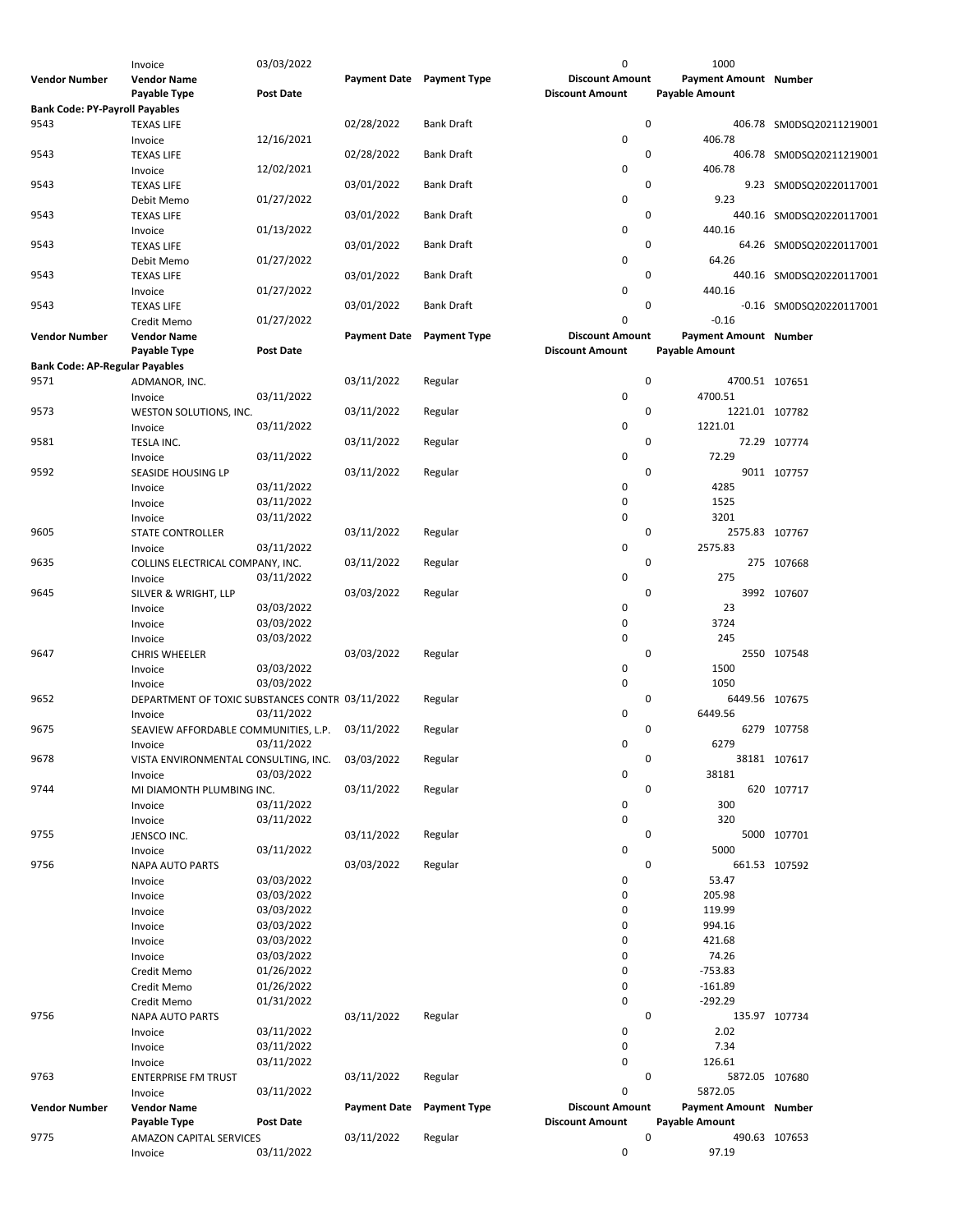|                                       | Invoice                                         | 03/03/2022       |                           |                     | 0                      | 1000                         |                          |
|---------------------------------------|-------------------------------------------------|------------------|---------------------------|---------------------|------------------------|------------------------------|--------------------------|
| <b>Vendor Number</b>                  | <b>Vendor Name</b>                              |                  | Payment Date Payment Type |                     | <b>Discount Amount</b> | Payment Amount Number        |                          |
|                                       | Payable Type                                    | <b>Post Date</b> |                           |                     | <b>Discount Amount</b> | <b>Payable Amount</b>        |                          |
| <b>Bank Code: PY-Payroll Payables</b> |                                                 |                  |                           |                     |                        |                              |                          |
| 9543                                  | <b>TEXAS LIFE</b>                               |                  | 02/28/2022                | <b>Bank Draft</b>   |                        | 0                            | 406.78 SM0DSQ20211219001 |
|                                       | Invoice                                         | 12/16/2021       |                           |                     | 0                      | 406.78                       |                          |
| 9543                                  | <b>TEXAS LIFE</b>                               |                  | 02/28/2022                | <b>Bank Draft</b>   |                        | 0                            | 406.78 SM0DSQ20211219001 |
|                                       |                                                 | 12/02/2021       |                           |                     | 0                      | 406.78                       |                          |
|                                       | Invoice                                         |                  |                           |                     |                        | 0                            |                          |
| 9543                                  | <b>TEXAS LIFE</b>                               |                  | 03/01/2022                | <b>Bank Draft</b>   |                        |                              | 9.23 SM0DSQ20220117001   |
|                                       | Debit Memo                                      | 01/27/2022       |                           |                     | 0                      | 9.23                         |                          |
| 9543                                  | <b>TEXAS LIFE</b>                               |                  | 03/01/2022                | <b>Bank Draft</b>   |                        | 0                            | 440.16 SM0DSQ20220117001 |
|                                       | Invoice                                         | 01/13/2022       |                           |                     | 0                      | 440.16                       |                          |
| 9543                                  | <b>TEXAS LIFE</b>                               |                  | 03/01/2022                | <b>Bank Draft</b>   |                        | 0                            | 64.26 SM0DSQ20220117001  |
|                                       | Debit Memo                                      | 01/27/2022       |                           |                     | 0                      | 64.26                        |                          |
| 9543                                  | <b>TEXAS LIFE</b>                               |                  | 03/01/2022                | <b>Bank Draft</b>   |                        | 0                            | 440.16 SM0DSQ20220117001 |
|                                       | Invoice                                         | 01/27/2022       |                           |                     | 0                      | 440.16                       |                          |
| 9543                                  | <b>TEXAS LIFE</b>                               |                  | 03/01/2022                | <b>Bank Draft</b>   |                        | 0                            | -0.16 SM0DSQ20220117001  |
|                                       | Credit Memo                                     | 01/27/2022       |                           |                     | 0                      | $-0.16$                      |                          |
| <b>Vendor Number</b>                  | <b>Vendor Name</b>                              |                  | <b>Payment Date</b>       | <b>Payment Type</b> | <b>Discount Amount</b> | <b>Payment Amount Number</b> |                          |
|                                       | Payable Type                                    | <b>Post Date</b> |                           |                     | <b>Discount Amount</b> | <b>Payable Amount</b>        |                          |
| <b>Bank Code: AP-Regular Payables</b> |                                                 |                  |                           |                     |                        |                              |                          |
| 9571                                  |                                                 |                  |                           |                     |                        | 0                            |                          |
|                                       | ADMANOR, INC.                                   |                  | 03/11/2022                | Regular             |                        | 4700.51 107651               |                          |
|                                       | Invoice                                         | 03/11/2022       |                           |                     | 0                      | 4700.51                      |                          |
| 9573                                  | WESTON SOLUTIONS, INC.                          |                  | 03/11/2022                | Regular             |                        | 0<br>1221.01 107782          |                          |
|                                       | Invoice                                         | 03/11/2022       |                           |                     | 0                      | 1221.01                      |                          |
| 9581                                  | TESLA INC.                                      |                  | 03/11/2022                | Regular             |                        | 0                            | 72.29 107774             |
|                                       | Invoice                                         | 03/11/2022       |                           |                     | 0                      | 72.29                        |                          |
| 9592                                  | SEASIDE HOUSING LP                              |                  | 03/11/2022                | Regular             |                        | 0                            | 9011 107757              |
|                                       | Invoice                                         | 03/11/2022       |                           |                     | 0                      | 4285                         |                          |
|                                       | Invoice                                         | 03/11/2022       |                           |                     | 0                      | 1525                         |                          |
|                                       | Invoice                                         | 03/11/2022       |                           |                     | 0                      | 3201                         |                          |
| 9605                                  | STATE CONTROLLER                                |                  | 03/11/2022                | Regular             |                        | 0<br>2575.83 107767          |                          |
|                                       | Invoice                                         | 03/11/2022       |                           |                     | 0                      | 2575.83                      |                          |
| 9635                                  |                                                 |                  |                           |                     |                        | 0                            |                          |
|                                       | COLLINS ELECTRICAL COMPANY, INC.                |                  | 03/11/2022                | Regular             |                        |                              | 275 107668               |
|                                       | Invoice                                         | 03/11/2022       |                           |                     | 0                      | 275                          |                          |
| 9645                                  | SILVER & WRIGHT, LLP                            |                  | 03/03/2022                | Regular             |                        | $\mathbf 0$                  | 3992 107607              |
|                                       | Invoice                                         | 03/03/2022       |                           |                     | 0                      | 23                           |                          |
|                                       | Invoice                                         | 03/03/2022       |                           |                     | 0                      | 3724                         |                          |
|                                       | Invoice                                         | 03/03/2022       |                           |                     | 0                      | 245                          |                          |
| 9647                                  | <b>CHRIS WHEELER</b>                            |                  | 03/03/2022                | Regular             |                        | 0                            | 2550 107548              |
|                                       | Invoice                                         | 03/03/2022       |                           |                     | 0                      | 1500                         |                          |
|                                       | Invoice                                         | 03/03/2022       |                           |                     | 0                      | 1050                         |                          |
| 9652                                  | DEPARTMENT OF TOXIC SUBSTANCES CONTR 03/11/2022 |                  |                           | Regular             |                        | 0<br>6449.56 107675          |                          |
|                                       | Invoice                                         | 03/11/2022       |                           |                     | 0                      | 6449.56                      |                          |
| 9675                                  | SEAVIEW AFFORDABLE COMMUNITIES, L.P.            |                  | 03/11/2022                | Regular             |                        | 0                            | 6279 107758              |
|                                       |                                                 | 03/11/2022       |                           |                     | 0                      | 6279                         |                          |
|                                       | Invoice                                         |                  |                           |                     |                        |                              |                          |
| 9678                                  | VISTA ENVIRONMENTAL CONSULTING, INC.            |                  | 03/03/2022                | Regular             |                        | 0                            | 38181 107617             |
|                                       | Invoice                                         | 03/03/2022       |                           |                     | 0                      | 38181                        |                          |
| 9744                                  | MI DIAMONTH PLUMBING INC.                       |                  | 03/11/2022                | Regular             |                        | 0                            | 620 107717               |
|                                       | Invoice                                         | 03/11/2022       |                           |                     | 0                      | 300                          |                          |
|                                       | Invoice                                         | 03/11/2022       |                           |                     | 0                      | 320                          |                          |
| 9755                                  | JENSCO INC.                                     |                  | 03/11/2022                | Regular             |                        | 0                            | 5000 107701              |
|                                       | Invoice                                         | 03/11/2022       |                           |                     | 0                      | 5000                         |                          |
| 9756                                  | <b>NAPA AUTO PARTS</b>                          |                  | 03/03/2022                | Regular             |                        | 0                            | 661.53 107592            |
|                                       | Invoice                                         | 03/03/2022       |                           |                     | 0                      | 53.47                        |                          |
|                                       | Invoice                                         | 03/03/2022       |                           |                     | 0                      | 205.98                       |                          |
|                                       | Invoice                                         | 03/03/2022       |                           |                     | 0                      | 119.99                       |                          |
|                                       | Invoice                                         | 03/03/2022       |                           |                     | 0                      | 994.16                       |                          |
|                                       | Invoice                                         | 03/03/2022       |                           |                     | 0                      | 421.68                       |                          |
|                                       |                                                 |                  |                           |                     | 0                      |                              |                          |
|                                       | Invoice                                         | 03/03/2022       |                           |                     |                        | 74.26                        |                          |
|                                       | Credit Memo                                     | 01/26/2022       |                           |                     | 0                      | $-753.83$                    |                          |
|                                       | Credit Memo                                     | 01/26/2022       |                           |                     | 0                      | $-161.89$                    |                          |
|                                       | Credit Memo                                     | 01/31/2022       |                           |                     | 0                      | $-292.29$                    |                          |
| 9756                                  | <b>NAPA AUTO PARTS</b>                          |                  | 03/11/2022                | Regular             |                        | 0                            | 135.97 107734            |
|                                       | Invoice                                         | 03/11/2022       |                           |                     | 0                      | 2.02                         |                          |
|                                       | Invoice                                         | 03/11/2022       |                           |                     | 0                      | 7.34                         |                          |
|                                       | Invoice                                         | 03/11/2022       |                           |                     | 0                      | 126.61                       |                          |
| 9763                                  | <b>ENTERPRISE FM TRUST</b>                      |                  | 03/11/2022                | Regular             |                        | 0<br>5872.05 107680          |                          |
|                                       | Invoice                                         | 03/11/2022       |                           |                     | 0                      | 5872.05                      |                          |
| <b>Vendor Number</b>                  | <b>Vendor Name</b>                              |                  | <b>Payment Date</b>       | <b>Payment Type</b> | <b>Discount Amount</b> | <b>Payment Amount Number</b> |                          |
|                                       | Payable Type                                    | <b>Post Date</b> |                           |                     | <b>Discount Amount</b> | Payable Amount               |                          |
| 9775                                  | AMAZON CAPITAL SERVICES                         |                  | 03/11/2022                | Regular             |                        | 0                            | 490.63 107653            |
|                                       |                                                 |                  |                           |                     |                        |                              |                          |
|                                       | Invoice                                         | 03/11/2022       |                           |                     | 0                      | 97.19                        |                          |